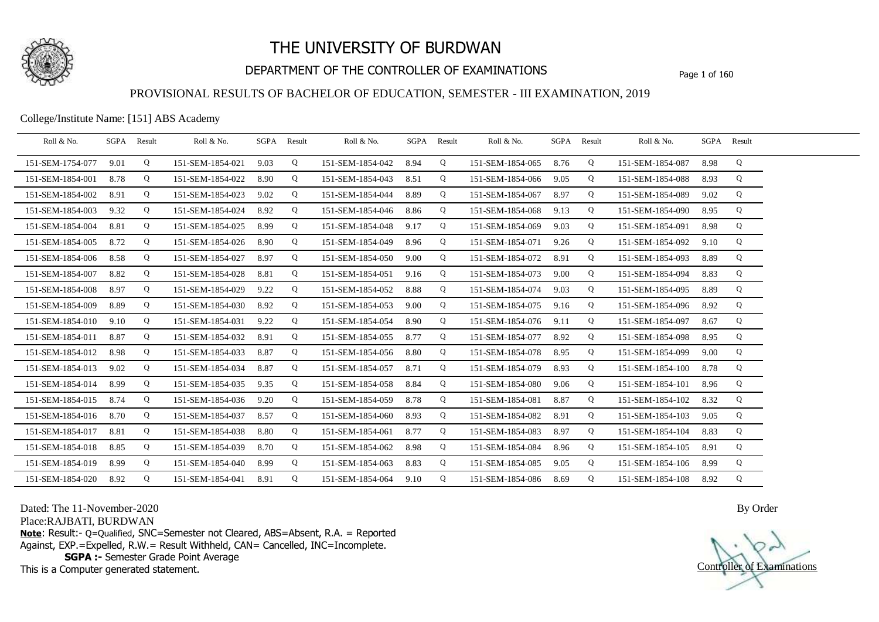

## DEPARTMENT OF THE CONTROLLER OF EXAMINATIONS Page 1 of 160

### PROVISIONAL RESULTS OF BACHELOR OF EDUCATION, SEMESTER - III EXAMINATION, 2019

College/Institute Name: [151] ABS Academy

| Roll & No.       |      | SGPA Result | Roll & No.       |      | SGPA Result | Roll & No.       |      | SGPA Result | Roll & No.       | SGPA | Result | Roll & No.            | SGPA Result |   |  |
|------------------|------|-------------|------------------|------|-------------|------------------|------|-------------|------------------|------|--------|-----------------------|-------------|---|--|
| 151-SEM-1754-077 | 9.01 | Q           | 151-SEM-1854-021 | 9.03 | Q           | 151-SEM-1854-042 | 8.94 | Q           | 151-SEM-1854-065 | 8.76 | Q      | 151-SEM-1854-087      | 8.98        | Q |  |
| 151-SEM-1854-001 | 8.78 | Q           | 151-SEM-1854-022 | 8.90 | Q           | 151-SEM-1854-043 | 8.51 | Q           | 151-SEM-1854-066 | 9.05 | Q      | 151-SEM-1854-088      | 8.93        | Q |  |
| 151-SEM-1854-002 | 8.91 | Q           | 151-SEM-1854-023 | 9.02 | Q           | 151-SEM-1854-044 | 8.89 | Q           | 151-SEM-1854-067 | 8.97 | Q      | 151-SEM-1854-089      | 9.02        | Q |  |
| 151-SEM-1854-003 | 9.32 | Q           | 151-SEM-1854-024 | 8.92 | Q           | 151-SEM-1854-046 | 8.86 | Q           | 151-SEM-1854-068 | 9.13 | Q      | 151-SEM-1854-090      | 8.95        | Q |  |
| 151-SEM-1854-004 | 8.81 | Q           | 151-SEM-1854-025 | 8.99 | Q           | 151-SEM-1854-048 | 9.17 | Q           | 151-SEM-1854-069 | 9.03 | Q      | 151-SEM-1854-091      | 8.98        | Q |  |
| 151-SEM-1854-005 | 8.72 | Q           | 151-SEM-1854-026 | 8.90 | Q           | 151-SEM-1854-049 | 8.96 | Q           | 151-SEM-1854-071 | 9.26 | Q      | 151-SEM-1854-092      | 9.10        | Q |  |
| 151-SEM-1854-006 | 8.58 | Q           | 151-SEM-1854-027 | 8.97 | Q           | 151-SEM-1854-050 | 9.00 | Q           | 151-SEM-1854-072 | 8.91 | Q      | 151-SEM-1854-093      | 8.89        | Q |  |
| 151-SEM-1854-007 | 8.82 | Q           | 151-SEM-1854-028 | 8.81 | Q           | 151-SEM-1854-051 | 9.16 | Q           | 151-SEM-1854-073 | 9.00 | Q      | 151-SEM-1854-094      | 8.83        | Q |  |
| 151-SEM-1854-008 | 8.97 | Q           | 151-SEM-1854-029 | 9.22 | Q           | 151-SEM-1854-052 | 8.88 | Q           | 151-SEM-1854-074 | 9.03 | Q      | 151-SEM-1854-095      | 8.89        | Q |  |
| 151-SEM-1854-009 | 8.89 | Q           | 151-SEM-1854-030 | 8.92 | Q           | 151-SEM-1854-053 | 9.00 | Q           | 151-SEM-1854-075 | 9.16 | Q      | 151-SEM-1854-096      | 8.92        | Q |  |
| 151-SEM-1854-010 | 9.10 | Q           | 151-SEM-1854-031 | 9.22 | Q           | 151-SEM-1854-054 | 8.90 | Q           | 151-SEM-1854-076 | 9.11 | Q      | 151-SEM-1854-097      | 8.67        | Q |  |
| 151-SEM-1854-011 | 8.87 | Q           | 151-SEM-1854-032 | 8.91 | Q           | 151-SEM-1854-055 | 8.77 | Q           | 151-SEM-1854-077 | 8.92 | Q      | 151-SEM-1854-098      | 8.95        | Q |  |
| 151-SEM-1854-012 | 8.98 | Q           | 151-SEM-1854-033 | 8.87 | Q           | 151-SEM-1854-056 | 8.80 | Q           | 151-SEM-1854-078 | 8.95 | Q      | 151-SEM-1854-099      | 9.00        | Q |  |
| 151-SEM-1854-013 | 9.02 | Q           | 151-SEM-1854-034 | 8.87 | Q           | 151-SEM-1854-057 | 8.71 | Q           | 151-SEM-1854-079 | 8.93 | Q      | 151-SEM-1854-100      | 8.78        | Q |  |
| 151-SEM-1854-014 | 8.99 | Q           | 151-SEM-1854-035 | 9.35 | Q           | 151-SEM-1854-058 | 8.84 | Q           | 151-SEM-1854-080 | 9.06 | Q      | 151-SEM-1854-101      | 8.96        | Q |  |
| 151-SEM-1854-015 | 8.74 | Q           | 151-SEM-1854-036 | 9.20 | Q           | 151-SEM-1854-059 | 8.78 | Q           | 151-SEM-1854-081 | 8.87 | Q      | 151-SEM-1854-102      | 8.32        | Q |  |
| 151-SEM-1854-016 | 8.70 | Q           | 151-SEM-1854-037 | 8.57 | Q           | 151-SEM-1854-060 | 8.93 | Q           | 151-SEM-1854-082 | 8.91 | Q      | 151-SEM-1854-103      | 9.05        | Q |  |
| 151-SEM-1854-017 | 8.81 | Q           | 151-SEM-1854-038 | 8.80 | Q           | 151-SEM-1854-061 | 8.77 | Q           | 151-SEM-1854-083 | 8.97 | Q      | 151-SEM-1854-104      | 8.83        | Q |  |
| 151-SEM-1854-018 | 8.85 | Q           | 151-SEM-1854-039 | 8.70 | Q           | 151-SEM-1854-062 | 8.98 | Q           | 151-SEM-1854-084 | 8.96 | Q      | 151-SEM-1854-105      | 8.91        | Q |  |
| 151-SEM-1854-019 | 8.99 | Q           | 151-SEM-1854-040 | 8.99 | Q           | 151-SEM-1854-063 | 8.83 | Q           | 151-SEM-1854-085 | 9.05 | Q      | 151-SEM-1854-106      | 8.99        | Q |  |
| 151-SEM-1854-020 | 8.92 | Q           | 151-SEM-1854-041 | 8.91 | Q           | 151-SEM-1854-064 | 9.10 | Q           | 151-SEM-1854-086 | 8.69 | Q      | 151-SEM-1854-108 8.92 |             | Q |  |

Dated: The 11-November-2020

Place:RAJBATI, BURDWAN

**Note**: Result:- Q=Qualified, SNC=Semester not Cleared, ABS=Absent, R.A. = Reported Against, EXP.=Expelled, R.W.= Result Withheld, CAN= Cancelled, INC=Incomplete. **SGPA :-** Semester Grade Point Average

This is a Computer generated statement.

Controller of Examinations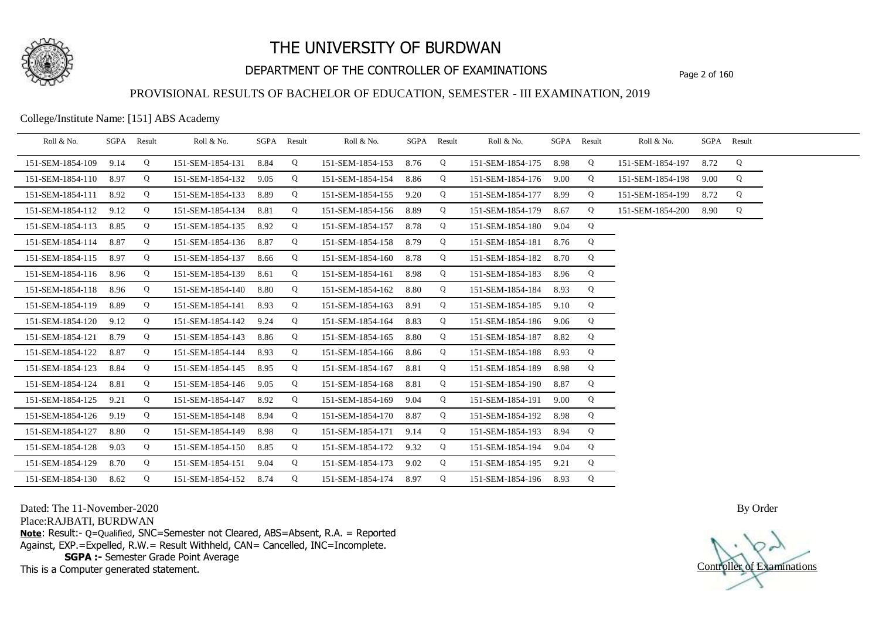

## DEPARTMENT OF THE CONTROLLER OF EXAMINATIONS Page 2 of 160

### PROVISIONAL RESULTS OF BACHELOR OF EDUCATION, SEMESTER - III EXAMINATION, 2019

College/Institute Name: [151] ABS Academy

| Roll & No.       |      | SGPA Result | Roll & No.       |      | SGPA Result | Roll & No.       |      | SGPA Result | Roll & No.            | SGPA | Result | Roll & No.       | SGPA Result |   |  |
|------------------|------|-------------|------------------|------|-------------|------------------|------|-------------|-----------------------|------|--------|------------------|-------------|---|--|
| 151-SEM-1854-109 | 9.14 | Q           | 151-SEM-1854-131 | 8.84 | Q           | 151-SEM-1854-153 | 8.76 | Q           | 151-SEM-1854-175      | 8.98 | Q      | 151-SEM-1854-197 | 8.72        | Q |  |
| 151-SEM-1854-110 | 8.97 | Q           | 151-SEM-1854-132 | 9.05 | Q           | 151-SEM-1854-154 | 8.86 | Q           | 151-SEM-1854-176      | 9.00 | Q      | 151-SEM-1854-198 | 9.00        | Q |  |
| 151-SEM-1854-111 | 8.92 | Q           | 151-SEM-1854-133 | 8.89 | Q           | 151-SEM-1854-155 | 9.20 | Q           | 151-SEM-1854-177      | 8.99 | Q      | 151-SEM-1854-199 | 8.72        | Q |  |
| 151-SEM-1854-112 | 9.12 | Q           | 151-SEM-1854-134 | 8.81 | Q           | 151-SEM-1854-156 | 8.89 | Q           | 151-SEM-1854-179      | 8.67 | Q      | 151-SEM-1854-200 | 8.90        | Q |  |
| 151-SEM-1854-113 | 8.85 | Q           | 151-SEM-1854-135 | 8.92 | Q           | 151-SEM-1854-157 | 8.78 | Q           | 151-SEM-1854-180      | 9.04 | Q      |                  |             |   |  |
| 151-SEM-1854-114 | 8.87 | Q           | 151-SEM-1854-136 | 8.87 | Q           | 151-SEM-1854-158 | 8.79 | Q           | 151-SEM-1854-181      | 8.76 | Q      |                  |             |   |  |
| 151-SEM-1854-115 | 8.97 | Q           | 151-SEM-1854-137 | 8.66 | Q           | 151-SEM-1854-160 | 8.78 | Q           | 151-SEM-1854-182      | 8.70 | Q      |                  |             |   |  |
| 151-SEM-1854-116 | 8.96 | Q           | 151-SEM-1854-139 | 8.61 | Q           | 151-SEM-1854-161 | 8.98 | Q           | 151-SEM-1854-183      | 8.96 | Q      |                  |             |   |  |
| 151-SEM-1854-118 | 8.96 | Q           | 151-SEM-1854-140 | 8.80 | Q           | 151-SEM-1854-162 | 8.80 | Q           | 151-SEM-1854-184      | 8.93 | Q      |                  |             |   |  |
| 151-SEM-1854-119 | 8.89 | Q           | 151-SEM-1854-141 | 8.93 | Q           | 151-SEM-1854-163 | 8.91 | Q           | 151-SEM-1854-185      | 9.10 | Q      |                  |             |   |  |
| 151-SEM-1854-120 | 9.12 | Q           | 151-SEM-1854-142 | 9.24 | Q           | 151-SEM-1854-164 | 8.83 | Q           | 151-SEM-1854-186      | 9.06 | Q      |                  |             |   |  |
| 151-SEM-1854-121 | 8.79 | Q           | 151-SEM-1854-143 | 8.86 | Q           | 151-SEM-1854-165 | 8.80 | Q           | 151-SEM-1854-187      | 8.82 | Q      |                  |             |   |  |
| 151-SEM-1854-122 | 8.87 | Q           | 151-SEM-1854-144 | 8.93 | Q           | 151-SEM-1854-166 | 8.86 | Q           | 151-SEM-1854-188      | 8.93 | Q      |                  |             |   |  |
| 151-SEM-1854-123 | 8.84 | Q           | 151-SEM-1854-145 | 8.95 | Q           | 151-SEM-1854-167 | 8.81 | Q           | 151-SEM-1854-189      | 8.98 | Q      |                  |             |   |  |
| 151-SEM-1854-124 | 8.81 | Q           | 151-SEM-1854-146 | 9.05 | Q           | 151-SEM-1854-168 | 8.81 | Q           | 151-SEM-1854-190      | 8.87 | Q      |                  |             |   |  |
| 151-SEM-1854-125 | 9.21 | Q           | 151-SEM-1854-147 | 8.92 | Q           | 151-SEM-1854-169 | 9.04 | Q           | 151-SEM-1854-191      | 9.00 | Q      |                  |             |   |  |
| 151-SEM-1854-126 | 9.19 | Q           | 151-SEM-1854-148 | 8.94 | Q           | 151-SEM-1854-170 | 8.87 | Q           | 151-SEM-1854-192      | 8.98 | Q      |                  |             |   |  |
| 151-SEM-1854-127 | 8.80 | Q           | 151-SEM-1854-149 | 8.98 | Q           | 151-SEM-1854-171 | 9.14 | Q           | 151-SEM-1854-193      | 8.94 | Q      |                  |             |   |  |
| 151-SEM-1854-128 | 9.03 | Q           | 151-SEM-1854-150 | 8.85 | Q           | 151-SEM-1854-172 | 9.32 | Q           | 151-SEM-1854-194      | 9.04 | Q      |                  |             |   |  |
| 151-SEM-1854-129 | 8.70 | Q           | 151-SEM-1854-151 | 9.04 | Q           | 151-SEM-1854-173 | 9.02 | Q           | 151-SEM-1854-195      | 9.21 | Q      |                  |             |   |  |
| 151-SEM-1854-130 | 8.62 | Q           | 151-SEM-1854-152 | 8.74 | Q           | 151-SEM-1854-174 | 8.97 | Q           | 151-SEM-1854-196 8.93 |      | Q      |                  |             |   |  |

Dated: The 11-November-2020

Place:RAJBATI, BURDWAN

**Note**: Result:- Q=Qualified, SNC=Semester not Cleared, ABS=Absent, R.A. = Reported Against, EXP.=Expelled, R.W.= Result Withheld, CAN= Cancelled, INC=Incomplete. **SGPA :-** Semester Grade Point Average

This is a Computer generated statement.

Controller of Examinations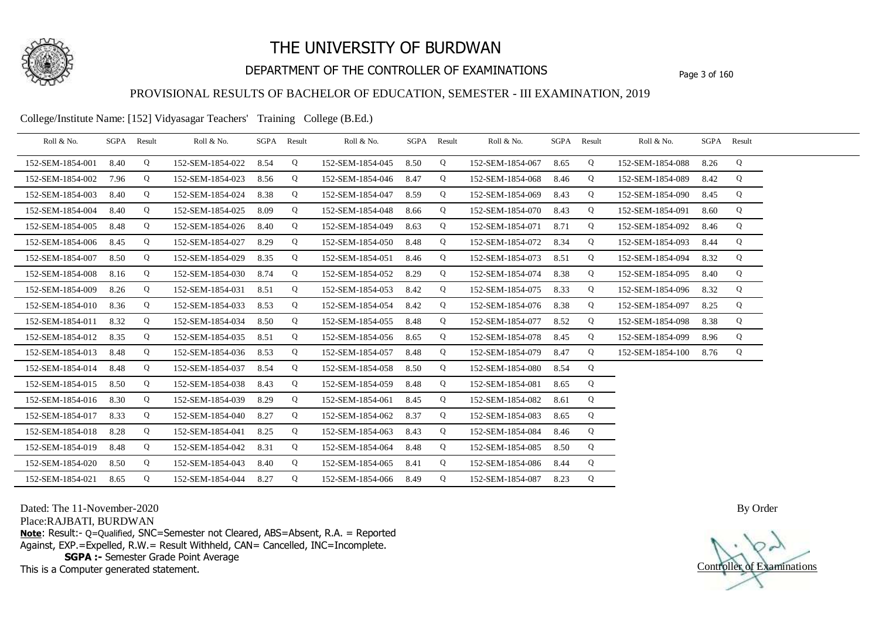

## DEPARTMENT OF THE CONTROLLER OF EXAMINATIONS Page 3 of 160

### PROVISIONAL RESULTS OF BACHELOR OF EDUCATION, SEMESTER - III EXAMINATION, 2019

College/Institute Name: [152] Vidyasagar Teachers' Training College (B.Ed.)

| Roll & No.       |      | SGPA Result | Roll & No.       |      | SGPA Result | Roll & No.       | SGPA Result |   | Roll & No.       | SGPA Result |   | Roll & No.       |      | SGPA Result |  |
|------------------|------|-------------|------------------|------|-------------|------------------|-------------|---|------------------|-------------|---|------------------|------|-------------|--|
| 152-SEM-1854-001 | 8.40 | Q           | 152-SEM-1854-022 | 8.54 | Q           | 152-SEM-1854-045 | 8.50        | Q | 152-SEM-1854-067 | 8.65        | Q | 152-SEM-1854-088 | 8.26 | Q           |  |
| 152-SEM-1854-002 | 7.96 | Q           | 152-SEM-1854-023 | 8.56 | Q           | 152-SEM-1854-046 | 8.47        | Q | 152-SEM-1854-068 | 8.46        | Q | 152-SEM-1854-089 | 8.42 | Q           |  |
| 152-SEM-1854-003 | 8.40 | Q           | 152-SEM-1854-024 | 8.38 | Q           | 152-SEM-1854-047 | 8.59        | Q | 152-SEM-1854-069 | 8.43        | Q | 152-SEM-1854-090 | 8.45 | Q           |  |
| 152-SEM-1854-004 | 8.40 | Q           | 152-SEM-1854-025 | 8.09 | Q           | 152-SEM-1854-048 | 8.66        | Q | 152-SEM-1854-070 | 8.43        | Q | 152-SEM-1854-091 | 8.60 | Q           |  |
| 152-SEM-1854-005 | 8.48 | Q           | 152-SEM-1854-026 | 8.40 | Q           | 152-SEM-1854-049 | 8.63        | Q | 152-SEM-1854-071 | 8.71        | Q | 152-SEM-1854-092 | 8.46 | Q           |  |
| 152-SEM-1854-006 | 8.45 | Q           | 152-SEM-1854-027 | 8.29 | Q           | 152-SEM-1854-050 | 8.48        | Q | 152-SEM-1854-072 | 8.34        | Q | 152-SEM-1854-093 | 8.44 | Q           |  |
| 152-SEM-1854-007 | 8.50 | Q           | 152-SEM-1854-029 | 8.35 | Q           | 152-SEM-1854-051 | 8.46        | Q | 152-SEM-1854-073 | 8.51        | Q | 152-SEM-1854-094 | 8.32 | Q           |  |
| 152-SEM-1854-008 | 8.16 | Q           | 152-SEM-1854-030 | 8.74 | Q           | 152-SEM-1854-052 | 8.29        | Q | 152-SEM-1854-074 | 8.38        | Q | 152-SEM-1854-095 | 8.40 | Q           |  |
| 152-SEM-1854-009 | 8.26 | Q           | 152-SEM-1854-031 | 8.51 | Q           | 152-SEM-1854-053 | 8.42        | Q | 152-SEM-1854-075 | 8.33        | Q | 152-SEM-1854-096 | 8.32 | Q           |  |
| 152-SEM-1854-010 | 8.36 | Q           | 152-SEM-1854-033 | 8.53 | Q           | 152-SEM-1854-054 | 8.42        | Q | 152-SEM-1854-076 | 8.38        | Q | 152-SEM-1854-097 | 8.25 | Q           |  |
| 152-SEM-1854-011 | 8.32 | Q           | 152-SEM-1854-034 | 8.50 | Q           | 152-SEM-1854-055 | 8.48        | Q | 152-SEM-1854-077 | 8.52        | Q | 152-SEM-1854-098 | 8.38 | Q           |  |
| 152-SEM-1854-012 | 8.35 | Q           | 152-SEM-1854-035 | 8.51 | Q           | 152-SEM-1854-056 | 8.65        | Q | 152-SEM-1854-078 | 8.45        | Q | 152-SEM-1854-099 | 8.96 | Q           |  |
| 152-SEM-1854-013 | 8.48 | Q           | 152-SEM-1854-036 | 8.53 | Q           | 152-SEM-1854-057 | 8.48        | Q | 152-SEM-1854-079 | 8.47        | Q | 152-SEM-1854-100 | 8.76 | Q           |  |
| 152-SEM-1854-014 | 8.48 | Q           | 152-SEM-1854-037 | 8.54 | Q           | 152-SEM-1854-058 | 8.50        | Q | 152-SEM-1854-080 | 8.54        | Q |                  |      |             |  |
| 152-SEM-1854-015 | 8.50 | Q           | 152-SEM-1854-038 | 8.43 | Q           | 152-SEM-1854-059 | 8.48        | Q | 152-SEM-1854-081 | 8.65        | Q |                  |      |             |  |
| 152-SEM-1854-016 | 8.30 | Q           | 152-SEM-1854-039 | 8.29 | Q           | 152-SEM-1854-061 | 8.45        | Q | 152-SEM-1854-082 | 8.61        | Q |                  |      |             |  |
| 152-SEM-1854-017 | 8.33 | Q           | 152-SEM-1854-040 | 8.27 | Q           | 152-SEM-1854-062 | 8.37        | Q | 152-SEM-1854-083 | 8.65        | Q |                  |      |             |  |
| 152-SEM-1854-018 | 8.28 | Q           | 152-SEM-1854-041 | 8.25 | Q           | 152-SEM-1854-063 | 8.43        | Q | 152-SEM-1854-084 | 8.46        | Q |                  |      |             |  |
| 152-SEM-1854-019 | 8.48 | Q           | 152-SEM-1854-042 | 8.31 | Q           | 152-SEM-1854-064 | 8.48        | Q | 152-SEM-1854-085 | 8.50        | Q |                  |      |             |  |
| 152-SEM-1854-020 | 8.50 | Q           | 152-SEM-1854-043 | 8.40 | Q           | 152-SEM-1854-065 | 8.41        | Q | 152-SEM-1854-086 | 8.44        | Q |                  |      |             |  |
| 152-SEM-1854-021 | 8.65 | Q           | 152-SEM-1854-044 | 8.27 | Q           | 152-SEM-1854-066 | 8.49        | Q | 152-SEM-1854-087 | 8.23        | Q |                  |      |             |  |

Dated: The 11-November-2020

Place:RAJBATI, BURDWAN

**Note**: Result:- Q=Qualified, SNC=Semester not Cleared, ABS=Absent, R.A. = Reported Against, EXP.=Expelled, R.W.= Result Withheld, CAN= Cancelled, INC=Incomplete. **SGPA :-** Semester Grade Point Average

This is a Computer generated statement.

Controller of Examinations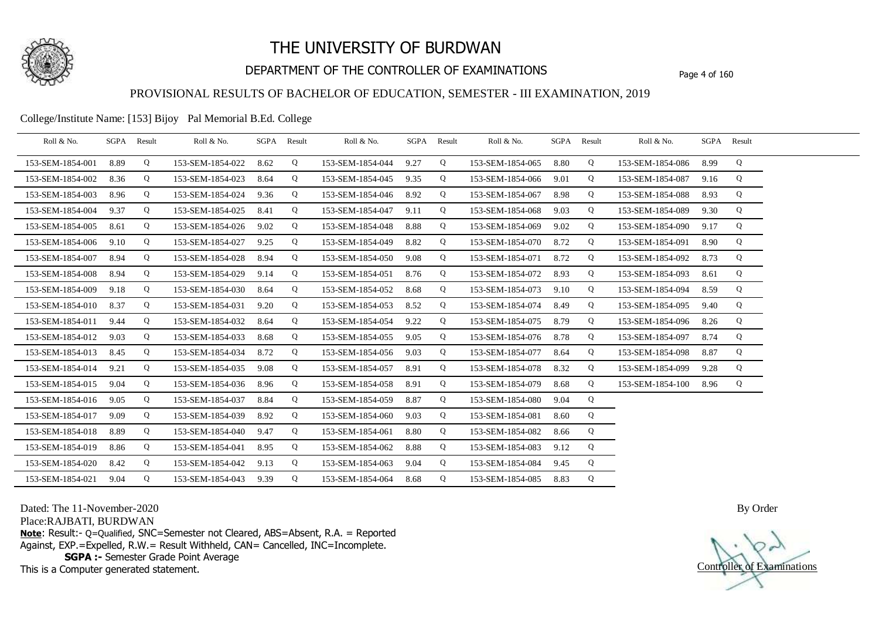

## DEPARTMENT OF THE CONTROLLER OF EXAMINATIONS Page 4 of 160

### PROVISIONAL RESULTS OF BACHELOR OF EDUCATION, SEMESTER - III EXAMINATION, 2019

College/Institute Name: [153] Bijoy Pal Memorial B.Ed. College

| Roll & No.       |      | SGPA Result | Roll & No.       |      | SGPA Result | Roll & No.       | SGPA Result |   | Roll & No.            | SGPA Result |   | Roll & No.       |      | SGPA Result |  |
|------------------|------|-------------|------------------|------|-------------|------------------|-------------|---|-----------------------|-------------|---|------------------|------|-------------|--|
| 153-SEM-1854-001 | 8.89 | Q           | 153-SEM-1854-022 | 8.62 | Q           | 153-SEM-1854-044 | 9.27        | Q | 153-SEM-1854-065 8.80 |             | Q | 153-SEM-1854-086 | 8.99 | Q           |  |
| 153-SEM-1854-002 | 8.36 | Q           | 153-SEM-1854-023 | 8.64 | Q           | 153-SEM-1854-045 | 9.35        | Q | 153-SEM-1854-066      | 9.01        | Q | 153-SEM-1854-087 | 9.16 | Q           |  |
| 153-SEM-1854-003 | 8.96 | Q           | 153-SEM-1854-024 | 9.36 | Q           | 153-SEM-1854-046 | 8.92        | Q | 153-SEM-1854-067      | 8.98        | Q | 153-SEM-1854-088 | 8.93 | Q           |  |
| 153-SEM-1854-004 | 9.37 | Q           | 153-SEM-1854-025 | 8.41 | Q           | 153-SEM-1854-047 | 9.11        | Q | 153-SEM-1854-068      | 9.03        | Q | 153-SEM-1854-089 | 9.30 | Q           |  |
| 153-SEM-1854-005 | 8.61 | Q           | 153-SEM-1854-026 | 9.02 | Q           | 153-SEM-1854-048 | 8.88        | Q | 153-SEM-1854-069      | 9.02        | Q | 153-SEM-1854-090 | 9.17 | Q           |  |
| 153-SEM-1854-006 | 9.10 | Q           | 153-SEM-1854-027 | 9.25 | Q           | 153-SEM-1854-049 | 8.82        | Q | 153-SEM-1854-070      | 8.72        | Q | 153-SEM-1854-091 | 8.90 | Q           |  |
| 153-SEM-1854-007 | 8.94 | Q           | 153-SEM-1854-028 | 8.94 | Q           | 153-SEM-1854-050 | 9.08        | Q | 153-SEM-1854-071      | 8.72        | Q | 153-SEM-1854-092 | 8.73 | Q           |  |
| 153-SEM-1854-008 | 8.94 | Q           | 153-SEM-1854-029 | 9.14 | Q           | 153-SEM-1854-051 | 8.76        | Q | 153-SEM-1854-072      | 8.93        | Q | 153-SEM-1854-093 | 8.61 | Q           |  |
| 153-SEM-1854-009 | 9.18 | Q           | 153-SEM-1854-030 | 8.64 | Q           | 153-SEM-1854-052 | 8.68        | Q | 153-SEM-1854-073      | 9.10        | Q | 153-SEM-1854-094 | 8.59 | Q           |  |
| 153-SEM-1854-010 | 8.37 | Q           | 153-SEM-1854-031 | 9.20 | Q           | 153-SEM-1854-053 | 8.52        | Q | 153-SEM-1854-074      | 8.49        | Q | 153-SEM-1854-095 | 9.40 | Q           |  |
| 153-SEM-1854-011 | 9.44 | Q           | 153-SEM-1854-032 | 8.64 | Q           | 153-SEM-1854-054 | 9.22        | Q | 153-SEM-1854-075      | 8.79        | Q | 153-SEM-1854-096 | 8.26 | Q           |  |
| 153-SEM-1854-012 | 9.03 | Q           | 153-SEM-1854-033 | 8.68 | Q           | 153-SEM-1854-055 | 9.05        | Q | 153-SEM-1854-076      | 8.78        | Q | 153-SEM-1854-097 | 8.74 | Q           |  |
| 153-SEM-1854-013 | 8.45 | Q           | 153-SEM-1854-034 | 8.72 | Q           | 153-SEM-1854-056 | 9.03        | Q | 153-SEM-1854-077      | 8.64        | Q | 153-SEM-1854-098 | 8.87 | Q           |  |
| 153-SEM-1854-014 | 9.21 | Q           | 153-SEM-1854-035 | 9.08 | Q           | 153-SEM-1854-057 | 8.91        | Q | 153-SEM-1854-078      | 8.32        | Q | 153-SEM-1854-099 | 9.28 | Q           |  |
| 153-SEM-1854-015 | 9.04 | Q           | 153-SEM-1854-036 | 8.96 | Q           | 153-SEM-1854-058 | 8.91        | Q | 153-SEM-1854-079      | 8.68        | Q | 153-SEM-1854-100 | 8.96 | Q           |  |
| 153-SEM-1854-016 | 9.05 | Q           | 153-SEM-1854-037 | 8.84 | Q           | 153-SEM-1854-059 | 8.87        | Q | 153-SEM-1854-080      | 9.04        | Q |                  |      |             |  |
| 153-SEM-1854-017 | 9.09 | Q           | 153-SEM-1854-039 | 8.92 | Q           | 153-SEM-1854-060 | 9.03        | Q | 153-SEM-1854-081      | 8.60        | Q |                  |      |             |  |
| 153-SEM-1854-018 | 8.89 | Q           | 153-SEM-1854-040 | 9.47 | Q           | 153-SEM-1854-061 | 8.80        | Q | 153-SEM-1854-082      | 8.66        | Q |                  |      |             |  |
| 153-SEM-1854-019 | 8.86 | Q           | 153-SEM-1854-041 | 8.95 | Q           | 153-SEM-1854-062 | 8.88        | Q | 153-SEM-1854-083      | 9.12        | Q |                  |      |             |  |
| 153-SEM-1854-020 | 8.42 | Q           | 153-SEM-1854-042 | 9.13 | Q           | 153-SEM-1854-063 | 9.04        | Q | 153-SEM-1854-084      | 9.45        | Q |                  |      |             |  |
| 153-SEM-1854-021 | 9.04 | Q           | 153-SEM-1854-043 | 9.39 | Q           | 153-SEM-1854-064 | 8.68        | Q | 153-SEM-1854-085 8.83 |             | Q |                  |      |             |  |

Dated: The 11-November-2020

Place:RAJBATI, BURDWAN

**Note**: Result:- Q=Qualified, SNC=Semester not Cleared, ABS=Absent, R.A. = Reported Against, EXP.=Expelled, R.W.= Result Withheld, CAN= Cancelled, INC=Incomplete. **SGPA :-** Semester Grade Point Average

This is a Computer generated statement.

Controller of Examinations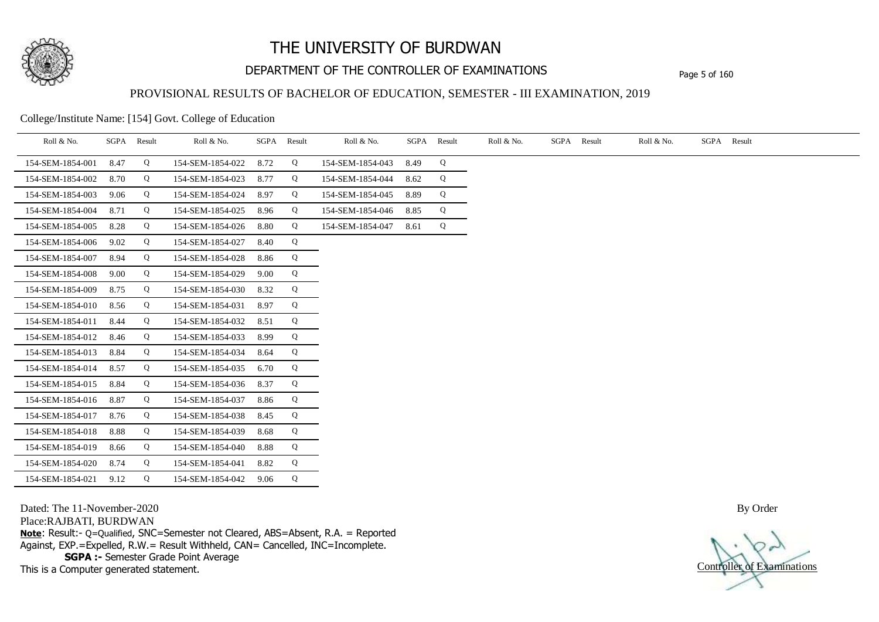

## DEPARTMENT OF THE CONTROLLER OF EXAMINATIONS Page 5 of 160

### PROVISIONAL RESULTS OF BACHELOR OF EDUCATION, SEMESTER - III EXAMINATION, 2019

College/Institute Name: [154] Govt. College of Education

| Roll & No.       |      | SGPA Result | Roll & No.       |      | SGPA Result | Roll & No.       |      | SGPA Result | Roll & No. | SGPA Result | Roll & No. | SGPA Result |
|------------------|------|-------------|------------------|------|-------------|------------------|------|-------------|------------|-------------|------------|-------------|
| 154-SEM-1854-001 | 8.47 | Q           | 154-SEM-1854-022 | 8.72 | Q           | 154-SEM-1854-043 | 8.49 | Q           |            |             |            |             |
| 154-SEM-1854-002 | 8.70 | Q           | 154-SEM-1854-023 | 8.77 | Q           | 154-SEM-1854-044 | 8.62 | Q           |            |             |            |             |
| 154-SEM-1854-003 | 9.06 | Q           | 154-SEM-1854-024 | 8.97 | Q           | 154-SEM-1854-045 | 8.89 | Q           |            |             |            |             |
| 154-SEM-1854-004 | 8.71 | Q           | 154-SEM-1854-025 | 8.96 | Q           | 154-SEM-1854-046 | 8.85 | Q           |            |             |            |             |
| 154-SEM-1854-005 | 8.28 | Q           | 154-SEM-1854-026 | 8.80 | Q           | 154-SEM-1854-047 | 8.61 | Q           |            |             |            |             |
| 154-SEM-1854-006 | 9.02 | Q           | 154-SEM-1854-027 | 8.40 | Q           |                  |      |             |            |             |            |             |
| 154-SEM-1854-007 | 8.94 | Q           | 154-SEM-1854-028 | 8.86 | Q           |                  |      |             |            |             |            |             |
| 154-SEM-1854-008 | 9.00 | Q           | 154-SEM-1854-029 | 9.00 | Q           |                  |      |             |            |             |            |             |
| 154-SEM-1854-009 | 8.75 | Q           | 154-SEM-1854-030 | 8.32 | Q           |                  |      |             |            |             |            |             |
| 154-SEM-1854-010 | 8.56 | Q           | 154-SEM-1854-031 | 8.97 | Q           |                  |      |             |            |             |            |             |
| 154-SEM-1854-011 | 8.44 | Q           | 154-SEM-1854-032 | 8.51 | Q           |                  |      |             |            |             |            |             |
| 154-SEM-1854-012 | 8.46 | Q           | 154-SEM-1854-033 | 8.99 | Q           |                  |      |             |            |             |            |             |
| 154-SEM-1854-013 | 8.84 | Q           | 154-SEM-1854-034 | 8.64 | Q           |                  |      |             |            |             |            |             |
| 154-SEM-1854-014 | 8.57 | Q           | 154-SEM-1854-035 | 6.70 | Q           |                  |      |             |            |             |            |             |
| 154-SEM-1854-015 | 8.84 | Q           | 154-SEM-1854-036 | 8.37 | Q           |                  |      |             |            |             |            |             |
| 154-SEM-1854-016 | 8.87 | Q           | 154-SEM-1854-037 | 8.86 | Q           |                  |      |             |            |             |            |             |
| 154-SEM-1854-017 | 8.76 | Q           | 154-SEM-1854-038 | 8.45 | Q           |                  |      |             |            |             |            |             |
| 154-SEM-1854-018 | 8.88 | Q           | 154-SEM-1854-039 | 8.68 | Q           |                  |      |             |            |             |            |             |
| 154-SEM-1854-019 | 8.66 | Q           | 154-SEM-1854-040 | 8.88 | Q           |                  |      |             |            |             |            |             |
| 154-SEM-1854-020 | 8.74 | Q           | 154-SEM-1854-041 | 8.82 | Q           |                  |      |             |            |             |            |             |
| 154-SEM-1854-021 | 9.12 | Q           | 154-SEM-1854-042 | 9.06 | Q           |                  |      |             |            |             |            |             |

Dated: The 11-November-2020

Place:RAJBATI, BURDWAN

**Note**: Result:- Q=Qualified, SNC=Semester not Cleared, ABS=Absent, R.A. = Reported Against, EXP.=Expelled, R.W.= Result Withheld, CAN= Cancelled, INC=Incomplete. **SGPA :-** Semester Grade Point Average

This is a Computer generated statement.

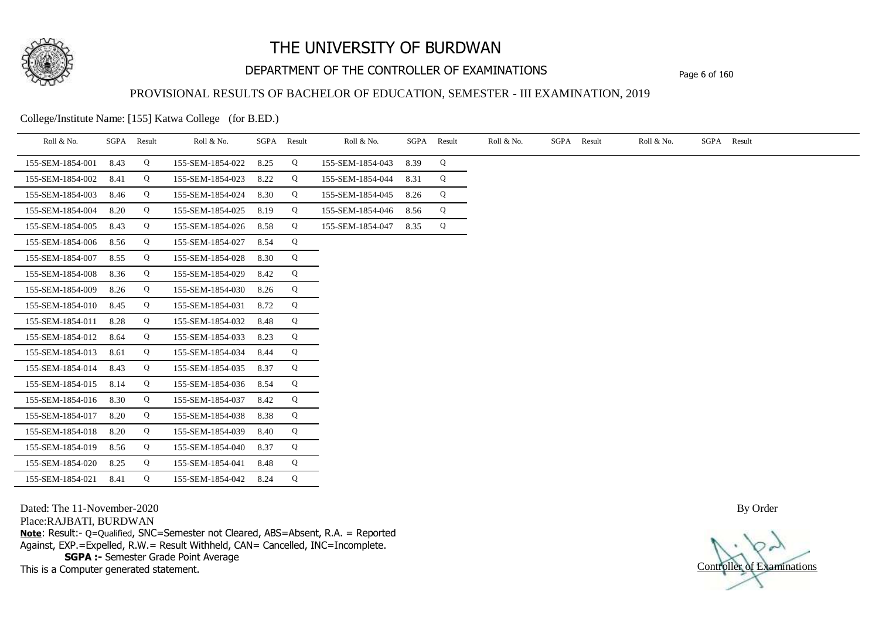

## DEPARTMENT OF THE CONTROLLER OF EXAMINATIONS Page 6 of 160

### PROVISIONAL RESULTS OF BACHELOR OF EDUCATION, SEMESTER - III EXAMINATION, 2019

College/Institute Name: [155] Katwa College (for B.ED.)

| Roll & No.       |      | SGPA Result | Roll & No.       |      | SGPA Result | Roll & No.       |      | SGPA Result | Roll & No. | SGPA Result | Roll & No. | SGPA Result |
|------------------|------|-------------|------------------|------|-------------|------------------|------|-------------|------------|-------------|------------|-------------|
| 155-SEM-1854-001 | 8.43 | Q           | 155-SEM-1854-022 | 8.25 | Q           | 155-SEM-1854-043 | 8.39 | Q           |            |             |            |             |
| 155-SEM-1854-002 | 8.41 | Q           | 155-SEM-1854-023 | 8.22 | Q           | 155-SEM-1854-044 | 8.31 | Q           |            |             |            |             |
| 155-SEM-1854-003 | 8.46 | Q           | 155-SEM-1854-024 | 8.30 | Q           | 155-SEM-1854-045 | 8.26 | Q           |            |             |            |             |
| 155-SEM-1854-004 | 8.20 | Q           | 155-SEM-1854-025 | 8.19 | Q           | 155-SEM-1854-046 | 8.56 | Q           |            |             |            |             |
| 155-SEM-1854-005 | 8.43 | Q           | 155-SEM-1854-026 | 8.58 | Q           | 155-SEM-1854-047 | 8.35 | Q           |            |             |            |             |
| 155-SEM-1854-006 | 8.56 | Q           | 155-SEM-1854-027 | 8.54 | Q           |                  |      |             |            |             |            |             |
| 155-SEM-1854-007 | 8.55 | Q           | 155-SEM-1854-028 | 8.30 | Q           |                  |      |             |            |             |            |             |
| 155-SEM-1854-008 | 8.36 | Q           | 155-SEM-1854-029 | 8.42 | Q           |                  |      |             |            |             |            |             |
| 155-SEM-1854-009 | 8.26 | Q           | 155-SEM-1854-030 | 8.26 | Q           |                  |      |             |            |             |            |             |
| 155-SEM-1854-010 | 8.45 | Q           | 155-SEM-1854-031 | 8.72 | Q           |                  |      |             |            |             |            |             |
| 155-SEM-1854-011 | 8.28 | Q           | 155-SEM-1854-032 | 8.48 | Q           |                  |      |             |            |             |            |             |
| 155-SEM-1854-012 | 8.64 | Q           | 155-SEM-1854-033 | 8.23 | Q           |                  |      |             |            |             |            |             |
| 155-SEM-1854-013 | 8.61 | Q           | 155-SEM-1854-034 | 8.44 | Q           |                  |      |             |            |             |            |             |
| 155-SEM-1854-014 | 8.43 | Q           | 155-SEM-1854-035 | 8.37 | Q           |                  |      |             |            |             |            |             |
| 155-SEM-1854-015 | 8.14 | Q           | 155-SEM-1854-036 | 8.54 | Q           |                  |      |             |            |             |            |             |
| 155-SEM-1854-016 | 8.30 | Q           | 155-SEM-1854-037 | 8.42 | Q           |                  |      |             |            |             |            |             |
| 155-SEM-1854-017 | 8.20 | Q           | 155-SEM-1854-038 | 8.38 | Q           |                  |      |             |            |             |            |             |
| 155-SEM-1854-018 | 8.20 | Q           | 155-SEM-1854-039 | 8.40 | Q           |                  |      |             |            |             |            |             |
| 155-SEM-1854-019 | 8.56 | Q           | 155-SEM-1854-040 | 8.37 | Q           |                  |      |             |            |             |            |             |
| 155-SEM-1854-020 | 8.25 | Q           | 155-SEM-1854-041 | 8.48 | Q           |                  |      |             |            |             |            |             |
| 155-SEM-1854-021 | 8.41 | Q           | 155-SEM-1854-042 | 8.24 | Q           |                  |      |             |            |             |            |             |

Dated: The 11-November-2020

Place:RAJBATI, BURDWAN

**Note**: Result:- Q=Qualified, SNC=Semester not Cleared, ABS=Absent, R.A. = Reported Against, EXP.=Expelled, R.W.= Result Withheld, CAN= Cancelled, INC=Incomplete. **SGPA :-** Semester Grade Point Average

This is a Computer generated statement.

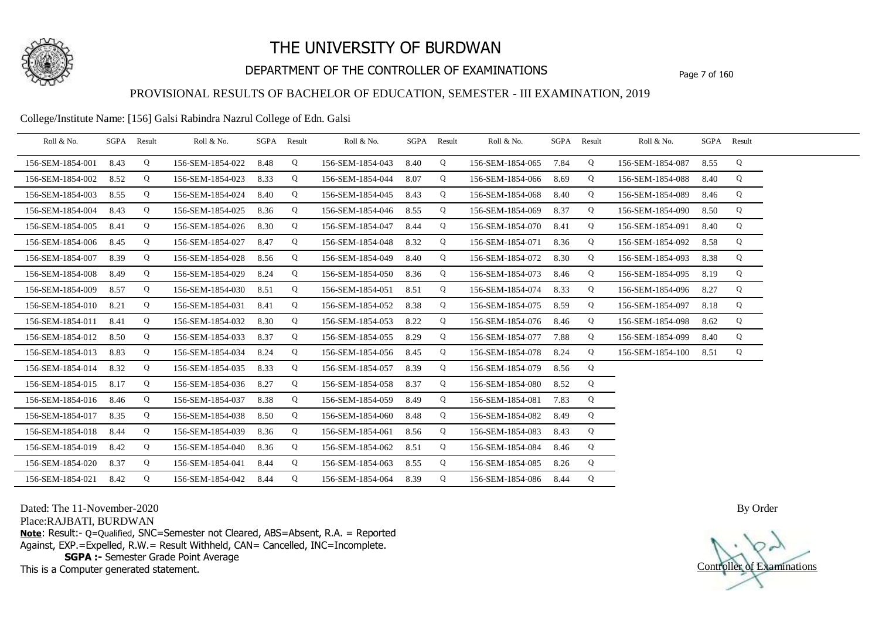

## DEPARTMENT OF THE CONTROLLER OF EXAMINATIONS Page 7 of 160

### PROVISIONAL RESULTS OF BACHELOR OF EDUCATION, SEMESTER - III EXAMINATION, 2019

#### College/Institute Name: [156] Galsi Rabindra Nazrul College of Edn. Galsi

| Roll & No.       | SGPA | Result | Roll & No.       | SGPA Result |   | Roll & No.       |      | SGPA Result | Roll & No.       | SGPA | Result | Roll & No.       |      | SGPA Result |  |
|------------------|------|--------|------------------|-------------|---|------------------|------|-------------|------------------|------|--------|------------------|------|-------------|--|
| 156-SEM-1854-001 | 8.43 | Q      | 156-SEM-1854-022 | 8.48        | Q | 156-SEM-1854-043 | 8.40 | Q           | 156-SEM-1854-065 | 7.84 | Q      | 156-SEM-1854-087 | 8.55 | Q           |  |
| 156-SEM-1854-002 | 8.52 | Q      | 156-SEM-1854-023 | 8.33        | Q | 156-SEM-1854-044 | 8.07 | Q           | 156-SEM-1854-066 | 8.69 | Q      | 156-SEM-1854-088 | 8.40 | Q           |  |
| 156-SEM-1854-003 | 8.55 | Q      | 156-SEM-1854-024 | 8.40        | Q | 156-SEM-1854-045 | 8.43 | Q           | 156-SEM-1854-068 | 8.40 | Q      | 156-SEM-1854-089 | 8.46 | Q           |  |
| 156-SEM-1854-004 | 8.43 | Q      | 156-SEM-1854-025 | 8.36        | Q | 156-SEM-1854-046 | 8.55 | Q           | 156-SEM-1854-069 | 8.37 | Q      | 156-SEM-1854-090 | 8.50 | Q           |  |
| 156-SEM-1854-005 | 8.41 | Q      | 156-SEM-1854-026 | 8.30        | Q | 156-SEM-1854-047 | 8.44 | Q           | 156-SEM-1854-070 | 8.41 | Q      | 156-SEM-1854-091 | 8.40 | Q           |  |
| 156-SEM-1854-006 | 8.45 | Q      | 156-SEM-1854-027 | 8.47        | Q | 156-SEM-1854-048 | 8.32 | Q           | 156-SEM-1854-071 | 8.36 | Q      | 156-SEM-1854-092 | 8.58 | Q           |  |
| 156-SEM-1854-007 | 8.39 | Q      | 156-SEM-1854-028 | 8.56        | Q | 156-SEM-1854-049 | 8.40 | Q           | 156-SEM-1854-072 | 8.30 | Q      | 156-SEM-1854-093 | 8.38 | Q           |  |
| 156-SEM-1854-008 | 8.49 | Q      | 156-SEM-1854-029 | 8.24        | Q | 156-SEM-1854-050 | 8.36 | Q           | 156-SEM-1854-073 | 8.46 | Q      | 156-SEM-1854-095 | 8.19 | Q           |  |
| 156-SEM-1854-009 | 8.57 | Q      | 156-SEM-1854-030 | 8.51        | Q | 156-SEM-1854-051 | 8.51 | Q           | 156-SEM-1854-074 | 8.33 | Q      | 156-SEM-1854-096 | 8.27 | Q           |  |
| 156-SEM-1854-010 | 8.21 | Q      | 156-SEM-1854-031 | 8.41        | Q | 156-SEM-1854-052 | 8.38 | Q           | 156-SEM-1854-075 | 8.59 | Q      | 156-SEM-1854-097 | 8.18 | Q           |  |
| 156-SEM-1854-011 | 8.41 | Q      | 156-SEM-1854-032 | 8.30        | Q | 156-SEM-1854-053 | 8.22 | Q           | 156-SEM-1854-076 | 8.46 | Q      | 156-SEM-1854-098 | 8.62 | Q           |  |
| 156-SEM-1854-012 | 8.50 | Q      | 156-SEM-1854-033 | 8.37        | Q | 156-SEM-1854-055 | 8.29 | Q           | 156-SEM-1854-077 | 7.88 | Q      | 156-SEM-1854-099 | 8.40 | Q           |  |
| 156-SEM-1854-013 | 8.83 | Q      | 156-SEM-1854-034 | 8.24        | Q | 156-SEM-1854-056 | 8.45 | Q           | 156-SEM-1854-078 | 8.24 | Q      | 156-SEM-1854-100 | 8.51 | Q           |  |
| 156-SEM-1854-014 | 8.32 | Q      | 156-SEM-1854-035 | 8.33        | Q | 156-SEM-1854-057 | 8.39 | Q           | 156-SEM-1854-079 | 8.56 | Q      |                  |      |             |  |
| 156-SEM-1854-015 | 8.17 | Q      | 156-SEM-1854-036 | 8.27        | Q | 156-SEM-1854-058 | 8.37 | Q           | 156-SEM-1854-080 | 8.52 | Q      |                  |      |             |  |
| 156-SEM-1854-016 | 8.46 | Q      | 156-SEM-1854-037 | 8.38        | Q | 156-SEM-1854-059 | 8.49 | Q           | 156-SEM-1854-081 | 7.83 | Q      |                  |      |             |  |
| 156-SEM-1854-017 | 8.35 | Q      | 156-SEM-1854-038 | 8.50        | Q | 156-SEM-1854-060 | 8.48 | Q           | 156-SEM-1854-082 | 8.49 | Q      |                  |      |             |  |
| 156-SEM-1854-018 | 8.44 | Q      | 156-SEM-1854-039 | 8.36        | Q | 156-SEM-1854-061 | 8.56 | Q           | 156-SEM-1854-083 | 8.43 | Q      |                  |      |             |  |
| 156-SEM-1854-019 | 8.42 | Q      | 156-SEM-1854-040 | 8.36        | Q | 156-SEM-1854-062 | 8.51 | Q           | 156-SEM-1854-084 | 8.46 | Q      |                  |      |             |  |
| 156-SEM-1854-020 | 8.37 | Q      | 156-SEM-1854-041 | 8.44        | Q | 156-SEM-1854-063 | 8.55 | Q           | 156-SEM-1854-085 | 8.26 | Q      |                  |      |             |  |
| 156-SEM-1854-021 | 8.42 | Q      | 156-SEM-1854-042 | 8.44        | Q | 156-SEM-1854-064 | 8.39 | Q           | 156-SEM-1854-086 | 8.44 | Q      |                  |      |             |  |

Dated: The 11-November-2020

Place:RAJBATI, BURDWAN

**Note**: Result:- Q=Qualified, SNC=Semester not Cleared, ABS=Absent, R.A. = Reported Against, EXP.=Expelled, R.W.= Result Withheld, CAN= Cancelled, INC=Incomplete. **SGPA :-** Semester Grade Point Average

This is a Computer generated statement.

Controller of Examinations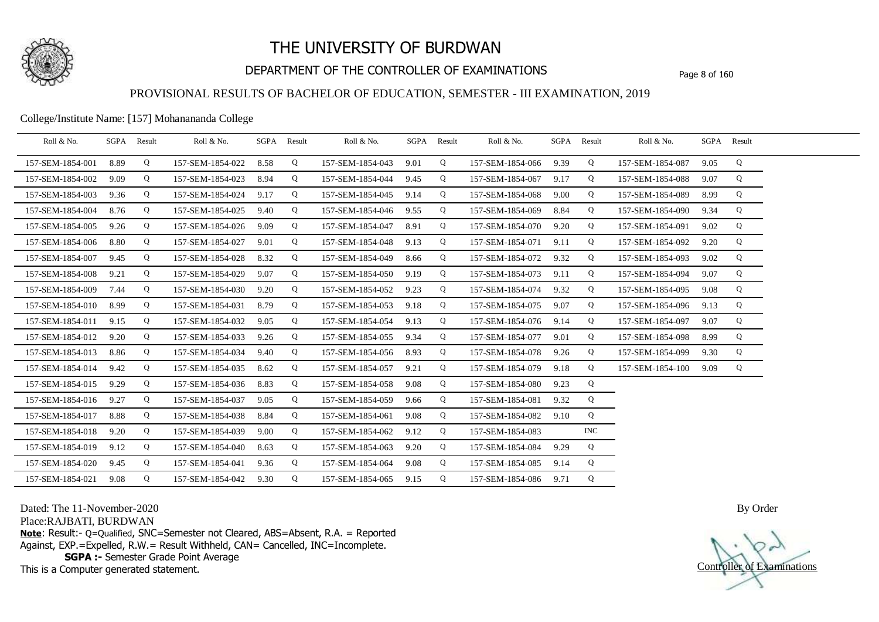

## DEPARTMENT OF THE CONTROLLER OF EXAMINATIONS Page 8 of 160

### PROVISIONAL RESULTS OF BACHELOR OF EDUCATION, SEMESTER - III EXAMINATION, 2019

College/Institute Name: [157] Mohanananda College

| Roll & No.       | SGPA Result |   | Roll & No.       |      | SGPA Result | Roll & No.            | SGPA Result |   | Roll & No.       | SGPA Result |            | Roll & No.       |      | SGPA Result |  |
|------------------|-------------|---|------------------|------|-------------|-----------------------|-------------|---|------------------|-------------|------------|------------------|------|-------------|--|
| 157-SEM-1854-001 | 8.89        | Q | 157-SEM-1854-022 | 8.58 | Q           | 157-SEM-1854-043      | 9.01        | Q | 157-SEM-1854-066 | 9.39        | Q          | 157-SEM-1854-087 | 9.05 | Q           |  |
| 157-SEM-1854-002 | 9.09        | Q | 157-SEM-1854-023 | 8.94 | Q           | 157-SEM-1854-044      | 9.45        | Q | 157-SEM-1854-067 | 9.17        | Q          | 157-SEM-1854-088 | 9.07 | Q           |  |
| 157-SEM-1854-003 | 9.36        | Q | 157-SEM-1854-024 | 9.17 | Q           | 157-SEM-1854-045      | 9.14        | Q | 157-SEM-1854-068 | 9.00        | Q          | 157-SEM-1854-089 | 8.99 | Q           |  |
| 157-SEM-1854-004 | 8.76        | Q | 157-SEM-1854-025 | 9.40 | Q           | 157-SEM-1854-046      | 9.55        | Q | 157-SEM-1854-069 | 8.84        | Q          | 157-SEM-1854-090 | 9.34 | Q           |  |
| 157-SEM-1854-005 | 9.26        | Q | 157-SEM-1854-026 | 9.09 | Q           | 157-SEM-1854-047      | 8.91        | Q | 157-SEM-1854-070 | 9.20        | Q          | 157-SEM-1854-091 | 9.02 | Q           |  |
| 157-SEM-1854-006 | 8.80        | Q | 157-SEM-1854-027 | 9.01 | Q           | 157-SEM-1854-048      | 9.13        | Q | 157-SEM-1854-071 | 9.11        | Q          | 157-SEM-1854-092 | 9.20 | Q           |  |
| 157-SEM-1854-007 | 9.45        | Q | 157-SEM-1854-028 | 8.32 | Q           | 157-SEM-1854-049      | 8.66        | Q | 157-SEM-1854-072 | 9.32        | Q          | 157-SEM-1854-093 | 9.02 | Q           |  |
| 157-SEM-1854-008 | 9.21        | Q | 157-SEM-1854-029 | 9.07 | Q           | 157-SEM-1854-050      | 9.19        | Q | 157-SEM-1854-073 | 9.11        | Q          | 157-SEM-1854-094 | 9.07 | Q           |  |
| 157-SEM-1854-009 | 7.44        | Q | 157-SEM-1854-030 | 9.20 | Q           | 157-SEM-1854-052      | 9.23        | Q | 157-SEM-1854-074 | 9.32        | Q          | 157-SEM-1854-095 | 9.08 | Q           |  |
| 157-SEM-1854-010 | 8.99        | Q | 157-SEM-1854-031 | 8.79 | Q           | 157-SEM-1854-053      | 9.18        | Q | 157-SEM-1854-075 | 9.07        | Q          | 157-SEM-1854-096 | 9.13 | Q           |  |
| 157-SEM-1854-011 | 9.15        | Q | 157-SEM-1854-032 | 9.05 | Q           | 157-SEM-1854-054      | 9.13        | Q | 157-SEM-1854-076 | 9.14        | Q          | 157-SEM-1854-097 | 9.07 | Q           |  |
| 157-SEM-1854-012 | 9.20        | Q | 157-SEM-1854-033 | 9.26 | Q           | 157-SEM-1854-055      | 9.34        | Q | 157-SEM-1854-077 | 9.01        | Q          | 157-SEM-1854-098 | 8.99 | Q           |  |
| 157-SEM-1854-013 | 8.86        | Q | 157-SEM-1854-034 | 9.40 | Q           | 157-SEM-1854-056      | 8.93        | Q | 157-SEM-1854-078 | 9.26        | Q          | 157-SEM-1854-099 | 9.30 | Q           |  |
| 157-SEM-1854-014 | 9.42        | Q | 157-SEM-1854-035 | 8.62 | Q           | 157-SEM-1854-057      | 9.21        | Q | 157-SEM-1854-079 | 9.18        | Q          | 157-SEM-1854-100 | 9.09 | Q           |  |
| 157-SEM-1854-015 | 9.29        | Q | 157-SEM-1854-036 | 8.83 | Q           | 157-SEM-1854-058      | 9.08        | Q | 157-SEM-1854-080 | 9.23        | Q          |                  |      |             |  |
| 157-SEM-1854-016 | 9.27        | Q | 157-SEM-1854-037 | 9.05 | Q           | 157-SEM-1854-059      | 9.66        | Q | 157-SEM-1854-081 | 9.32        | Q          |                  |      |             |  |
| 157-SEM-1854-017 | 8.88        | Q | 157-SEM-1854-038 | 8.84 | Q           | 157-SEM-1854-061      | 9.08        | Q | 157-SEM-1854-082 | 9.10        | Q          |                  |      |             |  |
| 157-SEM-1854-018 | 9.20        | Q | 157-SEM-1854-039 | 9.00 | Q           | 157-SEM-1854-062      | 9.12        | Q | 157-SEM-1854-083 |             | <b>INC</b> |                  |      |             |  |
| 157-SEM-1854-019 | 9.12        | Q | 157-SEM-1854-040 | 8.63 | Q           | 157-SEM-1854-063      | 9.20        | Q | 157-SEM-1854-084 | 9.29        | Q          |                  |      |             |  |
| 157-SEM-1854-020 | 9.45        | Q | 157-SEM-1854-041 | 9.36 | Q           | 157-SEM-1854-064      | 9.08        | Q | 157-SEM-1854-085 | 9.14        | Q          |                  |      |             |  |
| 157-SEM-1854-021 | 9.08        | Q | 157-SEM-1854-042 | 9.30 | Q           | 157-SEM-1854-065 9.15 |             | Q | 157-SEM-1854-086 | 9.71        | Q          |                  |      |             |  |

Dated: The 11-November-2020

Place:RAJBATI, BURDWAN

**Note**: Result:- Q=Qualified, SNC=Semester not Cleared, ABS=Absent, R.A. = Reported Against, EXP.=Expelled, R.W.= Result Withheld, CAN= Cancelled, INC=Incomplete. **SGPA :-** Semester Grade Point Average

This is a Computer generated statement.

Controller of Examinations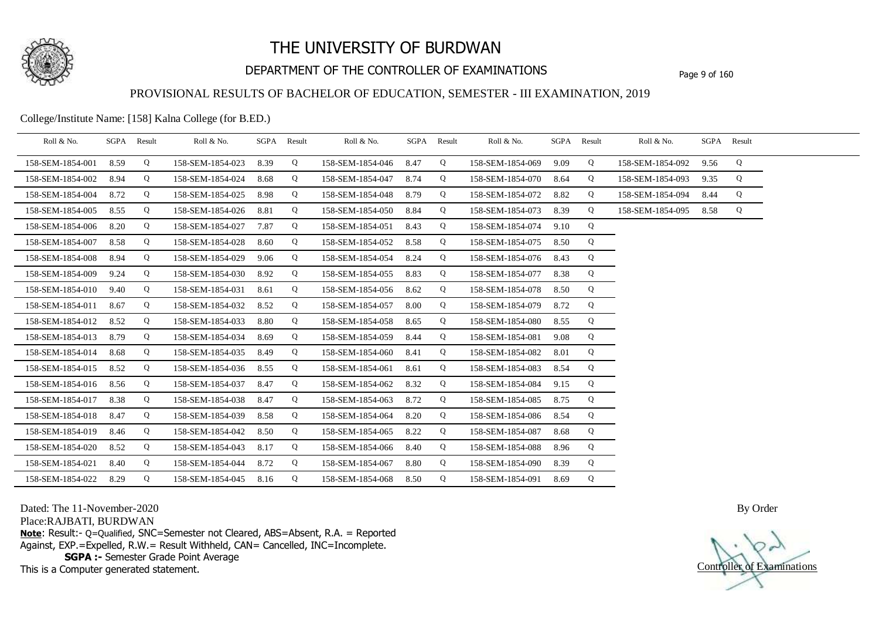

## DEPARTMENT OF THE CONTROLLER OF EXAMINATIONS Page 9 of 160

### PROVISIONAL RESULTS OF BACHELOR OF EDUCATION, SEMESTER - III EXAMINATION, 2019

College/Institute Name: [158] Kalna College (for B.ED.)

| Roll & No.       | SGPA | Result | Roll & No.       |      | SGPA Result | Roll & No.       |      | SGPA Result | Roll & No.       |      | SGPA Result | Roll & No.       |      | SGPA Result |  |
|------------------|------|--------|------------------|------|-------------|------------------|------|-------------|------------------|------|-------------|------------------|------|-------------|--|
| 158-SEM-1854-001 | 8.59 | Q      | 158-SEM-1854-023 | 8.39 | Q           | 158-SEM-1854-046 | 8.47 | Q           | 158-SEM-1854-069 | 9.09 | Q           | 158-SEM-1854-092 | 9.56 | Q           |  |
| 158-SEM-1854-002 | 8.94 | Q      | 158-SEM-1854-024 | 8.68 | Q           | 158-SEM-1854-047 | 8.74 | Q           | 158-SEM-1854-070 | 8.64 | Q           | 158-SEM-1854-093 | 9.35 | Q           |  |
| 158-SEM-1854-004 | 8.72 | Q      | 158-SEM-1854-025 | 8.98 | Q           | 158-SEM-1854-048 | 8.79 | Q           | 158-SEM-1854-072 | 8.82 | Q           | 158-SEM-1854-094 | 8.44 | Q           |  |
| 158-SEM-1854-005 | 8.55 | Q      | 158-SEM-1854-026 | 8.81 | Q           | 158-SEM-1854-050 | 8.84 | Q           | 158-SEM-1854-073 | 8.39 | Q           | 158-SEM-1854-095 | 8.58 | Q           |  |
| 158-SEM-1854-006 | 8.20 | Q      | 158-SEM-1854-027 | 7.87 | Q           | 158-SEM-1854-051 | 8.43 | Q           | 158-SEM-1854-074 | 9.10 | Q           |                  |      |             |  |
| 158-SEM-1854-007 | 8.58 | Q      | 158-SEM-1854-028 | 8.60 | Q           | 158-SEM-1854-052 | 8.58 | Q           | 158-SEM-1854-075 | 8.50 | Q           |                  |      |             |  |
| 158-SEM-1854-008 | 8.94 | Q      | 158-SEM-1854-029 | 9.06 | Q           | 158-SEM-1854-054 | 8.24 | Q           | 158-SEM-1854-076 | 8.43 | Q           |                  |      |             |  |
| 158-SEM-1854-009 | 9.24 | Q      | 158-SEM-1854-030 | 8.92 | Q           | 158-SEM-1854-055 | 8.83 | Q           | 158-SEM-1854-077 | 8.38 | Q           |                  |      |             |  |
| 158-SEM-1854-010 | 9.40 | Q      | 158-SEM-1854-031 | 8.61 | Q           | 158-SEM-1854-056 | 8.62 | Q           | 158-SEM-1854-078 | 8.50 | Q           |                  |      |             |  |
| 158-SEM-1854-011 | 8.67 | Q      | 158-SEM-1854-032 | 8.52 | Q           | 158-SEM-1854-057 | 8.00 | Q           | 158-SEM-1854-079 | 8.72 | Q           |                  |      |             |  |
| 158-SEM-1854-012 | 8.52 | Q      | 158-SEM-1854-033 | 8.80 | Q           | 158-SEM-1854-058 | 8.65 | Q           | 158-SEM-1854-080 | 8.55 | Q           |                  |      |             |  |
| 158-SEM-1854-013 | 8.79 | Q      | 158-SEM-1854-034 | 8.69 | Q           | 158-SEM-1854-059 | 8.44 | Q           | 158-SEM-1854-081 | 9.08 | Q           |                  |      |             |  |
| 158-SEM-1854-014 | 8.68 | Q      | 158-SEM-1854-035 | 8.49 | Q           | 158-SEM-1854-060 | 8.41 | Q           | 158-SEM-1854-082 | 8.01 | Q           |                  |      |             |  |
| 158-SEM-1854-015 | 8.52 | Q      | 158-SEM-1854-036 | 8.55 | Q           | 158-SEM-1854-061 | 8.61 | Q           | 158-SEM-1854-083 | 8.54 | Q           |                  |      |             |  |
| 158-SEM-1854-016 | 8.56 | Q      | 158-SEM-1854-037 | 8.47 | Q           | 158-SEM-1854-062 | 8.32 | Q           | 158-SEM-1854-084 | 9.15 | Q           |                  |      |             |  |
| 158-SEM-1854-017 | 8.38 | Q      | 158-SEM-1854-038 | 8.47 | Q           | 158-SEM-1854-063 | 8.72 | Q           | 158-SEM-1854-085 | 8.75 | Q           |                  |      |             |  |
| 158-SEM-1854-018 | 8.47 | Q      | 158-SEM-1854-039 | 8.58 | Q           | 158-SEM-1854-064 | 8.20 | Q           | 158-SEM-1854-086 | 8.54 | Q           |                  |      |             |  |
| 158-SEM-1854-019 | 8.46 | Q      | 158-SEM-1854-042 | 8.50 | Q           | 158-SEM-1854-065 | 8.22 | Q           | 158-SEM-1854-087 | 8.68 | Q           |                  |      |             |  |
| 158-SEM-1854-020 | 8.52 | Q      | 158-SEM-1854-043 | 8.17 | Q           | 158-SEM-1854-066 | 8.40 | Q           | 158-SEM-1854-088 | 8.96 | Q           |                  |      |             |  |
| 158-SEM-1854-021 | 8.40 | Q      | 158-SEM-1854-044 | 8.72 | Q           | 158-SEM-1854-067 | 8.80 | Q           | 158-SEM-1854-090 | 8.39 | Q           |                  |      |             |  |
| 158-SEM-1854-022 | 8.29 | Q      | 158-SEM-1854-045 | 8.16 | Q           | 158-SEM-1854-068 | 8.50 | Q           | 158-SEM-1854-091 | 8.69 | Q           |                  |      |             |  |

Dated: The 11-November-2020

Place:RAJBATI, BURDWAN

**Note**: Result:- Q=Qualified, SNC=Semester not Cleared, ABS=Absent, R.A. = Reported Against, EXP.=Expelled, R.W.= Result Withheld, CAN= Cancelled, INC=Incomplete. **SGPA :-** Semester Grade Point Average

This is a Computer generated statement.

Controller of Examinations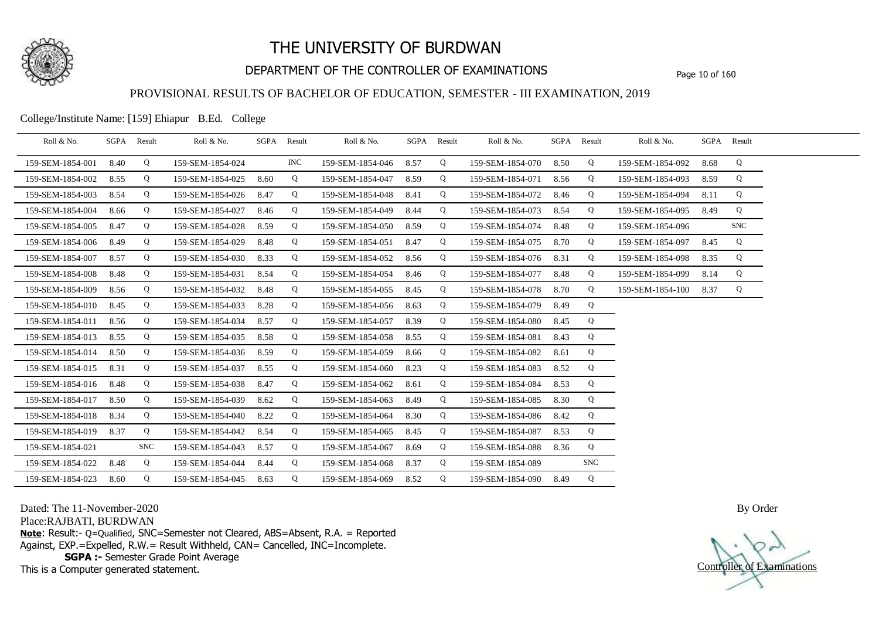

## DEPARTMENT OF THE CONTROLLER OF EXAMINATIONS Page 10 of 160

### PROVISIONAL RESULTS OF BACHELOR OF EDUCATION, SEMESTER - III EXAMINATION, 2019

College/Institute Name: [159] Ehiapur B.Ed. College

| Roll & No.       |      | SGPA Result | Roll & No.       |      | SGPA Result | Roll & No.       |      | SGPA Result | Roll & No.       |      | SGPA Result | Roll & No.       |      | SGPA Result |  |
|------------------|------|-------------|------------------|------|-------------|------------------|------|-------------|------------------|------|-------------|------------------|------|-------------|--|
| 159-SEM-1854-001 | 8.40 | Q           | 159-SEM-1854-024 |      | INC.        | 159-SEM-1854-046 | 8.57 | Q           | 159-SEM-1854-070 | 8.50 | Q           | 159-SEM-1854-092 | 8.68 | Q           |  |
| 159-SEM-1854-002 | 8.55 | Q           | 159-SEM-1854-025 | 8.60 | Q           | 159-SEM-1854-047 | 8.59 | Q           | 159-SEM-1854-071 | 8.56 | Q           | 159-SEM-1854-093 | 8.59 | Q           |  |
| 159-SEM-1854-003 | 8.54 | Q           | 159-SEM-1854-026 | 8.47 | Q           | 159-SEM-1854-048 | 8.41 | Q           | 159-SEM-1854-072 | 8.46 | Q           | 159-SEM-1854-094 | 8.11 | Q           |  |
| 159-SEM-1854-004 | 8.66 | Q           | 159-SEM-1854-027 | 8.46 | Q           | 159-SEM-1854-049 | 8.44 | Q           | 159-SEM-1854-073 | 8.54 | Q           | 159-SEM-1854-095 | 8.49 | Q           |  |
| 159-SEM-1854-005 | 8.47 | Q           | 159-SEM-1854-028 | 8.59 | Q           | 159-SEM-1854-050 | 8.59 | Q           | 159-SEM-1854-074 | 8.48 | Q           | 159-SEM-1854-096 |      | <b>SNC</b>  |  |
| 159-SEM-1854-006 | 8.49 | Q           | 159-SEM-1854-029 | 8.48 | Q           | 159-SEM-1854-051 | 8.47 | Q           | 159-SEM-1854-075 | 8.70 | Q           | 159-SEM-1854-097 | 8.45 | Q           |  |
| 159-SEM-1854-007 | 8.57 | Q           | 159-SEM-1854-030 | 8.33 | Q           | 159-SEM-1854-052 | 8.56 | Q           | 159-SEM-1854-076 | 8.31 | Q           | 159-SEM-1854-098 | 8.35 | Q           |  |
| 159-SEM-1854-008 | 8.48 | Q           | 159-SEM-1854-031 | 8.54 | Q           | 159-SEM-1854-054 | 8.46 | Q           | 159-SEM-1854-077 | 8.48 | Q           | 159-SEM-1854-099 | 8.14 | Q           |  |
| 159-SEM-1854-009 | 8.56 | Q           | 159-SEM-1854-032 | 8.48 | Q           | 159-SEM-1854-055 | 8.45 | Q           | 159-SEM-1854-078 | 8.70 | Q           | 159-SEM-1854-100 | 8.37 | Q           |  |
| 159-SEM-1854-010 | 8.45 | Q           | 159-SEM-1854-033 | 8.28 | Q           | 159-SEM-1854-056 | 8.63 | Q           | 159-SEM-1854-079 | 8.49 | Q           |                  |      |             |  |
| 159-SEM-1854-011 | 8.56 | Q           | 159-SEM-1854-034 | 8.57 | Q           | 159-SEM-1854-057 | 8.39 | Q           | 159-SEM-1854-080 | 8.45 | Q           |                  |      |             |  |
| 159-SEM-1854-013 | 8.55 | Q           | 159-SEM-1854-035 | 8.58 | Q           | 159-SEM-1854-058 | 8.55 | Q           | 159-SEM-1854-081 | 8.43 | Q           |                  |      |             |  |
| 159-SEM-1854-014 | 8.50 | Q           | 159-SEM-1854-036 | 8.59 | Q           | 159-SEM-1854-059 | 8.66 | Q           | 159-SEM-1854-082 | 8.61 | Q           |                  |      |             |  |
| 159-SEM-1854-015 | 8.31 | Q           | 159-SEM-1854-037 | 8.55 | Q           | 159-SEM-1854-060 | 8.23 | Q           | 159-SEM-1854-083 | 8.52 | Q           |                  |      |             |  |
| 159-SEM-1854-016 | 8.48 | Q           | 159-SEM-1854-038 | 8.47 | Q           | 159-SEM-1854-062 | 8.61 | Q           | 159-SEM-1854-084 | 8.53 | Q           |                  |      |             |  |
| 159-SEM-1854-017 | 8.50 | Q           | 159-SEM-1854-039 | 8.62 | Q           | 159-SEM-1854-063 | 8.49 | Q           | 159-SEM-1854-085 | 8.30 | Q           |                  |      |             |  |
| 159-SEM-1854-018 | 8.34 | Q           | 159-SEM-1854-040 | 8.22 | Q           | 159-SEM-1854-064 | 8.30 | Q           | 159-SEM-1854-086 | 8.42 | Q           |                  |      |             |  |
| 159-SEM-1854-019 | 8.37 | Q           | 159-SEM-1854-042 | 8.54 | Q           | 159-SEM-1854-065 | 8.45 | Q           | 159-SEM-1854-087 | 8.53 | Q           |                  |      |             |  |
| 159-SEM-1854-021 |      | <b>SNC</b>  | 159-SEM-1854-043 | 8.57 | Q           | 159-SEM-1854-067 | 8.69 | Q           | 159-SEM-1854-088 | 8.36 | Q           |                  |      |             |  |
| 159-SEM-1854-022 | 8.48 | Q           | 159-SEM-1854-044 | 8.44 | Q           | 159-SEM-1854-068 | 8.37 | Q           | 159-SEM-1854-089 |      | <b>SNC</b>  |                  |      |             |  |
| 159-SEM-1854-023 | 8.60 | Q           | 159-SEM-1854-045 | 8.63 | Q           | 159-SEM-1854-069 | 8.52 | Q           | 159-SEM-1854-090 | 8.49 | Q           |                  |      |             |  |

Dated: The 11-November-2020

Place:RAJBATI, BURDWAN

**Note**: Result:- Q=Qualified, SNC=Semester not Cleared, ABS=Absent, R.A. = Reported Against, EXP.=Expelled, R.W.= Result Withheld, CAN= Cancelled, INC=Incomplete. **SGPA :-** Semester Grade Point Average

This is a Computer generated statement.

Controller of Examinations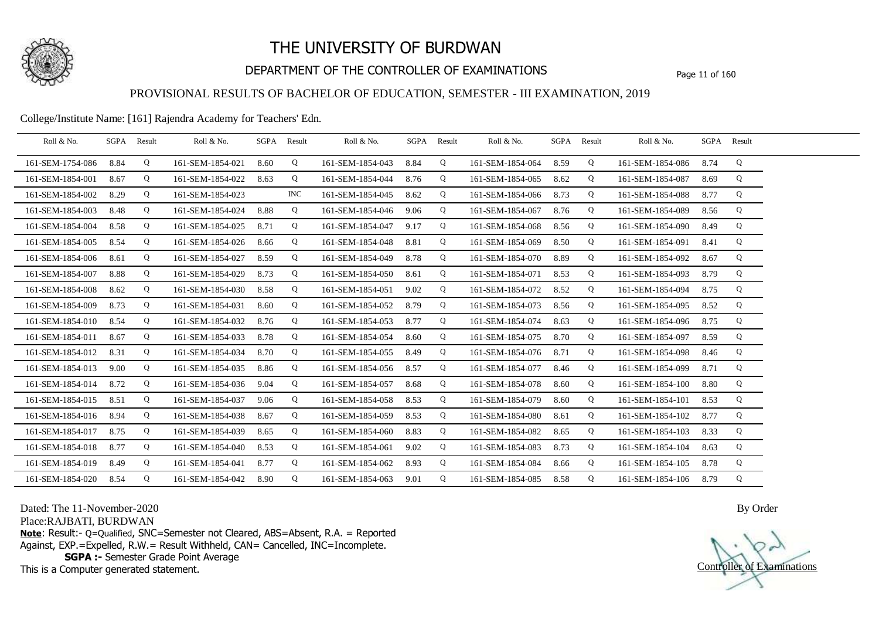

## DEPARTMENT OF THE CONTROLLER OF EXAMINATIONS Page 11 of 160

### PROVISIONAL RESULTS OF BACHELOR OF EDUCATION, SEMESTER - III EXAMINATION, 2019

College/Institute Name: [161] Rajendra Academy for Teachers' Edn.

| Roll & No.       | SGPA | Result | Roll & No.       |      | SGPA Result | Roll & No.       |      | SGPA Result | Roll & No.       | SGPA Result |   | Roll & No.            | SGPA Result |   |  |
|------------------|------|--------|------------------|------|-------------|------------------|------|-------------|------------------|-------------|---|-----------------------|-------------|---|--|
| 161-SEM-1754-086 | 8.84 | Q      | 161-SEM-1854-021 | 8.60 | Q           | 161-SEM-1854-043 | 8.84 | Q           | 161-SEM-1854-064 | 8.59        | Q | 161-SEM-1854-086 8.74 |             | Q |  |
| 161-SEM-1854-001 | 8.67 | Q      | 161-SEM-1854-022 | 8.63 | Q           | 161-SEM-1854-044 | 8.76 | Q           | 161-SEM-1854-065 | 8.62        | Q | 161-SEM-1854-087      | 8.69        | Q |  |
| 161-SEM-1854-002 | 8.29 | Q      | 161-SEM-1854-023 |      | <b>INC</b>  | 161-SEM-1854-045 | 8.62 | Q           | 161-SEM-1854-066 | 8.73        | Q | 161-SEM-1854-088      | 8.77        | Q |  |
| 161-SEM-1854-003 | 8.48 | Q      | 161-SEM-1854-024 | 8.88 | Q           | 161-SEM-1854-046 | 9.06 | Q           | 161-SEM-1854-067 | 8.76        | Q | 161-SEM-1854-089      | 8.56        | Q |  |
| 161-SEM-1854-004 | 8.58 | Q      | 161-SEM-1854-025 | 8.71 | Q           | 161-SEM-1854-047 | 9.17 | Q           | 161-SEM-1854-068 | 8.56        | Q | 161-SEM-1854-090      | 8.49        | Q |  |
| 161-SEM-1854-005 | 8.54 | Q      | 161-SEM-1854-026 | 8.66 | Q           | 161-SEM-1854-048 | 8.81 | Q           | 161-SEM-1854-069 | 8.50        | Q | 161-SEM-1854-091      | 8.41        | Q |  |
| 161-SEM-1854-006 | 8.61 | Q      | 161-SEM-1854-027 | 8.59 | Q           | 161-SEM-1854-049 | 8.78 | Q           | 161-SEM-1854-070 | 8.89        | Q | 161-SEM-1854-092      | 8.67        | Q |  |
| 161-SEM-1854-007 | 8.88 | Q      | 161-SEM-1854-029 | 8.73 | Q           | 161-SEM-1854-050 | 8.61 | Q           | 161-SEM-1854-071 | 8.53        | Q | 161-SEM-1854-093      | 8.79        | Q |  |
| 161-SEM-1854-008 | 8.62 | Q      | 161-SEM-1854-030 | 8.58 | Q           | 161-SEM-1854-051 | 9.02 | Q           | 161-SEM-1854-072 | 8.52        | Q | 161-SEM-1854-094      | 8.75        | Q |  |
| 161-SEM-1854-009 | 8.73 | Q      | 161-SEM-1854-031 | 8.60 | Q           | 161-SEM-1854-052 | 8.79 | Q           | 161-SEM-1854-073 | 8.56        | Q | 161-SEM-1854-095      | 8.52        | Q |  |
| 161-SEM-1854-010 | 8.54 | Q      | 161-SEM-1854-032 | 8.76 | Q           | 161-SEM-1854-053 | 8.77 | Q           | 161-SEM-1854-074 | 8.63        | Q | 161-SEM-1854-096      | 8.75        | Q |  |
| 161-SEM-1854-011 | 8.67 | Q      | 161-SEM-1854-033 | 8.78 | Q           | 161-SEM-1854-054 | 8.60 | Q           | 161-SEM-1854-075 | 8.70        | Q | 161-SEM-1854-097      | 8.59        | Q |  |
| 161-SEM-1854-012 | 8.31 | Q      | 161-SEM-1854-034 | 8.70 | Q           | 161-SEM-1854-055 | 8.49 | Q           | 161-SEM-1854-076 | 8.71        | Q | 161-SEM-1854-098      | 8.46        | Q |  |
| 161-SEM-1854-013 | 9.00 | Q      | 161-SEM-1854-035 | 8.86 | Q           | 161-SEM-1854-056 | 8.57 | Q           | 161-SEM-1854-077 | 8.46        | Q | 161-SEM-1854-099      | 8.71        | Q |  |
| 161-SEM-1854-014 | 8.72 | Q      | 161-SEM-1854-036 | 9.04 | Q           | 161-SEM-1854-057 | 8.68 | Q           | 161-SEM-1854-078 | 8.60        | Q | 161-SEM-1854-100      | 8.80        | Q |  |
| 161-SEM-1854-015 | 8.51 | Q      | 161-SEM-1854-037 | 9.06 | Q           | 161-SEM-1854-058 | 8.53 | Q           | 161-SEM-1854-079 | 8.60        | Q | 161-SEM-1854-101      | 8.53        | Q |  |
| 161-SEM-1854-016 | 8.94 | Q      | 161-SEM-1854-038 | 8.67 | Q           | 161-SEM-1854-059 | 8.53 | Q           | 161-SEM-1854-080 | 8.61        | Q | 161-SEM-1854-102      | 8.77        | Q |  |
| 161-SEM-1854-017 | 8.75 | Q      | 161-SEM-1854-039 | 8.65 | Q           | 161-SEM-1854-060 | 8.83 | Q           | 161-SEM-1854-082 | 8.65        | Q | 161-SEM-1854-103      | 8.33        | Q |  |
| 161-SEM-1854-018 | 8.77 | Q      | 161-SEM-1854-040 | 8.53 | Q           | 161-SEM-1854-061 | 9.02 | Q           | 161-SEM-1854-083 | 8.73        | Q | 161-SEM-1854-104      | 8.63        | Q |  |
| 161-SEM-1854-019 | 8.49 | Q      | 161-SEM-1854-041 | 8.77 | Q           | 161-SEM-1854-062 | 8.93 | Q           | 161-SEM-1854-084 | 8.66        | Q | 161-SEM-1854-105      | 8.78        | Q |  |
| 161-SEM-1854-020 | 8.54 | Q      | 161-SEM-1854-042 | 8.90 | Q           | 161-SEM-1854-063 | 9.01 | Q           | 161-SEM-1854-085 | 8.58        | Q | 161-SEM-1854-106 8.79 |             | Q |  |

Dated: The 11-November-2020

Place:RAJBATI, BURDWAN

**Note**: Result:- Q=Qualified, SNC=Semester not Cleared, ABS=Absent, R.A. = Reported Against, EXP.=Expelled, R.W.= Result Withheld, CAN= Cancelled, INC=Incomplete. **SGPA :-** Semester Grade Point Average

This is a Computer generated statement.



Controller of Examinations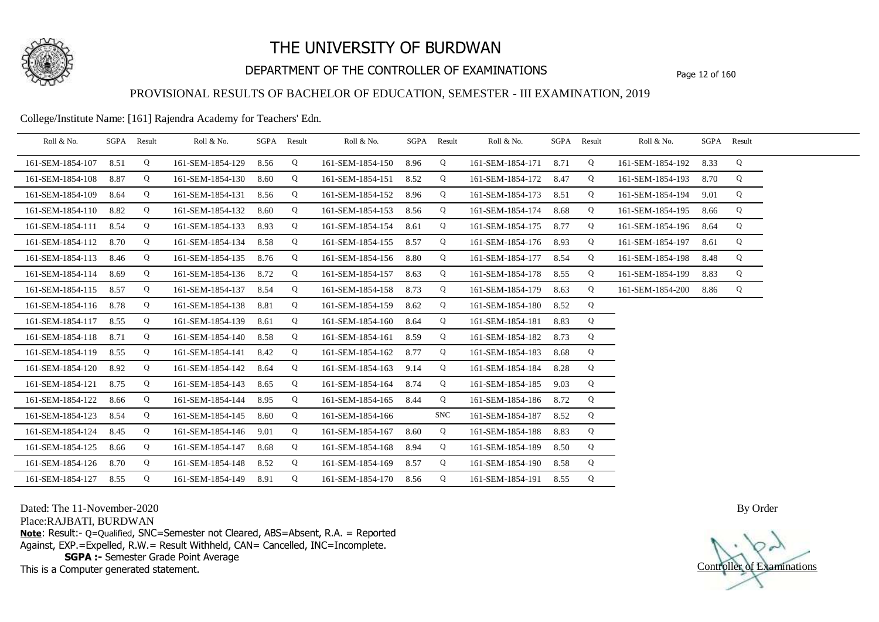

## DEPARTMENT OF THE CONTROLLER OF EXAMINATIONS Page 12 of 160

### PROVISIONAL RESULTS OF BACHELOR OF EDUCATION, SEMESTER - III EXAMINATION, 2019

College/Institute Name: [161] Rajendra Academy for Teachers' Edn.

| Roll & No.       |      | SGPA Result | Roll & No.       | SGPA Result |   | Roll & No.       |      | SGPA Result | Roll & No.       |      | SGPA Result | Roll & No.       |      | SGPA Result |  |
|------------------|------|-------------|------------------|-------------|---|------------------|------|-------------|------------------|------|-------------|------------------|------|-------------|--|
| 161-SEM-1854-107 | 8.51 | Q           | 161-SEM-1854-129 | 8.56        | Q | 161-SEM-1854-150 | 8.96 | Q           | 161-SEM-1854-171 | 8.71 | Q           | 161-SEM-1854-192 | 8.33 | Q           |  |
| 161-SEM-1854-108 | 8.87 | Q           | 161-SEM-1854-130 | 8.60        | Q | 161-SEM-1854-151 | 8.52 | Q           | 161-SEM-1854-172 | 8.47 | Q           | 161-SEM-1854-193 | 8.70 | Q           |  |
| 161-SEM-1854-109 | 8.64 | Q           | 161-SEM-1854-131 | 8.56        | Q | 161-SEM-1854-152 | 8.96 | Q           | 161-SEM-1854-173 | 8.51 | Q           | 161-SEM-1854-194 | 9.01 | Q           |  |
| 161-SEM-1854-110 | 8.82 | Q           | 161-SEM-1854-132 | 8.60        | Q | 161-SEM-1854-153 | 8.56 | Q           | 161-SEM-1854-174 | 8.68 | Q           | 161-SEM-1854-195 | 8.66 | Q           |  |
| 161-SEM-1854-111 | 8.54 | Q           | 161-SEM-1854-133 | 8.93        | Q | 161-SEM-1854-154 | 8.61 | Q           | 161-SEM-1854-175 | 8.77 | Q           | 161-SEM-1854-196 | 8.64 | Q           |  |
| 161-SEM-1854-112 | 8.70 | Q           | 161-SEM-1854-134 | 8.58        | Q | 161-SEM-1854-155 | 8.57 | Q           | 161-SEM-1854-176 | 8.93 | Q           | 161-SEM-1854-197 | 8.61 | Q           |  |
| 161-SEM-1854-113 | 8.46 | Q           | 161-SEM-1854-135 | 8.76        | Q | 161-SEM-1854-156 | 8.80 | Q           | 161-SEM-1854-177 | 8.54 | Q           | 161-SEM-1854-198 | 8.48 | Q           |  |
| 161-SEM-1854-114 | 8.69 | Q           | 161-SEM-1854-136 | 8.72        | Q | 161-SEM-1854-157 | 8.63 | Q           | 161-SEM-1854-178 | 8.55 | Q           | 161-SEM-1854-199 | 8.83 | Q           |  |
| 161-SEM-1854-115 | 8.57 | Q           | 161-SEM-1854-137 | 8.54        | Q | 161-SEM-1854-158 | 8.73 | Q           | 161-SEM-1854-179 | 8.63 | Q           | 161-SEM-1854-200 | 8.86 | Q           |  |
| 161-SEM-1854-116 | 8.78 | Q           | 161-SEM-1854-138 | 8.81        | Q | 161-SEM-1854-159 | 8.62 | Q           | 161-SEM-1854-180 | 8.52 | Q           |                  |      |             |  |
| 161-SEM-1854-117 | 8.55 | Q           | 161-SEM-1854-139 | 8.61        | Q | 161-SEM-1854-160 | 8.64 | Q           | 161-SEM-1854-181 | 8.83 | Q           |                  |      |             |  |
| 161-SEM-1854-118 | 8.71 | Q           | 161-SEM-1854-140 | 8.58        | Q | 161-SEM-1854-161 | 8.59 | Q           | 161-SEM-1854-182 | 8.73 | Q           |                  |      |             |  |
| 161-SEM-1854-119 | 8.55 | Q           | 161-SEM-1854-141 | 8.42        | Q | 161-SEM-1854-162 | 8.77 | Q           | 161-SEM-1854-183 | 8.68 | Q           |                  |      |             |  |
| 161-SEM-1854-120 | 8.92 | Q           | 161-SEM-1854-142 | 8.64        | Q | 161-SEM-1854-163 | 9.14 | Q           | 161-SEM-1854-184 | 8.28 | Q           |                  |      |             |  |
| 161-SEM-1854-121 | 8.75 | Q           | 161-SEM-1854-143 | 8.65        | Q | 161-SEM-1854-164 | 8.74 | Q           | 161-SEM-1854-185 | 9.03 | Q           |                  |      |             |  |
| 161-SEM-1854-122 | 8.66 | Q           | 161-SEM-1854-144 | 8.95        | Q | 161-SEM-1854-165 | 8.44 | Q           | 161-SEM-1854-186 | 8.72 | Q           |                  |      |             |  |
| 161-SEM-1854-123 | 8.54 | Q           | 161-SEM-1854-145 | 8.60        | Q | 161-SEM-1854-166 |      | SNC         | 161-SEM-1854-187 | 8.52 | Q           |                  |      |             |  |
| 161-SEM-1854-124 | 8.45 | Q           | 161-SEM-1854-146 | 9.01        | Q | 161-SEM-1854-167 | 8.60 | Q           | 161-SEM-1854-188 | 8.83 | Q           |                  |      |             |  |
| 161-SEM-1854-125 | 8.66 | Q           | 161-SEM-1854-147 | 8.68        | Q | 161-SEM-1854-168 | 8.94 | Q           | 161-SEM-1854-189 | 8.50 | Q           |                  |      |             |  |
| 161-SEM-1854-126 | 8.70 | Q           | 161-SEM-1854-148 | 8.52        | Q | 161-SEM-1854-169 | 8.57 | Q           | 161-SEM-1854-190 | 8.58 | Q           |                  |      |             |  |
| 161-SEM-1854-127 | 8.55 | Q           | 161-SEM-1854-149 | 8.91        | Q | 161-SEM-1854-170 | 8.56 | Q           | 161-SEM-1854-191 | 8.55 | Q           |                  |      |             |  |

Dated: The 11-November-2020

Place:RAJBATI, BURDWAN

**Note**: Result:- Q=Qualified, SNC=Semester not Cleared, ABS=Absent, R.A. = Reported Against, EXP.=Expelled, R.W.= Result Withheld, CAN= Cancelled, INC=Incomplete. **SGPA :-** Semester Grade Point Average

This is a Computer generated statement.

Controller of Examinations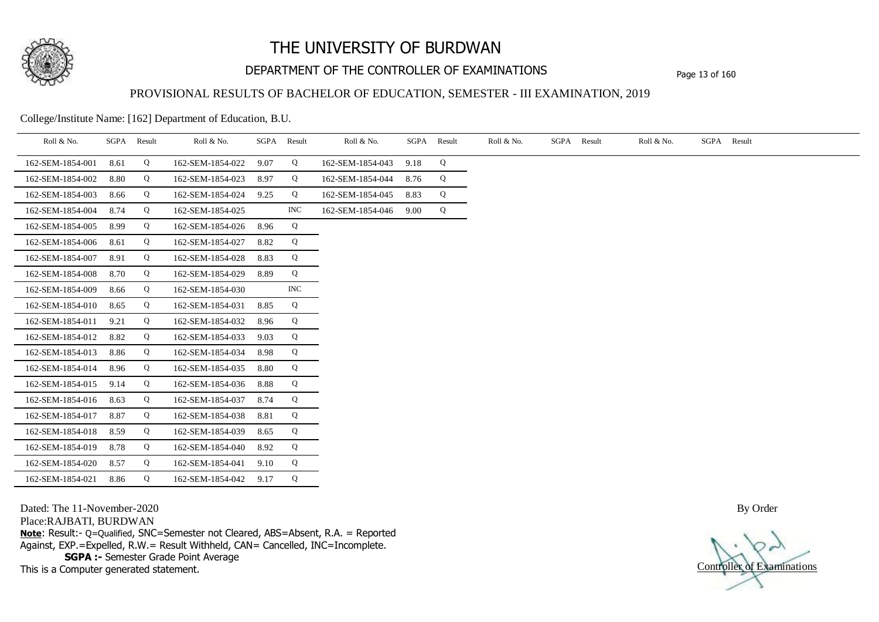

## DEPARTMENT OF THE CONTROLLER OF EXAMINATIONS Page 13 of 160

#### PROVISIONAL RESULTS OF BACHELOR OF EDUCATION, SEMESTER - III EXAMINATION, 2019

College/Institute Name: [162] Department of Education, B.U.

| Roll & No.       | SGPA | Result | Roll & No.       | SGPA | Result     | Roll & No.       | SGPA | Result | Roll & No. | SGPA | Result | Roll & No. | SGPA Result |  |
|------------------|------|--------|------------------|------|------------|------------------|------|--------|------------|------|--------|------------|-------------|--|
| 162-SEM-1854-001 | 8.61 | Q      | 162-SEM-1854-022 | 9.07 | Q          | 162-SEM-1854-043 | 9.18 | Q      |            |      |        |            |             |  |
| 162-SEM-1854-002 | 8.80 | Q      | 162-SEM-1854-023 | 8.97 | Q          | 162-SEM-1854-044 | 8.76 | Q      |            |      |        |            |             |  |
| 162-SEM-1854-003 | 8.66 | Q      | 162-SEM-1854-024 | 9.25 | Q          | 162-SEM-1854-045 | 8.83 | Q      |            |      |        |            |             |  |
| 162-SEM-1854-004 | 8.74 | Q      | 162-SEM-1854-025 |      | <b>INC</b> | 162-SEM-1854-046 | 9.00 | Q      |            |      |        |            |             |  |
| 162-SEM-1854-005 | 8.99 | Q      | 162-SEM-1854-026 | 8.96 | Q          |                  |      |        |            |      |        |            |             |  |
| 162-SEM-1854-006 | 8.61 | Q      | 162-SEM-1854-027 | 8.82 | Q          |                  |      |        |            |      |        |            |             |  |
| 162-SEM-1854-007 | 8.91 | Q      | 162-SEM-1854-028 | 8.83 | Q          |                  |      |        |            |      |        |            |             |  |
| 162-SEM-1854-008 | 8.70 | Q      | 162-SEM-1854-029 | 8.89 | Q          |                  |      |        |            |      |        |            |             |  |
| 162-SEM-1854-009 | 8.66 | Q      | 162-SEM-1854-030 |      | <b>INC</b> |                  |      |        |            |      |        |            |             |  |
| 162-SEM-1854-010 | 8.65 | Q      | 162-SEM-1854-031 | 8.85 | Q          |                  |      |        |            |      |        |            |             |  |
| 162-SEM-1854-011 | 9.21 | Q      | 162-SEM-1854-032 | 8.96 | Q          |                  |      |        |            |      |        |            |             |  |
| 162-SEM-1854-012 | 8.82 | Q      | 162-SEM-1854-033 | 9.03 | Q          |                  |      |        |            |      |        |            |             |  |
| 162-SEM-1854-013 | 8.86 | Q      | 162-SEM-1854-034 | 8.98 | Q          |                  |      |        |            |      |        |            |             |  |
| 162-SEM-1854-014 | 8.96 | Q      | 162-SEM-1854-035 | 8.80 | Q          |                  |      |        |            |      |        |            |             |  |
| 162-SEM-1854-015 | 9.14 | Q      | 162-SEM-1854-036 | 8.88 | Q          |                  |      |        |            |      |        |            |             |  |
| 162-SEM-1854-016 | 8.63 | Q      | 162-SEM-1854-037 | 8.74 | Q          |                  |      |        |            |      |        |            |             |  |
| 162-SEM-1854-017 | 8.87 | Q      | 162-SEM-1854-038 | 8.81 | Q          |                  |      |        |            |      |        |            |             |  |
| 162-SEM-1854-018 | 8.59 | Q      | 162-SEM-1854-039 | 8.65 | Q          |                  |      |        |            |      |        |            |             |  |
| 162-SEM-1854-019 | 8.78 | Q      | 162-SEM-1854-040 | 8.92 | Q          |                  |      |        |            |      |        |            |             |  |
| 162-SEM-1854-020 | 8.57 | Q      | 162-SEM-1854-041 | 9.10 | Q          |                  |      |        |            |      |        |            |             |  |
| 162-SEM-1854-021 | 8.86 | Q      | 162-SEM-1854-042 | 9.17 | Q          |                  |      |        |            |      |        |            |             |  |

Dated: The 11-November-2020

Place:RAJBATI, BURDWAN

**Note**: Result:- Q=Qualified, SNC=Semester not Cleared, ABS=Absent, R.A. = Reported Against, EXP.=Expelled, R.W.= Result Withheld, CAN= Cancelled, INC=Incomplete. **SGPA :-** Semester Grade Point Average

This is a Computer generated statement.

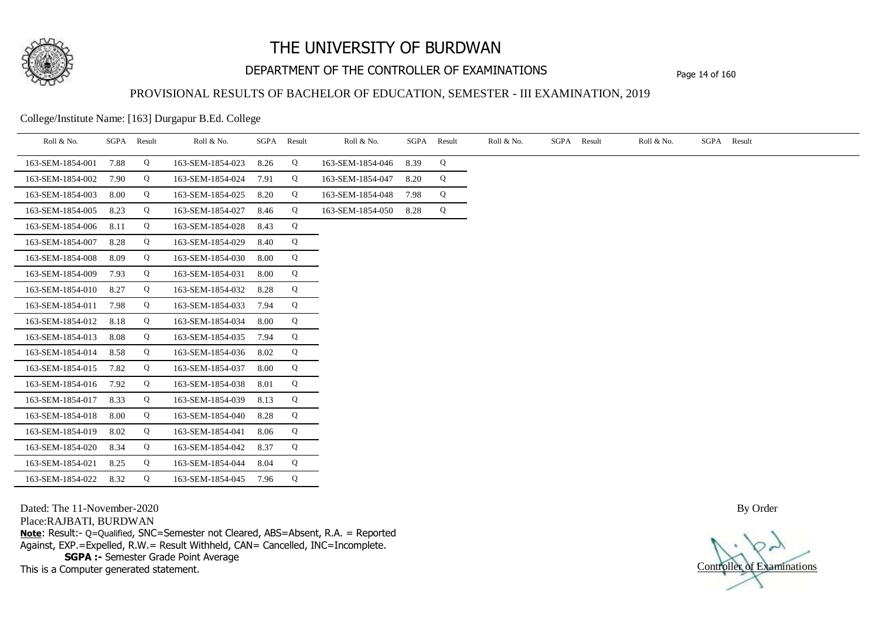

## DEPARTMENT OF THE CONTROLLER OF EXAMINATIONS Page 14 of 160

#### PROVISIONAL RESULTS OF BACHELOR OF EDUCATION, SEMESTER - III EXAMINATION, 2019

College/Institute Name: [163] Durgapur B.Ed. College

| Roll & No.       | SGPA | Result | Roll & No.       | SGPA | Result | Roll & No.       | SGPA | Result | Roll & No. | SGPA Result | Roll & No. | SGPA Result |
|------------------|------|--------|------------------|------|--------|------------------|------|--------|------------|-------------|------------|-------------|
| 163-SEM-1854-001 | 7.88 | Q      | 163-SEM-1854-023 | 8.26 | Q      | 163-SEM-1854-046 | 8.39 | Q      |            |             |            |             |
| 163-SEM-1854-002 | 7.90 | Q      | 163-SEM-1854-024 | 7.91 | Q      | 163-SEM-1854-047 | 8.20 | Q      |            |             |            |             |
| 163-SEM-1854-003 | 8.00 | Q      | 163-SEM-1854-025 | 8.20 | Q      | 163-SEM-1854-048 | 7.98 | Q      |            |             |            |             |
| 163-SEM-1854-005 | 8.23 | Q      | 163-SEM-1854-027 | 8.46 | Q      | 163-SEM-1854-050 | 8.28 | Q      |            |             |            |             |
| 163-SEM-1854-006 | 8.11 | Q      | 163-SEM-1854-028 | 8.43 | Q      |                  |      |        |            |             |            |             |
| 163-SEM-1854-007 | 8.28 | Q      | 163-SEM-1854-029 | 8.40 | Q      |                  |      |        |            |             |            |             |
| 163-SEM-1854-008 | 8.09 | Q      | 163-SEM-1854-030 | 8.00 | Q      |                  |      |        |            |             |            |             |
| 163-SEM-1854-009 | 7.93 | Q      | 163-SEM-1854-031 | 8.00 | Q      |                  |      |        |            |             |            |             |
| 163-SEM-1854-010 | 8.27 | Q      | 163-SEM-1854-032 | 8.28 | Q      |                  |      |        |            |             |            |             |
| 163-SEM-1854-011 | 7.98 | Q      | 163-SEM-1854-033 | 7.94 | Q      |                  |      |        |            |             |            |             |
| 163-SEM-1854-012 | 8.18 | Q      | 163-SEM-1854-034 | 8.00 | Q      |                  |      |        |            |             |            |             |
| 163-SEM-1854-013 | 8.08 | Q      | 163-SEM-1854-035 | 7.94 | Q      |                  |      |        |            |             |            |             |
| 163-SEM-1854-014 | 8.58 | Q      | 163-SEM-1854-036 | 8.02 | Q      |                  |      |        |            |             |            |             |
| 163-SEM-1854-015 | 7.82 | Q      | 163-SEM-1854-037 | 8.00 | Q      |                  |      |        |            |             |            |             |
| 163-SEM-1854-016 | 7.92 | Q      | 163-SEM-1854-038 | 8.01 | Q      |                  |      |        |            |             |            |             |
| 163-SEM-1854-017 | 8.33 | Q      | 163-SEM-1854-039 | 8.13 | Q      |                  |      |        |            |             |            |             |
| 163-SEM-1854-018 | 8.00 | Q      | 163-SEM-1854-040 | 8.28 | Q      |                  |      |        |            |             |            |             |
| 163-SEM-1854-019 | 8.02 | Q      | 163-SEM-1854-041 | 8.06 | Q      |                  |      |        |            |             |            |             |
| 163-SEM-1854-020 | 8.34 | Q      | 163-SEM-1854-042 | 8.37 | Q      |                  |      |        |            |             |            |             |
| 163-SEM-1854-021 | 8.25 | Q      | 163-SEM-1854-044 | 8.04 | Q      |                  |      |        |            |             |            |             |
| 163-SEM-1854-022 | 8.32 | Q      | 163-SEM-1854-045 | 7.96 | Q      |                  |      |        |            |             |            |             |

Dated: The 11-November-2020

Place:RAJBATI, BURDWAN

**Note**: Result:- Q=Qualified, SNC=Semester not Cleared, ABS=Absent, R.A. = Reported Against, EXP.=Expelled, R.W.= Result Withheld, CAN= Cancelled, INC=Incomplete. **SGPA :-** Semester Grade Point Average

This is a Computer generated statement.

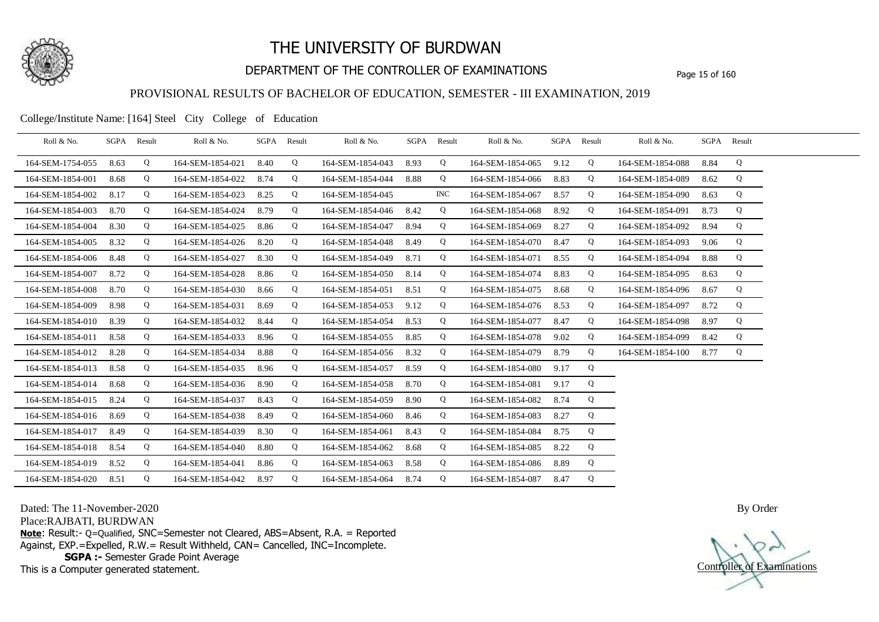

## DEPARTMENT OF THE CONTROLLER OF EXAMINATIONS Page 15 of 160

#### PROVISIONAL RESULTS OF BACHELOR OF EDUCATION, SEMESTER - III EXAMINATION, 2019

College/Institute Name: [164] Steel City College of Education

| Roll & No.       |      | SGPA Result | Roll & No.       | SGPA | Result | Roll & No.       |      | SGPA Result | Roll & No.       | SGPA Result |   | Roll & No.       |      | SGPA Result |  |
|------------------|------|-------------|------------------|------|--------|------------------|------|-------------|------------------|-------------|---|------------------|------|-------------|--|
| 164-SEM-1754-055 | 8.63 | Q           | 164-SEM-1854-021 | 8.40 | Q      | 164-SEM-1854-043 | 8.93 | Q           | 164-SEM-1854-065 | 9.12        | Q | 164-SEM-1854-088 | 8.84 | Q           |  |
| 164-SEM-1854-001 | 8.68 | Q           | 164-SEM-1854-022 | 8.74 | Q      | 164-SEM-1854-044 | 8.88 | Q           | 164-SEM-1854-066 | 8.83        | Q | 164-SEM-1854-089 | 8.62 | Q           |  |
| 164-SEM-1854-002 | 8.17 | Q           | 164-SEM-1854-023 | 8.25 | Q      | 164-SEM-1854-045 |      | <b>INC</b>  | 164-SEM-1854-067 | 8.57        | Q | 164-SEM-1854-090 | 8.63 | Q           |  |
| 164-SEM-1854-003 | 8.70 | Q           | 164-SEM-1854-024 | 8.79 | Q      | 164-SEM-1854-046 | 8.42 | Q           | 164-SEM-1854-068 | 8.92        | Q | 164-SEM-1854-091 | 8.73 | Q           |  |
| 164-SEM-1854-004 | 8.30 | Q           | 164-SEM-1854-025 | 8.86 | Q      | 164-SEM-1854-047 | 8.94 | Q           | 164-SEM-1854-069 | 8.27        | Q | 164-SEM-1854-092 | 8.94 | Q           |  |
| 164-SEM-1854-005 | 8.32 | Q           | 164-SEM-1854-026 | 8.20 | Q      | 164-SEM-1854-048 | 8.49 | Q           | 164-SEM-1854-070 | 8.47        | Q | 164-SEM-1854-093 | 9.06 | Q           |  |
| 164-SEM-1854-006 | 8.48 | Q           | 164-SEM-1854-027 | 8.30 | Q      | 164-SEM-1854-049 | 8.71 | Q           | 164-SEM-1854-071 | 8.55        | Q | 164-SEM-1854-094 | 8.88 | Q           |  |
| 164-SEM-1854-007 | 8.72 | Q           | 164-SEM-1854-028 | 8.86 | Q      | 164-SEM-1854-050 | 8.14 | Q           | 164-SEM-1854-074 | 8.83        | Q | 164-SEM-1854-095 | 8.63 | Q           |  |
| 164-SEM-1854-008 | 8.70 | Q           | 164-SEM-1854-030 | 8.66 | Q      | 164-SEM-1854-051 | 8.51 | Q           | 164-SEM-1854-075 | 8.68        | Q | 164-SEM-1854-096 | 8.67 | Q           |  |
| 164-SEM-1854-009 | 8.98 | Q           | 164-SEM-1854-031 | 8.69 | Q      | 164-SEM-1854-053 | 9.12 | Q           | 164-SEM-1854-076 | 8.53        | Q | 164-SEM-1854-097 | 8.72 | Q           |  |
| 164-SEM-1854-010 | 8.39 | Q           | 164-SEM-1854-032 | 8.44 | Q      | 164-SEM-1854-054 | 8.53 | Q           | 164-SEM-1854-077 | 8.47        | Q | 164-SEM-1854-098 | 8.97 | Q           |  |
| 164-SEM-1854-011 | 8.58 | Q           | 164-SEM-1854-033 | 8.96 | Q      | 164-SEM-1854-055 | 8.85 | Q           | 164-SEM-1854-078 | 9.02        | Q | 164-SEM-1854-099 | 8.42 | Q           |  |
| 164-SEM-1854-012 | 8.28 | Q           | 164-SEM-1854-034 | 8.88 | Q      | 164-SEM-1854-056 | 8.32 | Q           | 164-SEM-1854-079 | 8.79        | Q | 164-SEM-1854-100 | 8.77 | Q           |  |
| 164-SEM-1854-013 | 8.58 | Q           | 164-SEM-1854-035 | 8.96 | Q      | 164-SEM-1854-057 | 8.59 | Q           | 164-SEM-1854-080 | 9.17        | Q |                  |      |             |  |
| 164-SEM-1854-014 | 8.68 | Q           | 164-SEM-1854-036 | 8.90 | Q      | 164-SEM-1854-058 | 8.70 | Q           | 164-SEM-1854-081 | 9.17        | Q |                  |      |             |  |
| 164-SEM-1854-015 | 8.24 | Q           | 164-SEM-1854-037 | 8.43 | Q      | 164-SEM-1854-059 | 8.90 | Q           | 164-SEM-1854-082 | 8.74        | Q |                  |      |             |  |
| 164-SEM-1854-016 | 8.69 | Q           | 164-SEM-1854-038 | 8.49 | Q      | 164-SEM-1854-060 | 8.46 | Q           | 164-SEM-1854-083 | 8.27        | Q |                  |      |             |  |
| 164-SEM-1854-017 | 8.49 | Q           | 164-SEM-1854-039 | 8.30 | Q      | 164-SEM-1854-061 | 8.43 | Q           | 164-SEM-1854-084 | 8.75        | Q |                  |      |             |  |
| 164-SEM-1854-018 | 8.54 | Q           | 164-SEM-1854-040 | 8.80 | Q      | 164-SEM-1854-062 | 8.68 | Q           | 164-SEM-1854-085 | 8.22        | Q |                  |      |             |  |
| 164-SEM-1854-019 | 8.52 | Q           | 164-SEM-1854-041 | 8.86 | Q      | 164-SEM-1854-063 | 8.58 | Q           | 164-SEM-1854-086 | 8.89        | Q |                  |      |             |  |
| 164-SEM-1854-020 | 8.51 | Q           | 164-SEM-1854-042 | 8.97 | Q      | 164-SEM-1854-064 | 8.74 | Q           | 164-SEM-1854-087 | 8.47        | Q |                  |      |             |  |

Dated: The 11-November-2020

Place:RAJBATI, BURDWAN

**Note**: Result:- Q=Qualified, SNC=Semester not Cleared, ABS=Absent, R.A. = Reported Against, EXP.=Expelled, R.W.= Result Withheld, CAN= Cancelled, INC=Incomplete. **SGPA :-** Semester Grade Point Average

This is a Computer generated statement.

Controller of Examinations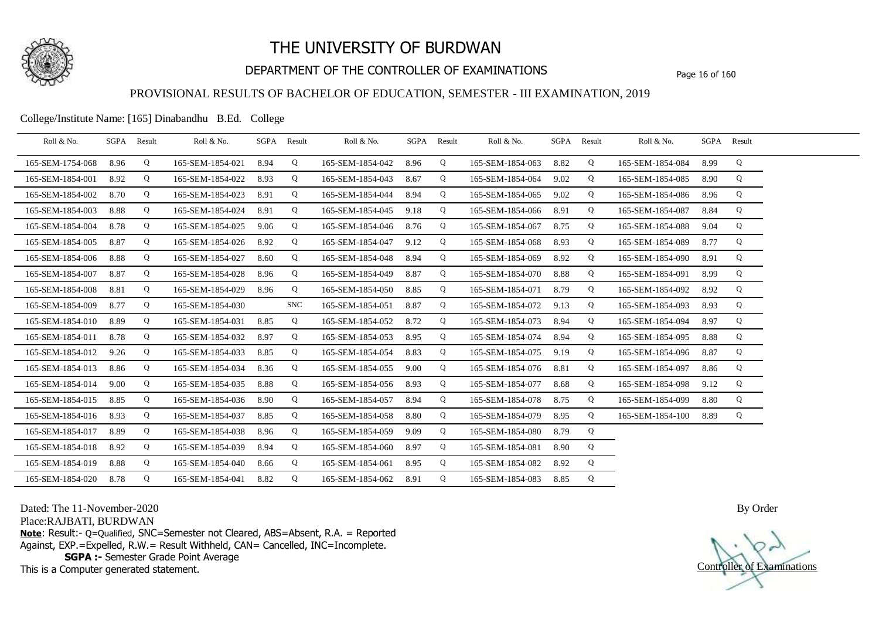

## DEPARTMENT OF THE CONTROLLER OF EXAMINATIONS Page 16 of 160

#### PROVISIONAL RESULTS OF BACHELOR OF EDUCATION, SEMESTER - III EXAMINATION, 2019

College/Institute Name: [165] Dinabandhu B.Ed. College

| Roll & No.       |      | SGPA Result | Roll & No.       |      | SGPA Result | Roll & No.       |      | SGPA Result | Roll & No.            | SGPA Result |   | Roll & No.       | SGPA Result |   |  |
|------------------|------|-------------|------------------|------|-------------|------------------|------|-------------|-----------------------|-------------|---|------------------|-------------|---|--|
| 165-SEM-1754-068 | 8.96 | Q           | 165-SEM-1854-021 | 8.94 | Q           | 165-SEM-1854-042 | 8.96 | Q           | 165-SEM-1854-063      | 8.82        | Q | 165-SEM-1854-084 | 8.99        | Q |  |
| 165-SEM-1854-001 | 8.92 | Q           | 165-SEM-1854-022 | 8.93 | Q           | 165-SEM-1854-043 | 8.67 | Q           | 165-SEM-1854-064      | 9.02        | Q | 165-SEM-1854-085 | 8.90        | Q |  |
| 165-SEM-1854-002 | 8.70 | Q           | 165-SEM-1854-023 | 8.91 | Q           | 165-SEM-1854-044 | 8.94 | Q           | 165-SEM-1854-065      | 9.02        | Q | 165-SEM-1854-086 | 8.96        | Q |  |
| 165-SEM-1854-003 | 8.88 | Q           | 165-SEM-1854-024 | 8.91 | Q           | 165-SEM-1854-045 | 9.18 | Q           | 165-SEM-1854-066 8.91 |             | Q | 165-SEM-1854-087 | 8.84        | Q |  |
| 165-SEM-1854-004 | 8.78 | Q           | 165-SEM-1854-025 | 9.06 | Q           | 165-SEM-1854-046 | 8.76 | Q           | 165-SEM-1854-067      | 8.75        | Q | 165-SEM-1854-088 | 9.04        | Q |  |
| 165-SEM-1854-005 | 8.87 | Q           | 165-SEM-1854-026 | 8.92 | Q           | 165-SEM-1854-047 | 9.12 | Q           | 165-SEM-1854-068      | 8.93        | Q | 165-SEM-1854-089 | 8.77        | Q |  |
| 165-SEM-1854-006 | 8.88 | Q           | 165-SEM-1854-027 | 8.60 | Q           | 165-SEM-1854-048 | 8.94 | Q           | 165-SEM-1854-069      | 8.92        | Q | 165-SEM-1854-090 | 8.91        | Q |  |
| 165-SEM-1854-007 | 8.87 | Q           | 165-SEM-1854-028 | 8.96 | Q           | 165-SEM-1854-049 | 8.87 | Q           | 165-SEM-1854-070      | 8.88        | Q | 165-SEM-1854-091 | 8.99        | Q |  |
| 165-SEM-1854-008 | 8.81 | Q           | 165-SEM-1854-029 | 8.96 | Q           | 165-SEM-1854-050 | 8.85 | Q           | 165-SEM-1854-071      | 8.79        | Q | 165-SEM-1854-092 | 8.92        | Q |  |
| 165-SEM-1854-009 | 8.77 | Q           | 165-SEM-1854-030 |      | <b>SNC</b>  | 165-SEM-1854-051 | 8.87 | Q           | 165-SEM-1854-072      | 9.13        | Q | 165-SEM-1854-093 | 8.93        | Q |  |
| 165-SEM-1854-010 | 8.89 | Q           | 165-SEM-1854-031 | 8.85 | Q           | 165-SEM-1854-052 | 8.72 | Q           | 165-SEM-1854-073      | 8.94        | Q | 165-SEM-1854-094 | 8.97        | Q |  |
| 165-SEM-1854-011 | 8.78 | Q           | 165-SEM-1854-032 | 8.97 | Q           | 165-SEM-1854-053 | 8.95 | Q           | 165-SEM-1854-074      | 8.94        | Q | 165-SEM-1854-095 | 8.88        | Q |  |
| 165-SEM-1854-012 | 9.26 | Q           | 165-SEM-1854-033 | 8.85 | Q           | 165-SEM-1854-054 | 8.83 | Q           | 165-SEM-1854-075      | 9.19        | Q | 165-SEM-1854-096 | 8.87        | Q |  |
| 165-SEM-1854-013 | 8.86 | Q           | 165-SEM-1854-034 | 8.36 | Q           | 165-SEM-1854-055 | 9.00 | Q           | 165-SEM-1854-076      | 8.81        | Q | 165-SEM-1854-097 | 8.86        | Q |  |
| 165-SEM-1854-014 | 9.00 | Q           | 165-SEM-1854-035 | 8.88 | Q           | 165-SEM-1854-056 | 8.93 | Q           | 165-SEM-1854-077      | 8.68        | Q | 165-SEM-1854-098 | 9.12        | Q |  |
| 165-SEM-1854-015 | 8.85 | Q           | 165-SEM-1854-036 | 8.90 | Q           | 165-SEM-1854-057 | 8.94 | Q           | 165-SEM-1854-078 8.75 |             | Q | 165-SEM-1854-099 | 8.80        | Q |  |
| 165-SEM-1854-016 | 8.93 | Q           | 165-SEM-1854-037 | 8.85 | Q           | 165-SEM-1854-058 | 8.80 | Q           | 165-SEM-1854-079      | 8.95        | Q | 165-SEM-1854-100 | 8.89        | Q |  |
| 165-SEM-1854-017 | 8.89 | Q           | 165-SEM-1854-038 | 8.96 | Q           | 165-SEM-1854-059 | 9.09 | Q           | 165-SEM-1854-080      | 8.79        | Q |                  |             |   |  |
| 165-SEM-1854-018 | 8.92 | Q           | 165-SEM-1854-039 | 8.94 | Q           | 165-SEM-1854-060 | 8.97 | Q           | 165-SEM-1854-081      | 8.90        | Q |                  |             |   |  |
| 165-SEM-1854-019 | 8.88 | Q           | 165-SEM-1854-040 | 8.66 | Q           | 165-SEM-1854-061 | 8.95 | Q           | 165-SEM-1854-082      | 8.92        | Q |                  |             |   |  |
| 165-SEM-1854-020 | 8.78 | Q           | 165-SEM-1854-041 | 8.82 | Q           | 165-SEM-1854-062 | 8.91 | Q           | 165-SEM-1854-083      | 8.85        | Q |                  |             |   |  |

Dated: The 11-November-2020

Place:RAJBATI, BURDWAN

**Note**: Result:- Q=Qualified, SNC=Semester not Cleared, ABS=Absent, R.A. = Reported Against, EXP.=Expelled, R.W.= Result Withheld, CAN= Cancelled, INC=Incomplete. **SGPA :-** Semester Grade Point Average

This is a Computer generated statement.

Controller of Examinations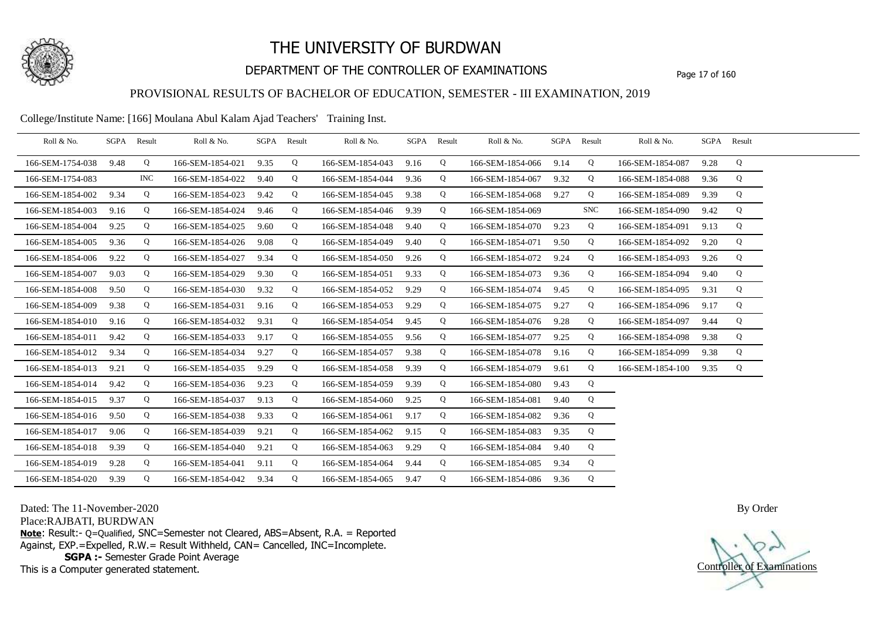

## DEPARTMENT OF THE CONTROLLER OF EXAMINATIONS Page 17 of 160

### PROVISIONAL RESULTS OF BACHELOR OF EDUCATION, SEMESTER - III EXAMINATION, 2019

College/Institute Name: [166] Moulana Abul Kalam Ajad Teachers' Training Inst.

| Roll & No.       | SGPA | Result | Roll & No.       |      | SGPA Result | Roll & No.       | SGPA Result |   | Roll & No.       |      | SGPA Result | Roll & No.       |      | SGPA Result |  |
|------------------|------|--------|------------------|------|-------------|------------------|-------------|---|------------------|------|-------------|------------------|------|-------------|--|
| 166-SEM-1754-038 | 9.48 | Q      | 166-SEM-1854-021 | 9.35 | Q           | 166-SEM-1854-043 | 9.16        | Q | 166-SEM-1854-066 | 9.14 | Q           | 166-SEM-1854-087 | 9.28 | Q           |  |
| 166-SEM-1754-083 |      | INC.   | 166-SEM-1854-022 | 9.40 | Q           | 166-SEM-1854-044 | 9.36        | Q | 166-SEM-1854-067 | 9.32 | Q           | 166-SEM-1854-088 | 9.36 | Q           |  |
| 166-SEM-1854-002 | 9.34 | Q      | 166-SEM-1854-023 | 9.42 | Q           | 166-SEM-1854-045 | 9.38        | Q | 166-SEM-1854-068 | 9.27 | Q           | 166-SEM-1854-089 | 9.39 | Q           |  |
| 166-SEM-1854-003 | 9.16 | Q      | 166-SEM-1854-024 | 9.46 | Q           | 166-SEM-1854-046 | 9.39        | Q | 166-SEM-1854-069 |      | <b>SNC</b>  | 166-SEM-1854-090 | 9.42 | Q           |  |
| 166-SEM-1854-004 | 9.25 | Q      | 166-SEM-1854-025 | 9.60 | Q           | 166-SEM-1854-048 | 9.40        | Q | 166-SEM-1854-070 | 9.23 | Q           | 166-SEM-1854-091 | 9.13 | Q           |  |
| 166-SEM-1854-005 | 9.36 | Q      | 166-SEM-1854-026 | 9.08 | Q           | 166-SEM-1854-049 | 9.40        | Q | 166-SEM-1854-071 | 9.50 | Q           | 166-SEM-1854-092 | 9.20 | Q           |  |
| 166-SEM-1854-006 | 9.22 | Q      | 166-SEM-1854-027 | 9.34 | Q           | 166-SEM-1854-050 | 9.26        | Q | 166-SEM-1854-072 | 9.24 | Q           | 166-SEM-1854-093 | 9.26 | Q           |  |
| 166-SEM-1854-007 | 9.03 | Q      | 166-SEM-1854-029 | 9.30 | Q           | 166-SEM-1854-051 | 9.33        | Q | 166-SEM-1854-073 | 9.36 | Q           | 166-SEM-1854-094 | 9.40 | Q           |  |
| 166-SEM-1854-008 | 9.50 | Q      | 166-SEM-1854-030 | 9.32 | Q           | 166-SEM-1854-052 | 9.29        | Q | 166-SEM-1854-074 | 9.45 | Q           | 166-SEM-1854-095 | 9.31 | Q           |  |
| 166-SEM-1854-009 | 9.38 | Q      | 166-SEM-1854-031 | 9.16 | Q           | 166-SEM-1854-053 | 9.29        | Q | 166-SEM-1854-075 | 9.27 | Q           | 166-SEM-1854-096 | 9.17 | Q           |  |
| 166-SEM-1854-010 | 9.16 | Q      | 166-SEM-1854-032 | 9.31 | Q           | 166-SEM-1854-054 | 9.45        | Q | 166-SEM-1854-076 | 9.28 | Q           | 166-SEM-1854-097 | 9.44 | Q           |  |
| 166-SEM-1854-011 | 9.42 | Q      | 166-SEM-1854-033 | 9.17 | Q           | 166-SEM-1854-055 | 9.56        | Q | 166-SEM-1854-077 | 9.25 | Q           | 166-SEM-1854-098 | 9.38 | Q           |  |
| 166-SEM-1854-012 | 9.34 | Q      | 166-SEM-1854-034 | 9.27 | Q           | 166-SEM-1854-057 | 9.38        | Q | 166-SEM-1854-078 | 9.16 | Q           | 166-SEM-1854-099 | 9.38 | Q           |  |
| 166-SEM-1854-013 | 9.21 | Q      | 166-SEM-1854-035 | 9.29 | Q           | 166-SEM-1854-058 | 9.39        | Q | 166-SEM-1854-079 | 9.61 | Q           | 166-SEM-1854-100 | 9.35 | Q           |  |
| 166-SEM-1854-014 | 9.42 | Q      | 166-SEM-1854-036 | 9.23 | Q           | 166-SEM-1854-059 | 9.39        | Q | 166-SEM-1854-080 | 9.43 | Q           |                  |      |             |  |
| 166-SEM-1854-015 | 9.37 | Q      | 166-SEM-1854-037 | 9.13 | Q           | 166-SEM-1854-060 | 9.25        | Q | 166-SEM-1854-081 | 9.40 | Q           |                  |      |             |  |
| 166-SEM-1854-016 | 9.50 | Q      | 166-SEM-1854-038 | 9.33 | Q           | 166-SEM-1854-061 | 9.17        | Q | 166-SEM-1854-082 | 9.36 | Q           |                  |      |             |  |
| 166-SEM-1854-017 | 9.06 | Q      | 166-SEM-1854-039 | 9.21 | Q           | 166-SEM-1854-062 | 9.15        | Q | 166-SEM-1854-083 | 9.35 | Q           |                  |      |             |  |
| 166-SEM-1854-018 | 9.39 | Q      | 166-SEM-1854-040 | 9.21 | Q           | 166-SEM-1854-063 | 9.29        | Q | 166-SEM-1854-084 | 9.40 | Q           |                  |      |             |  |
| 166-SEM-1854-019 | 9.28 | Q      | 166-SEM-1854-041 | 9.11 | Q           | 166-SEM-1854-064 | 9.44        | Q | 166-SEM-1854-085 | 9.34 | Q           |                  |      |             |  |
| 166-SEM-1854-020 | 9.39 | Q      | 166-SEM-1854-042 | 9.34 | Q           | 166-SEM-1854-065 | 9.47        | Q | 166-SEM-1854-086 | 9.36 | Q           |                  |      |             |  |

Dated: The 11-November-2020

Place:RAJBATI, BURDWAN

**Note**: Result:- Q=Qualified, SNC=Semester not Cleared, ABS=Absent, R.A. = Reported Against, EXP.=Expelled, R.W.= Result Withheld, CAN= Cancelled, INC=Incomplete. **SGPA :-** Semester Grade Point Average

This is a Computer generated statement.

Controller of Examinations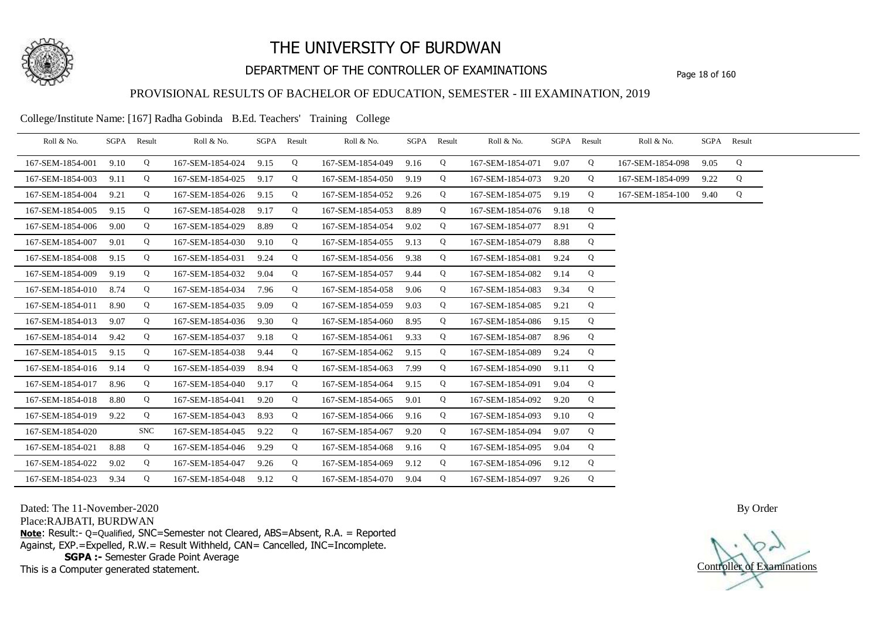

## DEPARTMENT OF THE CONTROLLER OF EXAMINATIONS Page 18 of 160

### PROVISIONAL RESULTS OF BACHELOR OF EDUCATION, SEMESTER - III EXAMINATION, 2019

College/Institute Name: [167] Radha Gobinda B.Ed. Teachers' Training College

| Roll & No.       |      | SGPA Result | Roll & No.       |      | SGPA Result | Roll & No.       |      | SGPA Result | Roll & No.       | SGPA | Result | Roll & No.       | SGPA Result |   |  |
|------------------|------|-------------|------------------|------|-------------|------------------|------|-------------|------------------|------|--------|------------------|-------------|---|--|
| 167-SEM-1854-001 | 9.10 | Q           | 167-SEM-1854-024 | 9.15 | Q           | 167-SEM-1854-049 | 9.16 | Q           | 167-SEM-1854-071 | 9.07 | Q      | 167-SEM-1854-098 | 9.05        | Q |  |
| 167-SEM-1854-003 | 9.11 | Q           | 167-SEM-1854-025 | 9.17 | Q           | 167-SEM-1854-050 | 9.19 | Q           | 167-SEM-1854-073 | 9.20 | Q      | 167-SEM-1854-099 | 9.22        | Q |  |
| 167-SEM-1854-004 | 9.21 | Q           | 167-SEM-1854-026 | 9.15 | Q           | 167-SEM-1854-052 | 9.26 | Q           | 167-SEM-1854-075 | 9.19 | Q      | 167-SEM-1854-100 | 9.40        | Q |  |
| 167-SEM-1854-005 | 9.15 | Q           | 167-SEM-1854-028 | 9.17 | Q           | 167-SEM-1854-053 | 8.89 | Q           | 167-SEM-1854-076 | 9.18 | Q      |                  |             |   |  |
| 167-SEM-1854-006 | 9.00 | Q           | 167-SEM-1854-029 | 8.89 | Q           | 167-SEM-1854-054 | 9.02 | Q           | 167-SEM-1854-077 | 8.91 | Q      |                  |             |   |  |
| 167-SEM-1854-007 | 9.01 | Q           | 167-SEM-1854-030 | 9.10 | Q           | 167-SEM-1854-055 | 9.13 | Q           | 167-SEM-1854-079 | 8.88 | Q      |                  |             |   |  |
| 167-SEM-1854-008 | 9.15 | Q           | 167-SEM-1854-031 | 9.24 | Q           | 167-SEM-1854-056 | 9.38 | Q           | 167-SEM-1854-081 | 9.24 | Q      |                  |             |   |  |
| 167-SEM-1854-009 | 9.19 | Q           | 167-SEM-1854-032 | 9.04 | Q           | 167-SEM-1854-057 | 9.44 | Q           | 167-SEM-1854-082 | 9.14 | Q      |                  |             |   |  |
| 167-SEM-1854-010 | 8.74 | Q           | 167-SEM-1854-034 | 7.96 | Q           | 167-SEM-1854-058 | 9.06 | Q           | 167-SEM-1854-083 | 9.34 | Q      |                  |             |   |  |
| 167-SEM-1854-011 | 8.90 | Q           | 167-SEM-1854-035 | 9.09 | Q           | 167-SEM-1854-059 | 9.03 | Q           | 167-SEM-1854-085 | 9.21 | Q      |                  |             |   |  |
| 167-SEM-1854-013 | 9.07 | Q           | 167-SEM-1854-036 | 9.30 | Q           | 167-SEM-1854-060 | 8.95 | Q           | 167-SEM-1854-086 | 9.15 | Q      |                  |             |   |  |
| 167-SEM-1854-014 | 9.42 | Q           | 167-SEM-1854-037 | 9.18 | Q           | 167-SEM-1854-061 | 9.33 | Q           | 167-SEM-1854-087 | 8.96 | Q      |                  |             |   |  |
| 167-SEM-1854-015 | 9.15 | Q           | 167-SEM-1854-038 | 9.44 | Q           | 167-SEM-1854-062 | 9.15 | Q           | 167-SEM-1854-089 | 9.24 | Q      |                  |             |   |  |
| 167-SEM-1854-016 | 9.14 | Q           | 167-SEM-1854-039 | 8.94 | Q           | 167-SEM-1854-063 | 7.99 | Q           | 167-SEM-1854-090 | 9.11 | Q      |                  |             |   |  |
| 167-SEM-1854-017 | 8.96 | Q           | 167-SEM-1854-040 | 9.17 | Q           | 167-SEM-1854-064 | 9.15 | Q           | 167-SEM-1854-091 | 9.04 | Q      |                  |             |   |  |
| 167-SEM-1854-018 | 8.80 | Q           | 167-SEM-1854-041 | 9.20 | Q           | 167-SEM-1854-065 | 9.01 | Q           | 167-SEM-1854-092 | 9.20 | Q      |                  |             |   |  |
| 167-SEM-1854-019 | 9.22 | Q           | 167-SEM-1854-043 | 8.93 | Q           | 167-SEM-1854-066 | 9.16 | Q           | 167-SEM-1854-093 | 9.10 | Q      |                  |             |   |  |
| 167-SEM-1854-020 |      | <b>SNC</b>  | 167-SEM-1854-045 | 9.22 | Q           | 167-SEM-1854-067 | 9.20 | Q           | 167-SEM-1854-094 | 9.07 | Q      |                  |             |   |  |
| 167-SEM-1854-021 | 8.88 | Q           | 167-SEM-1854-046 | 9.29 | Q           | 167-SEM-1854-068 | 9.16 | Q           | 167-SEM-1854-095 | 9.04 | Q      |                  |             |   |  |
| 167-SEM-1854-022 | 9.02 | Q           | 167-SEM-1854-047 | 9.26 | Q           | 167-SEM-1854-069 | 9.12 | Q           | 167-SEM-1854-096 | 9.12 | Q      |                  |             |   |  |
| 167-SEM-1854-023 | 9.34 | Q           | 167-SEM-1854-048 | 9.12 | Q           | 167-SEM-1854-070 | 9.04 | Q           | 167-SEM-1854-097 | 9.26 | Q      |                  |             |   |  |

Dated: The 11-November-2020

Place:RAJBATI, BURDWAN

**Note**: Result:- Q=Qualified, SNC=Semester not Cleared, ABS=Absent, R.A. = Reported Against, EXP.=Expelled, R.W.= Result Withheld, CAN= Cancelled, INC=Incomplete. **SGPA :-** Semester Grade Point Average

This is a Computer generated statement.

Controller of Examinations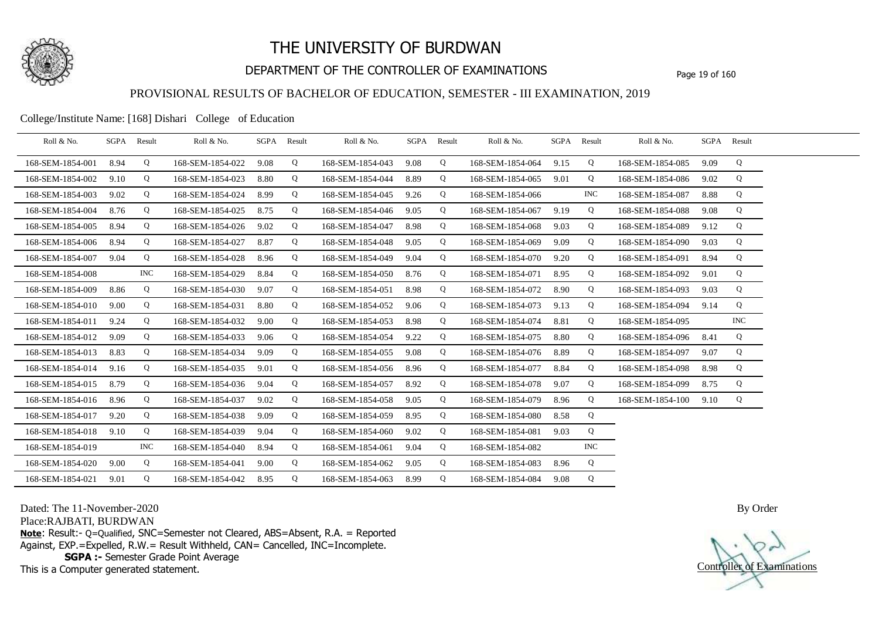

## DEPARTMENT OF THE CONTROLLER OF EXAMINATIONS Page 19 of 160

### PROVISIONAL RESULTS OF BACHELOR OF EDUCATION, SEMESTER - III EXAMINATION, 2019

College/Institute Name: [168] Dishari College of Education

| Roll & No.       | SGPA | Result     | Roll & No.       |      | SGPA Result | Roll & No.       | SGPA Result |   | Roll & No.       |      | SGPA Result | Roll & No.       | SGPA Result |            |  |
|------------------|------|------------|------------------|------|-------------|------------------|-------------|---|------------------|------|-------------|------------------|-------------|------------|--|
| 168-SEM-1854-001 | 8.94 | Q          | 168-SEM-1854-022 | 9.08 | Q           | 168-SEM-1854-043 | 9.08        | Q | 168-SEM-1854-064 | 9.15 | Q           | 168-SEM-1854-085 | 9.09        | Q          |  |
| 168-SEM-1854-002 | 9.10 | Q          | 168-SEM-1854-023 | 8.80 | Q           | 168-SEM-1854-044 | 8.89        | Q | 168-SEM-1854-065 | 9.01 | Q           | 168-SEM-1854-086 | 9.02        | Q          |  |
| 168-SEM-1854-003 | 9.02 | Q          | 168-SEM-1854-024 | 8.99 | Q           | 168-SEM-1854-045 | 9.26        | Q | 168-SEM-1854-066 |      | <b>INC</b>  | 168-SEM-1854-087 | 8.88        | Q          |  |
| 168-SEM-1854-004 | 8.76 | Q          | 168-SEM-1854-025 | 8.75 | Q           | 168-SEM-1854-046 | 9.05        | Q | 168-SEM-1854-067 | 9.19 | Q           | 168-SEM-1854-088 | 9.08        | Q          |  |
| 168-SEM-1854-005 | 8.94 | Q          | 168-SEM-1854-026 | 9.02 | Q           | 168-SEM-1854-047 | 8.98        | Q | 168-SEM-1854-068 | 9.03 | Q           | 168-SEM-1854-089 | 9.12        | Q          |  |
| 168-SEM-1854-006 | 8.94 | Q          | 168-SEM-1854-027 | 8.87 | Q           | 168-SEM-1854-048 | 9.05        | Q | 168-SEM-1854-069 | 9.09 | Q           | 168-SEM-1854-090 | 9.03        | Q          |  |
| 168-SEM-1854-007 | 9.04 | Q          | 168-SEM-1854-028 | 8.96 | Q           | 168-SEM-1854-049 | 9.04        | Q | 168-SEM-1854-070 | 9.20 | Q           | 168-SEM-1854-091 | 8.94        | Q          |  |
| 168-SEM-1854-008 |      | <b>INC</b> | 168-SEM-1854-029 | 8.84 | Q           | 168-SEM-1854-050 | 8.76        | Q | 168-SEM-1854-071 | 8.95 | Q           | 168-SEM-1854-092 | 9.01        | Q          |  |
| 168-SEM-1854-009 | 8.86 | Q          | 168-SEM-1854-030 | 9.07 | Q           | 168-SEM-1854-051 | 8.98        | Q | 168-SEM-1854-072 | 8.90 | Q           | 168-SEM-1854-093 | 9.03        | Q          |  |
| 168-SEM-1854-010 | 9.00 | Q          | 168-SEM-1854-031 | 8.80 | Q           | 168-SEM-1854-052 | 9.06        | Q | 168-SEM-1854-073 | 9.13 | Q           | 168-SEM-1854-094 | 9.14        | Q          |  |
| 168-SEM-1854-011 | 9.24 | Q          | 168-SEM-1854-032 | 9.00 | Q           | 168-SEM-1854-053 | 8.98        | Q | 168-SEM-1854-074 | 8.81 | Q           | 168-SEM-1854-095 |             | <b>INC</b> |  |
| 168-SEM-1854-012 | 9.09 | Q          | 168-SEM-1854-033 | 9.06 | Q           | 168-SEM-1854-054 | 9.22        | Q | 168-SEM-1854-075 | 8.80 | Q           | 168-SEM-1854-096 | 8.41        | Q          |  |
| 168-SEM-1854-013 | 8.83 | Q          | 168-SEM-1854-034 | 9.09 | Q           | 168-SEM-1854-055 | 9.08        | Q | 168-SEM-1854-076 | 8.89 | Q           | 168-SEM-1854-097 | 9.07        | Q          |  |
| 168-SEM-1854-014 | 9.16 | Q          | 168-SEM-1854-035 | 9.01 | Q           | 168-SEM-1854-056 | 8.96        | Q | 168-SEM-1854-077 | 8.84 | Q           | 168-SEM-1854-098 | 8.98        | Q          |  |
| 168-SEM-1854-015 | 8.79 | Q          | 168-SEM-1854-036 | 9.04 | Q           | 168-SEM-1854-057 | 8.92        | Q | 168-SEM-1854-078 | 9.07 | Q           | 168-SEM-1854-099 | 8.75        | Q          |  |
| 168-SEM-1854-016 | 8.96 | Q          | 168-SEM-1854-037 | 9.02 | Q           | 168-SEM-1854-058 | 9.05        | Q | 168-SEM-1854-079 | 8.96 | Q           | 168-SEM-1854-100 | 9.10        | Q          |  |
| 168-SEM-1854-017 | 9.20 | Q          | 168-SEM-1854-038 | 9.09 | Q           | 168-SEM-1854-059 | 8.95        | Q | 168-SEM-1854-080 | 8.58 | Q           |                  |             |            |  |
| 168-SEM-1854-018 | 9.10 | Q          | 168-SEM-1854-039 | 9.04 | Q           | 168-SEM-1854-060 | 9.02        | Q | 168-SEM-1854-081 | 9.03 | Q           |                  |             |            |  |
| 168-SEM-1854-019 |      | <b>INC</b> | 168-SEM-1854-040 | 8.94 | Q           | 168-SEM-1854-061 | 9.04        | Q | 168-SEM-1854-082 |      | <b>INC</b>  |                  |             |            |  |
| 168-SEM-1854-020 | 9.00 | Q          | 168-SEM-1854-041 | 9.00 | Q           | 168-SEM-1854-062 | 9.05        | Q | 168-SEM-1854-083 | 8.96 | Q           |                  |             |            |  |
| 168-SEM-1854-021 | 9.01 | Q          | 168-SEM-1854-042 | 8.95 | Q           | 168-SEM-1854-063 | 8.99        | Q | 168-SEM-1854-084 | 9.08 | Q           |                  |             |            |  |

Dated: The 11-November-2020

Place:RAJBATI, BURDWAN

**Note**: Result:- Q=Qualified, SNC=Semester not Cleared, ABS=Absent, R.A. = Reported Against, EXP.=Expelled, R.W.= Result Withheld, CAN= Cancelled, INC=Incomplete. **SGPA :-** Semester Grade Point Average

This is a Computer generated statement.

Controller of Examinations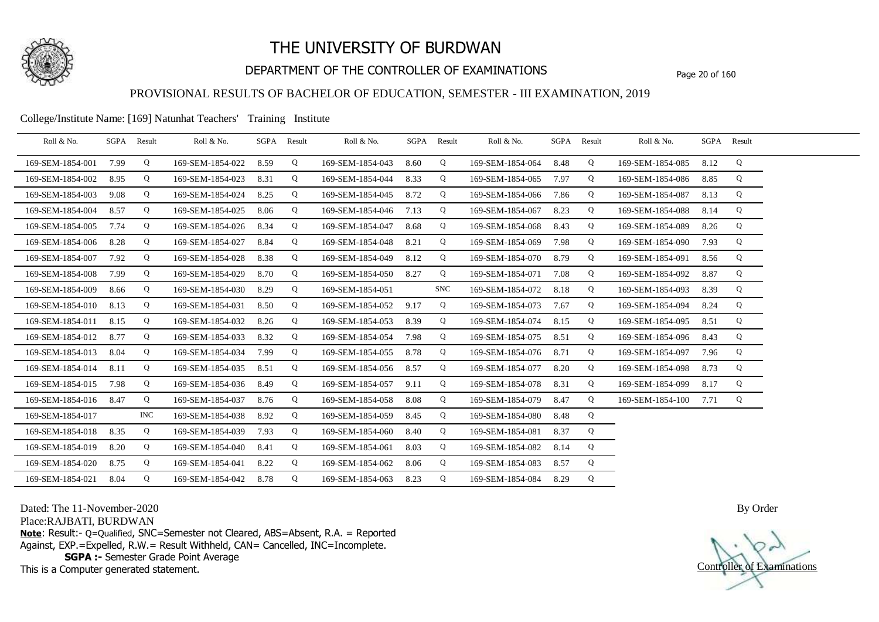

## DEPARTMENT OF THE CONTROLLER OF EXAMINATIONS Page 20 of 160

### PROVISIONAL RESULTS OF BACHELOR OF EDUCATION, SEMESTER - III EXAMINATION, 2019

College/Institute Name: [169] Natunhat Teachers' Training Institute

| Roll & No.       | SGPA | Result     | Roll & No.       |      | SGPA Result | Roll & No.       |      | SGPA Result | Roll & No.       | SGPA Result |   | Roll & No.       | SGPA Result |   |  |
|------------------|------|------------|------------------|------|-------------|------------------|------|-------------|------------------|-------------|---|------------------|-------------|---|--|
| 169-SEM-1854-001 | 7.99 | Q          | 169-SEM-1854-022 | 8.59 | Q           | 169-SEM-1854-043 | 8.60 | Q           | 169-SEM-1854-064 | 8.48        | Q | 169-SEM-1854-085 | 8.12        | Q |  |
| 169-SEM-1854-002 | 8.95 | Q          | 169-SEM-1854-023 | 8.31 | Q           | 169-SEM-1854-044 | 8.33 | Q           | 169-SEM-1854-065 | 7.97        | Q | 169-SEM-1854-086 | 8.85        | Q |  |
| 169-SEM-1854-003 | 9.08 | Q          | 169-SEM-1854-024 | 8.25 | Q           | 169-SEM-1854-045 | 8.72 | Q           | 169-SEM-1854-066 | 7.86        | Q | 169-SEM-1854-087 | 8.13        | Q |  |
| 169-SEM-1854-004 | 8.57 | Q          | 169-SEM-1854-025 | 8.06 | Q           | 169-SEM-1854-046 | 7.13 | Q           | 169-SEM-1854-067 | 8.23        | Q | 169-SEM-1854-088 | 8.14        | Q |  |
| 169-SEM-1854-005 | 7.74 | Q          | 169-SEM-1854-026 | 8.34 | Q           | 169-SEM-1854-047 | 8.68 | Q           | 169-SEM-1854-068 | 8.43        | Q | 169-SEM-1854-089 | 8.26        | Q |  |
| 169-SEM-1854-006 | 8.28 | Q          | 169-SEM-1854-027 | 8.84 | Q           | 169-SEM-1854-048 | 8.21 | Q           | 169-SEM-1854-069 | 7.98        | Q | 169-SEM-1854-090 | 7.93        | Q |  |
| 169-SEM-1854-007 | 7.92 | Q          | 169-SEM-1854-028 | 8.38 | Q           | 169-SEM-1854-049 | 8.12 | Q           | 169-SEM-1854-070 | 8.79        | Q | 169-SEM-1854-091 | 8.56        | Q |  |
| 169-SEM-1854-008 | 7.99 | Q          | 169-SEM-1854-029 | 8.70 | $\mathbf Q$ | 169-SEM-1854-050 | 8.27 | Q           | 169-SEM-1854-071 | 7.08        | Q | 169-SEM-1854-092 | 8.87        | Q |  |
| 169-SEM-1854-009 | 8.66 | Q          | 169-SEM-1854-030 | 8.29 | Q           | 169-SEM-1854-051 |      | <b>SNC</b>  | 169-SEM-1854-072 | 8.18        | Q | 169-SEM-1854-093 | 8.39        | Q |  |
| 169-SEM-1854-010 | 8.13 | Q          | 169-SEM-1854-031 | 8.50 | Q           | 169-SEM-1854-052 | 9.17 | Q           | 169-SEM-1854-073 | 7.67        | Q | 169-SEM-1854-094 | 8.24        | Q |  |
| 169-SEM-1854-011 | 8.15 | Q          | 169-SEM-1854-032 | 8.26 | Q           | 169-SEM-1854-053 | 8.39 | Q           | 169-SEM-1854-074 | 8.15        | Q | 169-SEM-1854-095 | 8.51        | Q |  |
| 169-SEM-1854-012 | 8.77 | Q          | 169-SEM-1854-033 | 8.32 | $\mathbf Q$ | 169-SEM-1854-054 | 7.98 | Q           | 169-SEM-1854-075 | 8.51        | Q | 169-SEM-1854-096 | 8.43        | Q |  |
| 169-SEM-1854-013 | 8.04 | Q          | 169-SEM-1854-034 | 7.99 | Q           | 169-SEM-1854-055 | 8.78 | Q           | 169-SEM-1854-076 | 8.71        | Q | 169-SEM-1854-097 | 7.96        | Q |  |
| 169-SEM-1854-014 | 8.11 | Q          | 169-SEM-1854-035 | 8.51 | Q           | 169-SEM-1854-056 | 8.57 | Q           | 169-SEM-1854-077 | 8.20        | Q | 169-SEM-1854-098 | 8.73        | Q |  |
| 169-SEM-1854-015 | 7.98 | Q          | 169-SEM-1854-036 | 8.49 | Q           | 169-SEM-1854-057 | 9.11 | Q           | 169-SEM-1854-078 | 8.31        | Q | 169-SEM-1854-099 | 8.17        | Q |  |
| 169-SEM-1854-016 | 8.47 | Q          | 169-SEM-1854-037 | 8.76 | Q           | 169-SEM-1854-058 | 8.08 | Q           | 169-SEM-1854-079 | 8.47        | Q | 169-SEM-1854-100 | 7.71        | Q |  |
| 169-SEM-1854-017 |      | <b>INC</b> | 169-SEM-1854-038 | 8.92 | Q           | 169-SEM-1854-059 | 8.45 | Q           | 169-SEM-1854-080 | 8.48        | Q |                  |             |   |  |
| 169-SEM-1854-018 | 8.35 | Q          | 169-SEM-1854-039 | 7.93 | Q           | 169-SEM-1854-060 | 8.40 | Q           | 169-SEM-1854-081 | 8.37        | Q |                  |             |   |  |
| 169-SEM-1854-019 | 8.20 | Q          | 169-SEM-1854-040 | 8.41 | Q           | 169-SEM-1854-061 | 8.03 | Q           | 169-SEM-1854-082 | 8.14        | Q |                  |             |   |  |
| 169-SEM-1854-020 | 8.75 | Q          | 169-SEM-1854-041 | 8.22 | Q           | 169-SEM-1854-062 | 8.06 | Q           | 169-SEM-1854-083 | 8.57        | Q |                  |             |   |  |
| 169-SEM-1854-021 | 8.04 | Q          | 169-SEM-1854-042 | 8.78 | Q           | 169-SEM-1854-063 | 8.23 | Q           | 169-SEM-1854-084 | 8.29        | Q |                  |             |   |  |

Dated: The 11-November-2020

Place:RAJBATI, BURDWAN

**Note**: Result:- Q=Qualified, SNC=Semester not Cleared, ABS=Absent, R.A. = Reported Against, EXP.=Expelled, R.W.= Result Withheld, CAN= Cancelled, INC=Incomplete. **SGPA :-** Semester Grade Point Average

This is a Computer generated statement.

Controller of Examinations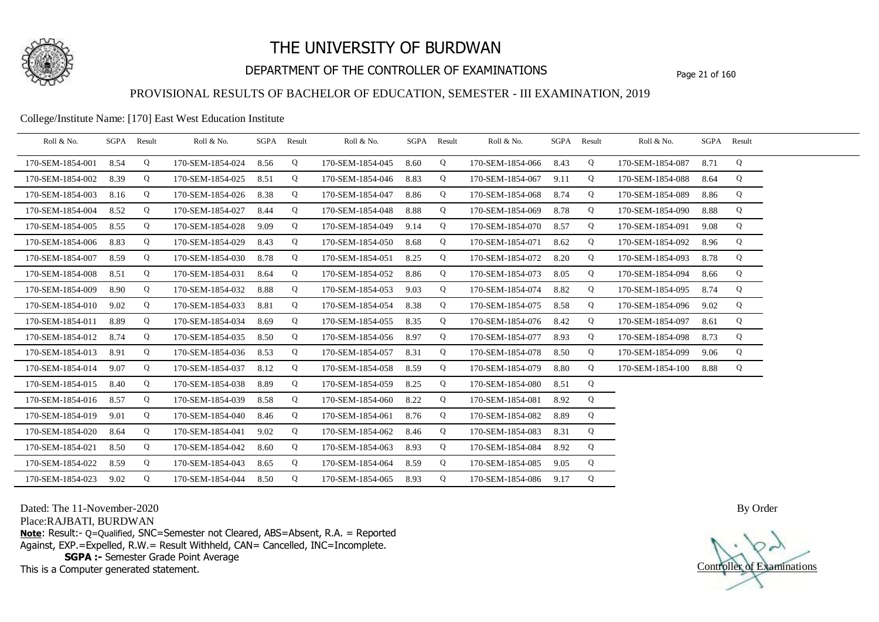

## DEPARTMENT OF THE CONTROLLER OF EXAMINATIONS Page 21 of 160

### PROVISIONAL RESULTS OF BACHELOR OF EDUCATION, SEMESTER - III EXAMINATION, 2019

#### College/Institute Name: [170] East West Education Institute

| Roll & No.       | SGPA | Result | Roll & No.       | SGPA | Result | Roll & No.       |      | SGPA Result | Roll & No.       | SGPA | Result | Roll & No.       |      | SGPA Result |  |
|------------------|------|--------|------------------|------|--------|------------------|------|-------------|------------------|------|--------|------------------|------|-------------|--|
| 170-SEM-1854-001 | 8.54 | Q      | 170-SEM-1854-024 | 8.56 | Q      | 170-SEM-1854-045 | 8.60 | Q           | 170-SEM-1854-066 | 8.43 | Q      | 170-SEM-1854-087 | 8.71 | Q           |  |
| 170-SEM-1854-002 | 8.39 | Q      | 170-SEM-1854-025 | 8.51 | Q      | 170-SEM-1854-046 | 8.83 | Q           | 170-SEM-1854-067 | 9.11 | Q      | 170-SEM-1854-088 | 8.64 | Q           |  |
| 170-SEM-1854-003 | 8.16 | Q      | 170-SEM-1854-026 | 8.38 | Q      | 170-SEM-1854-047 | 8.86 | Q           | 170-SEM-1854-068 | 8.74 | Q      | 170-SEM-1854-089 | 8.86 | Q           |  |
| 170-SEM-1854-004 | 8.52 | Q      | 170-SEM-1854-027 | 8.44 | Q      | 170-SEM-1854-048 | 8.88 | Q           | 170-SEM-1854-069 | 8.78 | Q      | 170-SEM-1854-090 | 8.88 | Q           |  |
| 170-SEM-1854-005 | 8.55 | Q      | 170-SEM-1854-028 | 9.09 | Q      | 170-SEM-1854-049 | 9.14 | Q           | 170-SEM-1854-070 | 8.57 | Q      | 170-SEM-1854-091 | 9.08 | Q           |  |
| 170-SEM-1854-006 | 8.83 | Q      | 170-SEM-1854-029 | 8.43 | Q      | 170-SEM-1854-050 | 8.68 | Q           | 170-SEM-1854-071 | 8.62 | Q      | 170-SEM-1854-092 | 8.96 | Q           |  |
| 170-SEM-1854-007 | 8.59 | Q      | 170-SEM-1854-030 | 8.78 | Q      | 170-SEM-1854-051 | 8.25 | Q           | 170-SEM-1854-072 | 8.20 | Q      | 170-SEM-1854-093 | 8.78 | Q           |  |
| 170-SEM-1854-008 | 8.51 | Q      | 170-SEM-1854-031 | 8.64 | Q      | 170-SEM-1854-052 | 8.86 | Q           | 170-SEM-1854-073 | 8.05 | Q      | 170-SEM-1854-094 | 8.66 | Q           |  |
| 170-SEM-1854-009 | 8.90 | Q      | 170-SEM-1854-032 | 8.88 | Q      | 170-SEM-1854-053 | 9.03 | Q           | 170-SEM-1854-074 | 8.82 | Q      | 170-SEM-1854-095 | 8.74 | Q           |  |
| 170-SEM-1854-010 | 9.02 | Q      | 170-SEM-1854-033 | 8.81 | Q      | 170-SEM-1854-054 | 8.38 | Q           | 170-SEM-1854-075 | 8.58 | Q      | 170-SEM-1854-096 | 9.02 | Q           |  |
| 170-SEM-1854-011 | 8.89 | Q      | 170-SEM-1854-034 | 8.69 | Q      | 170-SEM-1854-055 | 8.35 | Q           | 170-SEM-1854-076 | 8.42 | Q      | 170-SEM-1854-097 | 8.61 | Q           |  |
| 170-SEM-1854-012 | 8.74 | Q      | 170-SEM-1854-035 | 8.50 | Q      | 170-SEM-1854-056 | 8.97 | Q           | 170-SEM-1854-077 | 8.93 | Q      | 170-SEM-1854-098 | 8.73 | Q           |  |
| 170-SEM-1854-013 | 8.91 | Q      | 170-SEM-1854-036 | 8.53 | Q      | 170-SEM-1854-057 | 8.31 | Q           | 170-SEM-1854-078 | 8.50 | Q      | 170-SEM-1854-099 | 9.06 | Q           |  |
| 170-SEM-1854-014 | 9.07 | Q      | 170-SEM-1854-037 | 8.12 | Q      | 170-SEM-1854-058 | 8.59 | Q           | 170-SEM-1854-079 | 8.80 | Q      | 170-SEM-1854-100 | 8.88 | Q           |  |
| 170-SEM-1854-015 | 8.40 | Q      | 170-SEM-1854-038 | 8.89 | Q      | 170-SEM-1854-059 | 8.25 | Q           | 170-SEM-1854-080 | 8.51 | Q      |                  |      |             |  |
| 170-SEM-1854-016 | 8.57 | Q      | 170-SEM-1854-039 | 8.58 | Q      | 170-SEM-1854-060 | 8.22 | Q           | 170-SEM-1854-081 | 8.92 | Q      |                  |      |             |  |
| 170-SEM-1854-019 | 9.01 | Q      | 170-SEM-1854-040 | 8.46 | Q      | 170-SEM-1854-061 | 8.76 | Q           | 170-SEM-1854-082 | 8.89 | Q      |                  |      |             |  |
| 170-SEM-1854-020 | 8.64 | Q      | 170-SEM-1854-041 | 9.02 | Q      | 170-SEM-1854-062 | 8.46 | Q           | 170-SEM-1854-083 | 8.31 | Q      |                  |      |             |  |
| 170-SEM-1854-021 | 8.50 | Q      | 170-SEM-1854-042 | 8.60 | Q      | 170-SEM-1854-063 | 8.93 | Q           | 170-SEM-1854-084 | 8.92 | Q      |                  |      |             |  |
| 170-SEM-1854-022 | 8.59 | Q      | 170-SEM-1854-043 | 8.65 | Q      | 170-SEM-1854-064 | 8.59 | Q           | 170-SEM-1854-085 | 9.05 | Q      |                  |      |             |  |
| 170-SEM-1854-023 | 9.02 | Q      | 170-SEM-1854-044 | 8.50 | Q      | 170-SEM-1854-065 | 8.93 | Q           | 170-SEM-1854-086 | 9.17 | Q      |                  |      |             |  |

Dated: The 11-November-2020

Place:RAJBATI, BURDWAN

**Note**: Result:- Q=Qualified, SNC=Semester not Cleared, ABS=Absent, R.A. = Reported Against, EXP.=Expelled, R.W.= Result Withheld, CAN= Cancelled, INC=Incomplete. **SGPA :-** Semester Grade Point Average

This is a Computer generated statement.

Controller of Examinations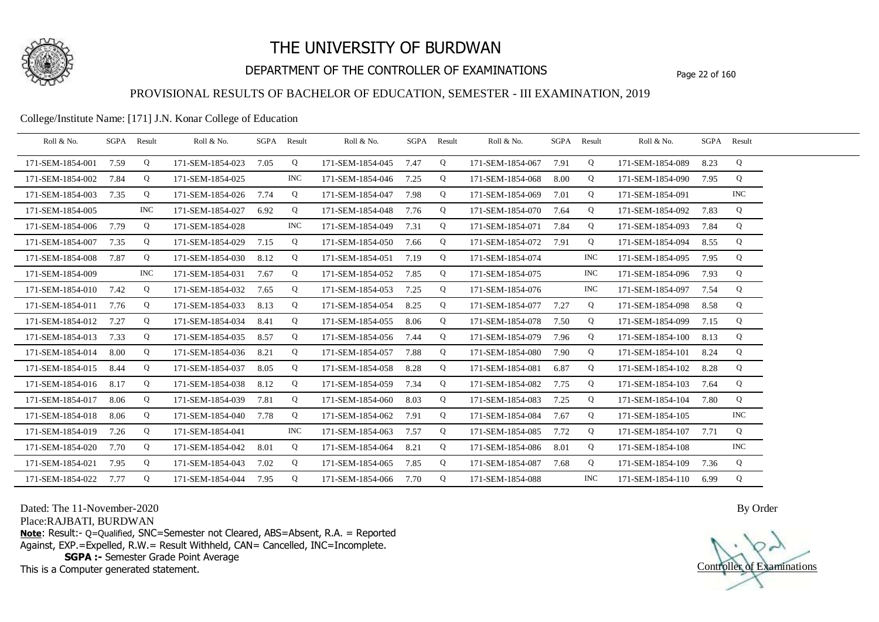

## DEPARTMENT OF THE CONTROLLER OF EXAMINATIONS Page 22 of 160

### PROVISIONAL RESULTS OF BACHELOR OF EDUCATION, SEMESTER - III EXAMINATION, 2019

#### College/Institute Name: [171] J.N. Konar College of Education

| Roll & No.       | SGPA | Result | Roll & No.       | SGPA Result |            | Roll & No.       | SGPA Result |   | Roll & No.       | SGPA Result |            | Roll & No.       | SGPA Result |            |  |
|------------------|------|--------|------------------|-------------|------------|------------------|-------------|---|------------------|-------------|------------|------------------|-------------|------------|--|
| 171-SEM-1854-001 | 7.59 | Q      | 171-SEM-1854-023 | 7.05        | Q          | 171-SEM-1854-045 | 7.47        | Q | 171-SEM-1854-067 | 7.91        | Q          | 171-SEM-1854-089 | 8.23        | Q          |  |
| 171-SEM-1854-002 | 7.84 | Q      | 171-SEM-1854-025 |             | INC.       | 171-SEM-1854-046 | 7.25        | Q | 171-SEM-1854-068 | 8.00        | Q          | 171-SEM-1854-090 | 7.95        | Q          |  |
| 171-SEM-1854-003 | 7.35 | Q      | 171-SEM-1854-026 | 7.74        | Q          | 171-SEM-1854-047 | 7.98        | Q | 171-SEM-1854-069 | 7.01        | Q          | 171-SEM-1854-091 |             | $\rm{INC}$ |  |
| 171-SEM-1854-005 |      | INC.   | 171-SEM-1854-027 | 6.92        | Q          | 171-SEM-1854-048 | 7.76        | Q | 171-SEM-1854-070 | 7.64        | Q          | 171-SEM-1854-092 | 7.83        | Q          |  |
| 171-SEM-1854-006 | 7.79 | Q      | 171-SEM-1854-028 |             | INC.       | 171-SEM-1854-049 | 7.31        | Q | 171-SEM-1854-071 | 7.84        | Q          | 171-SEM-1854-093 | 7.84        | Q          |  |
| 171-SEM-1854-007 | 7.35 | Q      | 171-SEM-1854-029 | 7.15        | Q          | 171-SEM-1854-050 | 7.66        | Q | 171-SEM-1854-072 | 7.91        | Q          | 171-SEM-1854-094 | 8.55        | Q          |  |
| 171-SEM-1854-008 | 7.87 | Q      | 171-SEM-1854-030 | 8.12        | Q          | 171-SEM-1854-051 | 7.19        | Q | 171-SEM-1854-074 |             | <b>INC</b> | 171-SEM-1854-095 | 7.95        | Q          |  |
| 171-SEM-1854-009 |      | INC.   | 171-SEM-1854-031 | 7.67        | Q          | 171-SEM-1854-052 | 7.85        | Q | 171-SEM-1854-075 |             | <b>INC</b> | 171-SEM-1854-096 | 7.93        | Q          |  |
| 171-SEM-1854-010 | 7.42 | Q      | 171-SEM-1854-032 | 7.65        | Q          | 171-SEM-1854-053 | 7.25        | Q | 171-SEM-1854-076 |             | <b>INC</b> | 171-SEM-1854-097 | 7.54        | Q          |  |
| 171-SEM-1854-011 | 7.76 | Q      | 171-SEM-1854-033 | 8.13        | Q          | 171-SEM-1854-054 | 8.25        | Q | 171-SEM-1854-077 | 7.27        | Q          | 171-SEM-1854-098 | 8.58        | Q          |  |
| 171-SEM-1854-012 | 7.27 | Q      | 171-SEM-1854-034 | 8.41        | Q          | 171-SEM-1854-055 | 8.06        | Q | 171-SEM-1854-078 | 7.50        | Q          | 171-SEM-1854-099 | 7.15        | Q          |  |
| 171-SEM-1854-013 | 7.33 | Q      | 171-SEM-1854-035 | 8.57        | Q          | 171-SEM-1854-056 | 7.44        | Q | 171-SEM-1854-079 | 7.96        | Q          | 171-SEM-1854-100 | 8.13        | Q          |  |
| 171-SEM-1854-014 | 8.00 | Q      | 171-SEM-1854-036 | 8.21        | Q          | 171-SEM-1854-057 | 7.88        | Q | 171-SEM-1854-080 | 7.90        | Q          | 171-SEM-1854-101 | 8.24        | Q          |  |
| 171-SEM-1854-015 | 8.44 | Q      | 171-SEM-1854-037 | 8.05        | Q          | 171-SEM-1854-058 | 8.28        | Q | 171-SEM-1854-081 | 6.87        | Q          | 171-SEM-1854-102 | 8.28        | Q          |  |
| 171-SEM-1854-016 | 8.17 | Q      | 171-SEM-1854-038 | 8.12        | Q          | 171-SEM-1854-059 | 7.34        | Q | 171-SEM-1854-082 | 7.75        | Q          | 171-SEM-1854-103 | 7.64        | Q          |  |
| 171-SEM-1854-017 | 8.06 | Q      | 171-SEM-1854-039 | 7.81        | Q          | 171-SEM-1854-060 | 8.03        | Q | 171-SEM-1854-083 | 7.25        | Q          | 171-SEM-1854-104 | 7.80        | Q          |  |
| 171-SEM-1854-018 | 8.06 | Q      | 171-SEM-1854-040 | 7.78        | Q          | 171-SEM-1854-062 | 7.91        | Q | 171-SEM-1854-084 | 7.67        | Q          | 171-SEM-1854-105 |             | $\rm{INC}$ |  |
| 171-SEM-1854-019 | 7.26 | Q      | 171-SEM-1854-041 |             | <b>INC</b> | 171-SEM-1854-063 | 7.57        | Q | 171-SEM-1854-085 | 7.72        | Q          | 171-SEM-1854-107 | 7.71        | Q          |  |
| 171-SEM-1854-020 | 7.70 | Q      | 171-SEM-1854-042 | 8.01        | Q          | 171-SEM-1854-064 | 8.21        | Q | 171-SEM-1854-086 | 8.01        | Q          | 171-SEM-1854-108 |             | <b>INC</b> |  |
| 171-SEM-1854-021 | 7.95 | Q      | 171-SEM-1854-043 | 7.02        | Q          | 171-SEM-1854-065 | 7.85        | Q | 171-SEM-1854-087 | 7.68        | Q          | 171-SEM-1854-109 | 7.36        | Q          |  |
| 171-SEM-1854-022 | 7.77 | Q      | 171-SEM-1854-044 | 7.95        | Q          | 171-SEM-1854-066 | 7.70        | Q | 171-SEM-1854-088 |             | <b>INC</b> | 171-SEM-1854-110 | 6.99        | Q          |  |

Dated: The 11-November-2020

Place:RAJBATI, BURDWAN

**Note**: Result:- Q=Qualified, SNC=Semester not Cleared, ABS=Absent, R.A. = Reported Against, EXP.=Expelled, R.W.= Result Withheld, CAN= Cancelled, INC=Incomplete. **SGPA :-** Semester Grade Point Average

This is a Computer generated statement.

Controller of Examinations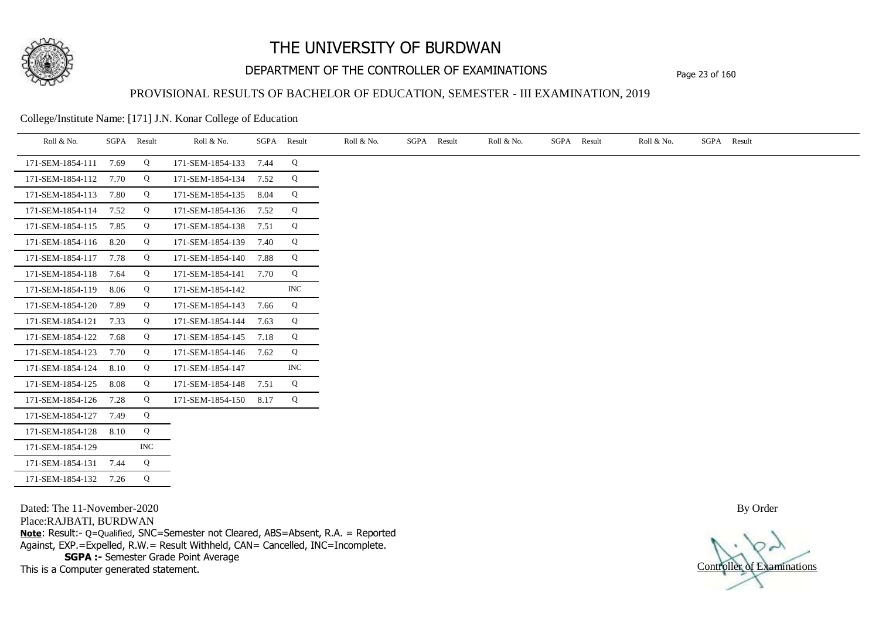

## DEPARTMENT OF THE CONTROLLER OF EXAMINATIONS Page 23 of 160

#### PROVISIONAL RESULTS OF BACHELOR OF EDUCATION, SEMESTER - III EXAMINATION, 2019

College/Institute Name: [171] J.N. Konar College of Education

| Roll & No.       | SGPA | Result     | Roll & No.       | SGPA | Result     | Roll & No. | SGPA | Result | Roll & No. | SGPA Result | Roll & No. | SGPA Result |
|------------------|------|------------|------------------|------|------------|------------|------|--------|------------|-------------|------------|-------------|
| 171-SEM-1854-111 | 7.69 | Q          | 171-SEM-1854-133 | 7.44 | Q          |            |      |        |            |             |            |             |
| 171-SEM-1854-112 | 7.70 | Q          | 171-SEM-1854-134 | 7.52 | Q          |            |      |        |            |             |            |             |
| 171-SEM-1854-113 | 7.80 | Q          | 171-SEM-1854-135 | 8.04 | Q          |            |      |        |            |             |            |             |
| 171-SEM-1854-114 | 7.52 | Q          | 171-SEM-1854-136 | 7.52 | Q          |            |      |        |            |             |            |             |
| 171-SEM-1854-115 | 7.85 | Q          | 171-SEM-1854-138 | 7.51 | Q          |            |      |        |            |             |            |             |
| 171-SEM-1854-116 | 8.20 | Q          | 171-SEM-1854-139 | 7.40 | Q          |            |      |        |            |             |            |             |
| 171-SEM-1854-117 | 7.78 | Q          | 171-SEM-1854-140 | 7.88 | Q          |            |      |        |            |             |            |             |
| 171-SEM-1854-118 | 7.64 | Q          | 171-SEM-1854-141 | 7.70 | Q          |            |      |        |            |             |            |             |
| 171-SEM-1854-119 | 8.06 | Q          | 171-SEM-1854-142 |      | <b>INC</b> |            |      |        |            |             |            |             |
| 171-SEM-1854-120 | 7.89 | Q          | 171-SEM-1854-143 | 7.66 | Q          |            |      |        |            |             |            |             |
| 171-SEM-1854-121 | 7.33 | Q          | 171-SEM-1854-144 | 7.63 | Q          |            |      |        |            |             |            |             |
| 171-SEM-1854-122 | 7.68 | Q          | 171-SEM-1854-145 | 7.18 | Q          |            |      |        |            |             |            |             |
| 171-SEM-1854-123 | 7.70 | Q          | 171-SEM-1854-146 | 7.62 | Q          |            |      |        |            |             |            |             |
| 171-SEM-1854-124 | 8.10 | Q          | 171-SEM-1854-147 |      | <b>INC</b> |            |      |        |            |             |            |             |
| 171-SEM-1854-125 | 8.08 | Q          | 171-SEM-1854-148 | 7.51 | Q          |            |      |        |            |             |            |             |
| 171-SEM-1854-126 | 7.28 | Q          | 171-SEM-1854-150 | 8.17 | Q          |            |      |        |            |             |            |             |
| 171-SEM-1854-127 | 7.49 | Q          |                  |      |            |            |      |        |            |             |            |             |
| 171-SEM-1854-128 | 8.10 | Q          |                  |      |            |            |      |        |            |             |            |             |
| 171-SEM-1854-129 |      | <b>INC</b> |                  |      |            |            |      |        |            |             |            |             |
| 171-SEM-1854-131 | 7.44 | Q          |                  |      |            |            |      |        |            |             |            |             |
| 171-SEM-1854-132 | 7.26 | Q          |                  |      |            |            |      |        |            |             |            |             |

Dated: The 11-November-2020 Place:RAJBATI, BURDWAN **Note**: Result:- Q=Qualified, SNC=Semester not Cleared, ABS=Absent, R.A. = Reported Against, EXP.=Expelled, R.W.= Result Withheld, CAN= Cancelled, INC=Incomplete. **SGPA :-** Semester Grade Point Average This is a Computer generated statement.

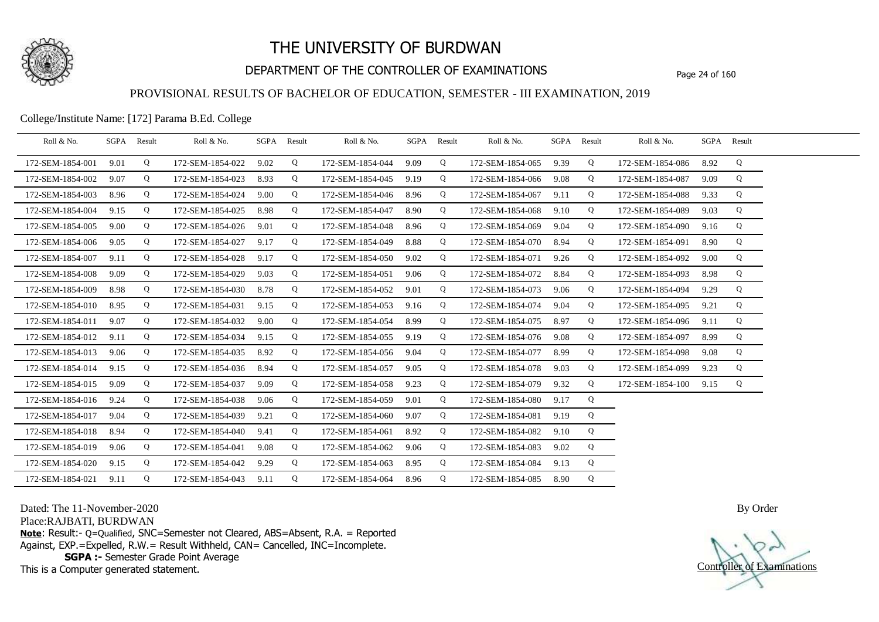

## DEPARTMENT OF THE CONTROLLER OF EXAMINATIONS Page 24 of 160

### PROVISIONAL RESULTS OF BACHELOR OF EDUCATION, SEMESTER - III EXAMINATION, 2019

College/Institute Name: [172] Parama B.Ed. College

| Roll & No.       | SGPA Result |   | Roll & No.       |      | SGPA Result | Roll & No.       | SGPA Result |   | Roll & No.       | SGPA Result |   | Roll & No.       |      | SGPA Result |  |
|------------------|-------------|---|------------------|------|-------------|------------------|-------------|---|------------------|-------------|---|------------------|------|-------------|--|
| 172-SEM-1854-001 | 9.01        | Q | 172-SEM-1854-022 | 9.02 | Q           | 172-SEM-1854-044 | 9.09        | Q | 172-SEM-1854-065 | 9.39        | Q | 172-SEM-1854-086 | 8.92 | Q           |  |
| 172-SEM-1854-002 | 9.07        | Q | 172-SEM-1854-023 | 8.93 | Q           | 172-SEM-1854-045 | 9.19        | Q | 172-SEM-1854-066 | 9.08        | Q | 172-SEM-1854-087 | 9.09 | Q           |  |
| 172-SEM-1854-003 | 8.96        | Q | 172-SEM-1854-024 | 9.00 | Q           | 172-SEM-1854-046 | 8.96        | Q | 172-SEM-1854-067 | 9.11        | Q | 172-SEM-1854-088 | 9.33 | Q           |  |
| 172-SEM-1854-004 | 9.15        | Q | 172-SEM-1854-025 | 8.98 | Q           | 172-SEM-1854-047 | 8.90        | Q | 172-SEM-1854-068 | 9.10        | Q | 172-SEM-1854-089 | 9.03 | Q           |  |
| 172-SEM-1854-005 | 9.00        | Q | 172-SEM-1854-026 | 9.01 | Q           | 172-SEM-1854-048 | 8.96        | Q | 172-SEM-1854-069 | 9.04        | Q | 172-SEM-1854-090 | 9.16 | Q           |  |
| 172-SEM-1854-006 | 9.05        | Q | 172-SEM-1854-027 | 9.17 | Q           | 172-SEM-1854-049 | 8.88        | Q | 172-SEM-1854-070 | 8.94        | Q | 172-SEM-1854-091 | 8.90 | Q           |  |
| 172-SEM-1854-007 | 9.11        | Q | 172-SEM-1854-028 | 9.17 | Q           | 172-SEM-1854-050 | 9.02        | Q | 172-SEM-1854-071 | 9.26        | Q | 172-SEM-1854-092 | 9.00 | Q           |  |
| 172-SEM-1854-008 | 9.09        | Q | 172-SEM-1854-029 | 9.03 | Q           | 172-SEM-1854-051 | 9.06        | Q | 172-SEM-1854-072 | 8.84        | Q | 172-SEM-1854-093 | 8.98 | Q           |  |
| 172-SEM-1854-009 | 8.98        | Q | 172-SEM-1854-030 | 8.78 | Q           | 172-SEM-1854-052 | 9.01        | Q | 172-SEM-1854-073 | 9.06        | Q | 172-SEM-1854-094 | 9.29 | Q           |  |
| 172-SEM-1854-010 | 8.95        | Q | 172-SEM-1854-031 | 9.15 | Q           | 172-SEM-1854-053 | 9.16        | Q | 172-SEM-1854-074 | 9.04        | Q | 172-SEM-1854-095 | 9.21 | Q           |  |
| 172-SEM-1854-011 | 9.07        | Q | 172-SEM-1854-032 | 9.00 | Q           | 172-SEM-1854-054 | 8.99        | Q | 172-SEM-1854-075 | 8.97        | Q | 172-SEM-1854-096 | 9.11 | Q           |  |
| 172-SEM-1854-012 | 9.11        | Q | 172-SEM-1854-034 | 9.15 | Q           | 172-SEM-1854-055 | 9.19        | Q | 172-SEM-1854-076 | 9.08        | Q | 172-SEM-1854-097 | 8.99 | Q           |  |
| 172-SEM-1854-013 | 9.06        | Q | 172-SEM-1854-035 | 8.92 | Q           | 172-SEM-1854-056 | 9.04        | Q | 172-SEM-1854-077 | 8.99        | Q | 172-SEM-1854-098 | 9.08 | Q           |  |
| 172-SEM-1854-014 | 9.15        | Q | 172-SEM-1854-036 | 8.94 | Q           | 172-SEM-1854-057 | 9.05        | Q | 172-SEM-1854-078 | 9.03        | Q | 172-SEM-1854-099 | 9.23 | Q           |  |
| 172-SEM-1854-015 | 9.09        | Q | 172-SEM-1854-037 | 9.09 | Q           | 172-SEM-1854-058 | 9.23        | Q | 172-SEM-1854-079 | 9.32        | Q | 172-SEM-1854-100 | 9.15 | Q           |  |
| 172-SEM-1854-016 | 9.24        | Q | 172-SEM-1854-038 | 9.06 | Q           | 172-SEM-1854-059 | 9.01        | Q | 172-SEM-1854-080 | 9.17        | Q |                  |      |             |  |
| 172-SEM-1854-017 | 9.04        | Q | 172-SEM-1854-039 | 9.21 | Q           | 172-SEM-1854-060 | 9.07        | Q | 172-SEM-1854-081 | 9.19        | Q |                  |      |             |  |
| 172-SEM-1854-018 | 8.94        | Q | 172-SEM-1854-040 | 9.41 | Q           | 172-SEM-1854-061 | 8.92        | Q | 172-SEM-1854-082 | 9.10        | Q |                  |      |             |  |
| 172-SEM-1854-019 | 9.06        | Q | 172-SEM-1854-041 | 9.08 | Q           | 172-SEM-1854-062 | 9.06        | Q | 172-SEM-1854-083 | 9.02        | Q |                  |      |             |  |
| 172-SEM-1854-020 | 9.15        | Q | 172-SEM-1854-042 | 9.29 | Q           | 172-SEM-1854-063 | 8.95        | Q | 172-SEM-1854-084 | 9.13        | Q |                  |      |             |  |
| 172-SEM-1854-021 | 9.11        | Q | 172-SEM-1854-043 | 9.11 | Q           | 172-SEM-1854-064 | 8.96        | Q | 172-SEM-1854-085 | 8.90        | Q |                  |      |             |  |

Dated: The 11-November-2020

Place:RAJBATI, BURDWAN

**Note**: Result:- Q=Qualified, SNC=Semester not Cleared, ABS=Absent, R.A. = Reported Against, EXP.=Expelled, R.W.= Result Withheld, CAN= Cancelled, INC=Incomplete. **SGPA :-** Semester Grade Point Average

This is a Computer generated statement.

Controller of Examinations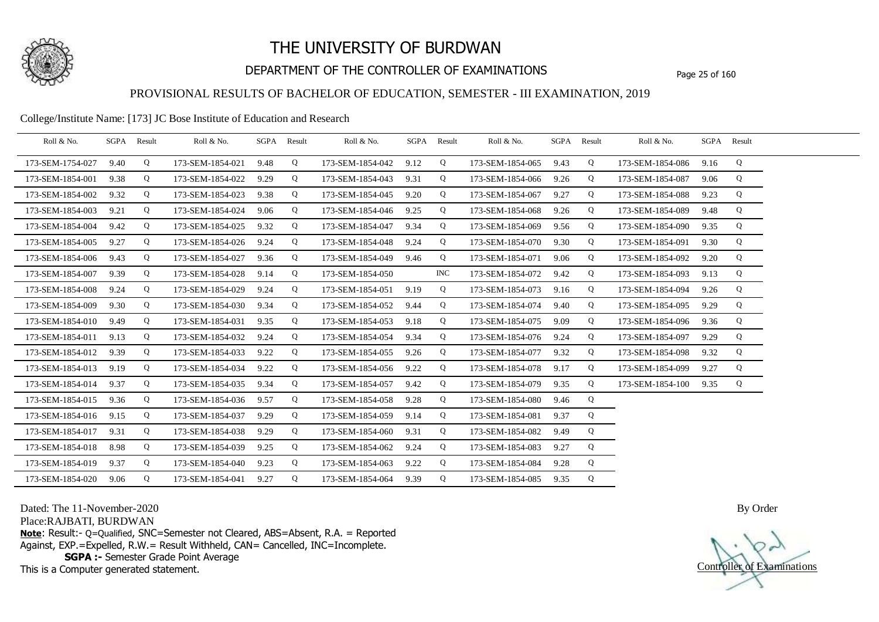

## DEPARTMENT OF THE CONTROLLER OF EXAMINATIONS Page 25 of 160

### PROVISIONAL RESULTS OF BACHELOR OF EDUCATION, SEMESTER - III EXAMINATION, 2019

College/Institute Name: [173] JC Bose Institute of Education and Research

| Roll & No.       |      | SGPA Result | Roll & No.       |      | SGPA Result | Roll & No.       |      | SGPA Result | Roll & No.       | SGPA Result |   | Roll & No.       |      | SGPA Result |  |
|------------------|------|-------------|------------------|------|-------------|------------------|------|-------------|------------------|-------------|---|------------------|------|-------------|--|
| 173-SEM-1754-027 | 9.40 | Q           | 173-SEM-1854-021 | 9.48 | Q           | 173-SEM-1854-042 | 9.12 | Q           | 173-SEM-1854-065 | 9.43        | Q | 173-SEM-1854-086 | 9.16 | Q           |  |
| 173-SEM-1854-001 | 9.38 | Q           | 173-SEM-1854-022 | 9.29 | Q           | 173-SEM-1854-043 | 9.31 | Q           | 173-SEM-1854-066 | 9.26        | Q | 173-SEM-1854-087 | 9.06 | Q           |  |
| 173-SEM-1854-002 | 9.32 | Q           | 173-SEM-1854-023 | 9.38 | Q           | 173-SEM-1854-045 | 9.20 | Q           | 173-SEM-1854-067 | 9.27        | Q | 173-SEM-1854-088 | 9.23 | Q           |  |
| 173-SEM-1854-003 | 9.21 | Q           | 173-SEM-1854-024 | 9.06 | Q           | 173-SEM-1854-046 | 9.25 | Q           | 173-SEM-1854-068 | 9.26        | Q | 173-SEM-1854-089 | 9.48 | Q           |  |
| 173-SEM-1854-004 | 9.42 | Q           | 173-SEM-1854-025 | 9.32 | Q           | 173-SEM-1854-047 | 9.34 | Q           | 173-SEM-1854-069 | 9.56        | Q | 173-SEM-1854-090 | 9.35 | Q           |  |
| 173-SEM-1854-005 | 9.27 | Q           | 173-SEM-1854-026 | 9.24 | Q           | 173-SEM-1854-048 | 9.24 | Q           | 173-SEM-1854-070 | 9.30        | Q | 173-SEM-1854-091 | 9.30 | Q           |  |
| 173-SEM-1854-006 | 9.43 | Q           | 173-SEM-1854-027 | 9.36 | Q           | 173-SEM-1854-049 | 9.46 | Q           | 173-SEM-1854-071 | 9.06        | Q | 173-SEM-1854-092 | 9.20 | Q           |  |
| 173-SEM-1854-007 | 9.39 | Q           | 173-SEM-1854-028 | 9.14 | Q           | 173-SEM-1854-050 |      | INC .       | 173-SEM-1854-072 | 9.42        | Q | 173-SEM-1854-093 | 9.13 | Q           |  |
| 173-SEM-1854-008 | 9.24 | Q           | 173-SEM-1854-029 | 9.24 | Q           | 173-SEM-1854-051 | 9.19 | Q           | 173-SEM-1854-073 | 9.16        | Q | 173-SEM-1854-094 | 9.26 | Q           |  |
| 173-SEM-1854-009 | 9.30 | Q           | 173-SEM-1854-030 | 9.34 | Q           | 173-SEM-1854-052 | 9.44 | Q           | 173-SEM-1854-074 | 9.40        | Q | 173-SEM-1854-095 | 9.29 | Q           |  |
| 173-SEM-1854-010 | 9.49 | Q           | 173-SEM-1854-031 | 9.35 | Q           | 173-SEM-1854-053 | 9.18 | Q           | 173-SEM-1854-075 | 9.09        | Q | 173-SEM-1854-096 | 9.36 | Q           |  |
| 173-SEM-1854-011 | 9.13 | Q           | 173-SEM-1854-032 | 9.24 | Q           | 173-SEM-1854-054 | 9.34 | Q           | 173-SEM-1854-076 | 9.24        | Q | 173-SEM-1854-097 | 9.29 | Q           |  |
| 173-SEM-1854-012 | 9.39 | Q           | 173-SEM-1854-033 | 9.22 | Q           | 173-SEM-1854-055 | 9.26 | Q           | 173-SEM-1854-077 | 9.32        | Q | 173-SEM-1854-098 | 9.32 | Q           |  |
| 173-SEM-1854-013 | 9.19 | Q           | 173-SEM-1854-034 | 9.22 | Q           | 173-SEM-1854-056 | 9.22 | Q           | 173-SEM-1854-078 | 9.17        | Q | 173-SEM-1854-099 | 9.27 | Q           |  |
| 173-SEM-1854-014 | 9.37 | Q           | 173-SEM-1854-035 | 9.34 | Q           | 173-SEM-1854-057 | 9.42 | Q           | 173-SEM-1854-079 | 9.35        | Q | 173-SEM-1854-100 | 9.35 | Q           |  |
| 173-SEM-1854-015 | 9.36 | Q           | 173-SEM-1854-036 | 9.57 | Q           | 173-SEM-1854-058 | 9.28 | Q           | 173-SEM-1854-080 | 9.46        | Q |                  |      |             |  |
| 173-SEM-1854-016 | 9.15 | Q           | 173-SEM-1854-037 | 9.29 | Q           | 173-SEM-1854-059 | 9.14 | Q           | 173-SEM-1854-081 | 9.37        | Q |                  |      |             |  |
| 173-SEM-1854-017 | 9.31 | Q           | 173-SEM-1854-038 | 9.29 | Q           | 173-SEM-1854-060 | 9.31 | Q           | 173-SEM-1854-082 | 9.49        | Q |                  |      |             |  |
| 173-SEM-1854-018 | 8.98 | Q           | 173-SEM-1854-039 | 9.25 | Q           | 173-SEM-1854-062 | 9.24 | Q           | 173-SEM-1854-083 | 9.27        | Q |                  |      |             |  |
| 173-SEM-1854-019 | 9.37 | Q           | 173-SEM-1854-040 | 9.23 | Q           | 173-SEM-1854-063 | 9.22 | Q           | 173-SEM-1854-084 | 9.28        | Q |                  |      |             |  |
| 173-SEM-1854-020 | 9.06 | Q           | 173-SEM-1854-041 | 9.27 | Q           | 173-SEM-1854-064 | 9.39 | Q           | 173-SEM-1854-085 | 9.35        | Q |                  |      |             |  |

Dated: The 11-November-2020

Place:RAJBATI, BURDWAN

**Note**: Result:- Q=Qualified, SNC=Semester not Cleared, ABS=Absent, R.A. = Reported Against, EXP.=Expelled, R.W.= Result Withheld, CAN= Cancelled, INC=Incomplete. **SGPA :-** Semester Grade Point Average

This is a Computer generated statement.

Controller of Examinations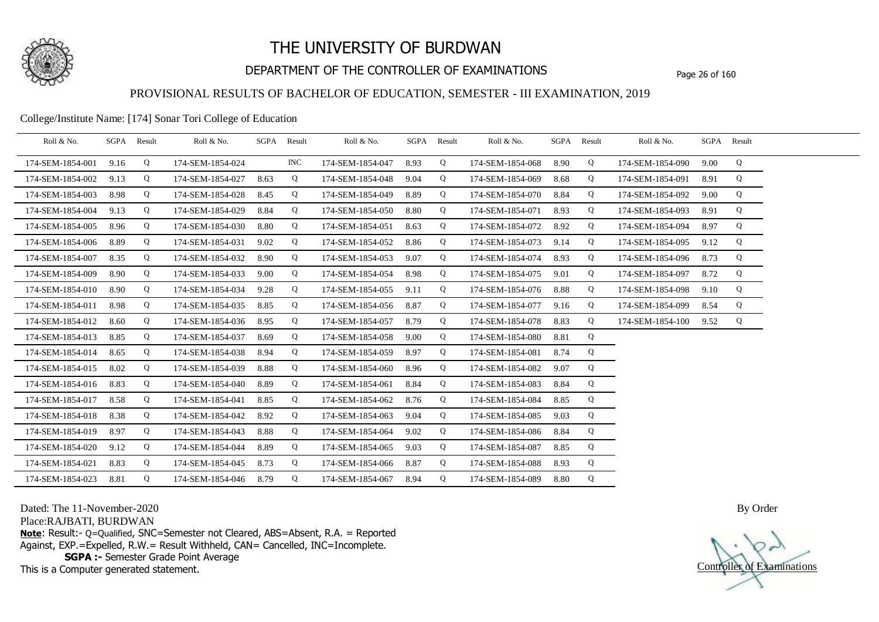

## DEPARTMENT OF THE CONTROLLER OF EXAMINATIONS Page 26 of 160

### PROVISIONAL RESULTS OF BACHELOR OF EDUCATION, SEMESTER - III EXAMINATION, 2019

#### College/Institute Name: [174] Sonar Tori College of Education

| Roll & No.       | SGPA Result |   | Roll & No.       | SGPA | Result | Roll & No.       | SGPA | Result | Roll & No.       |      | SGPA Result | Roll & No.       |      | SGPA Result |  |
|------------------|-------------|---|------------------|------|--------|------------------|------|--------|------------------|------|-------------|------------------|------|-------------|--|
| 174-SEM-1854-001 | 9.16        | Q | 174-SEM-1854-024 |      | INC    | 174-SEM-1854-047 | 8.93 | Q      | 174-SEM-1854-068 | 8.90 | Q           | 174-SEM-1854-090 | 9.00 | Q           |  |
| 174-SEM-1854-002 | 9.13        | Q | 174-SEM-1854-027 | 8.63 | Q      | 174-SEM-1854-048 | 9.04 | Q      | 174-SEM-1854-069 | 8.68 | Q           | 174-SEM-1854-091 | 8.91 | Q           |  |
| 174-SEM-1854-003 | 8.98        | Q | 174-SEM-1854-028 | 8.45 | Q      | 174-SEM-1854-049 | 8.89 | Q      | 174-SEM-1854-070 | 8.84 | Q           | 174-SEM-1854-092 | 9.00 | Q           |  |
| 174-SEM-1854-004 | 9.13        | Q | 174-SEM-1854-029 | 8.84 | Q      | 174-SEM-1854-050 | 8.80 | Q      | 174-SEM-1854-071 | 8.93 | Q           | 174-SEM-1854-093 | 8.91 | Q           |  |
| 174-SEM-1854-005 | 8.96        | Q | 174-SEM-1854-030 | 8.80 | Q      | 174-SEM-1854-051 | 8.63 | Q      | 174-SEM-1854-072 | 8.92 | Q           | 174-SEM-1854-094 | 8.97 | Q           |  |
| 174-SEM-1854-006 | 8.89        | Q | 174-SEM-1854-031 | 9.02 | Q      | 174-SEM-1854-052 | 8.86 | Q      | 174-SEM-1854-073 | 9.14 | Q           | 174-SEM-1854-095 | 9.12 | Q           |  |
| 174-SEM-1854-007 | 8.35        | Q | 174-SEM-1854-032 | 8.90 | Q      | 174-SEM-1854-053 | 9.07 | Q      | 174-SEM-1854-074 | 8.93 | Q           | 174-SEM-1854-096 | 8.73 | Q           |  |
| 174-SEM-1854-009 | 8.90        | Q | 174-SEM-1854-033 | 9.00 | Q      | 174-SEM-1854-054 | 8.98 | Q      | 174-SEM-1854-075 | 9.01 | Q           | 174-SEM-1854-097 | 8.72 | Q           |  |
| 174-SEM-1854-010 | 8.90        | Q | 174-SEM-1854-034 | 9.28 | Q      | 174-SEM-1854-055 | 9.11 | Q      | 174-SEM-1854-076 | 8.88 | Q           | 174-SEM-1854-098 | 9.10 | Q           |  |
| 174-SEM-1854-011 | 8.98        | Q | 174-SEM-1854-035 | 8.85 | Q      | 174-SEM-1854-056 | 8.87 | Q      | 174-SEM-1854-077 | 9.16 | Q           | 174-SEM-1854-099 | 8.54 | Q           |  |
| 174-SEM-1854-012 | 8.60        | Q | 174-SEM-1854-036 | 8.95 | Q      | 174-SEM-1854-057 | 8.79 | Q      | 174-SEM-1854-078 | 8.83 | Q           | 174-SEM-1854-100 | 9.52 | Q           |  |
| 174-SEM-1854-013 | 8.85        | Q | 174-SEM-1854-037 | 8.69 | Q      | 174-SEM-1854-058 | 9.00 | Q      | 174-SEM-1854-080 | 8.81 | Q           |                  |      |             |  |
| 174-SEM-1854-014 | 8.65        | Q | 174-SEM-1854-038 | 8.94 | Q      | 174-SEM-1854-059 | 8.97 | Q      | 174-SEM-1854-081 | 8.74 | Q           |                  |      |             |  |
| 174-SEM-1854-015 | 8.02        | Q | 174-SEM-1854-039 | 8.88 | Q      | 174-SEM-1854-060 | 8.96 | Q      | 174-SEM-1854-082 | 9.07 | Q           |                  |      |             |  |
| 174-SEM-1854-016 | 8.83        | Q | 174-SEM-1854-040 | 8.89 | Q      | 174-SEM-1854-061 | 8.84 | Q      | 174-SEM-1854-083 | 8.84 | Q           |                  |      |             |  |
| 174-SEM-1854-017 | 8.58        | Q | 174-SEM-1854-041 | 8.85 | Q      | 174-SEM-1854-062 | 8.76 | Q      | 174-SEM-1854-084 | 8.85 | Q           |                  |      |             |  |
| 174-SEM-1854-018 | 8.38        | Q | 174-SEM-1854-042 | 8.92 | Q      | 174-SEM-1854-063 | 9.04 | Q      | 174-SEM-1854-085 | 9.03 | Q           |                  |      |             |  |
| 174-SEM-1854-019 | 8.97        | Q | 174-SEM-1854-043 | 8.88 | Q      | 174-SEM-1854-064 | 9.02 | Q      | 174-SEM-1854-086 | 8.84 | Q           |                  |      |             |  |
| 174-SEM-1854-020 | 9.12        | Q | 174-SEM-1854-044 | 8.89 | Q      | 174-SEM-1854-065 | 9.03 | Q      | 174-SEM-1854-087 | 8.85 | Q           |                  |      |             |  |
| 174-SEM-1854-021 | 8.83        | Q | 174-SEM-1854-045 | 8.73 | Q      | 174-SEM-1854-066 | 8.87 | Q      | 174-SEM-1854-088 | 8.93 | Q           |                  |      |             |  |
| 174-SEM-1854-023 | 8.81        | Q | 174-SEM-1854-046 | 8.79 | Q      | 174-SEM-1854-067 | 8.94 | Q      | 174-SEM-1854-089 | 8.80 | Q           |                  |      |             |  |

Dated: The 11-November-2020

Place:RAJBATI, BURDWAN

**Note**: Result:- Q=Qualified, SNC=Semester not Cleared, ABS=Absent, R.A. = Reported Against, EXP.=Expelled, R.W.= Result Withheld, CAN= Cancelled, INC=Incomplete. **SGPA :-** Semester Grade Point Average

This is a Computer generated statement.

Controller of Examinations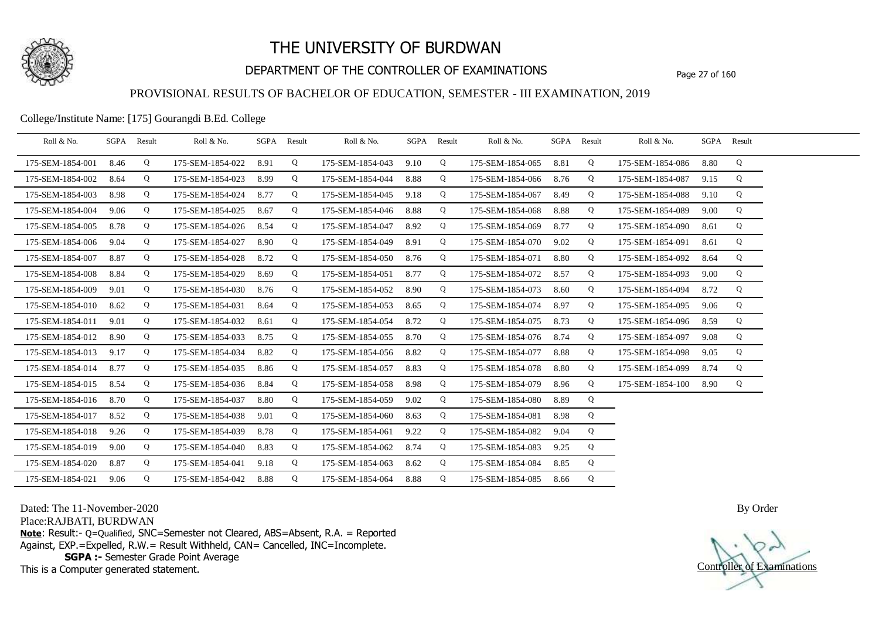

## DEPARTMENT OF THE CONTROLLER OF EXAMINATIONS Page 27 of 160

### PROVISIONAL RESULTS OF BACHELOR OF EDUCATION, SEMESTER - III EXAMINATION, 2019

College/Institute Name: [175] Gourangdi B.Ed. College

| Roll & No.       |      | SGPA Result | Roll & No.       |      | SGPA Result | Roll & No.       | SGPA Result |   | Roll & No.       | SGPA Result |   | Roll & No.       |      | SGPA Result |  |
|------------------|------|-------------|------------------|------|-------------|------------------|-------------|---|------------------|-------------|---|------------------|------|-------------|--|
| 175-SEM-1854-001 | 8.46 | Q           | 175-SEM-1854-022 | 8.91 | Q           | 175-SEM-1854-043 | 9.10        | Q | 175-SEM-1854-065 | 8.81        | Q | 175-SEM-1854-086 | 8.80 | Q           |  |
| 175-SEM-1854-002 | 8.64 | Q           | 175-SEM-1854-023 | 8.99 | Q           | 175-SEM-1854-044 | 8.88        | Q | 175-SEM-1854-066 | 8.76        | Q | 175-SEM-1854-087 | 9.15 | Q           |  |
| 175-SEM-1854-003 | 8.98 | Q           | 175-SEM-1854-024 | 8.77 | Q           | 175-SEM-1854-045 | 9.18        | Q | 175-SEM-1854-067 | 8.49        | Q | 175-SEM-1854-088 | 9.10 | Q           |  |
| 175-SEM-1854-004 | 9.06 | Q           | 175-SEM-1854-025 | 8.67 | Q           | 175-SEM-1854-046 | 8.88        | Q | 175-SEM-1854-068 | 8.88        | Q | 175-SEM-1854-089 | 9.00 | Q           |  |
| 175-SEM-1854-005 | 8.78 | Q           | 175-SEM-1854-026 | 8.54 | Q           | 175-SEM-1854-047 | 8.92        | Q | 175-SEM-1854-069 | 8.77        | Q | 175-SEM-1854-090 | 8.61 | Q           |  |
| 175-SEM-1854-006 | 9.04 | Q           | 175-SEM-1854-027 | 8.90 | Q           | 175-SEM-1854-049 | 8.91        | Q | 175-SEM-1854-070 | 9.02        | Q | 175-SEM-1854-091 | 8.61 | Q           |  |
| 175-SEM-1854-007 | 8.87 | Q           | 175-SEM-1854-028 | 8.72 | Q           | 175-SEM-1854-050 | 8.76        | Q | 175-SEM-1854-071 | 8.80        | Q | 175-SEM-1854-092 | 8.64 | Q           |  |
| 175-SEM-1854-008 | 8.84 | Q           | 175-SEM-1854-029 | 8.69 | Q           | 175-SEM-1854-051 | 8.77        | Q | 175-SEM-1854-072 | 8.57        | Q | 175-SEM-1854-093 | 9.00 | Q           |  |
| 175-SEM-1854-009 | 9.01 | Q           | 175-SEM-1854-030 | 8.76 | Q           | 175-SEM-1854-052 | 8.90        | Q | 175-SEM-1854-073 | 8.60        | Q | 175-SEM-1854-094 | 8.72 | Q           |  |
| 175-SEM-1854-010 | 8.62 | Q           | 175-SEM-1854-031 | 8.64 | Q           | 175-SEM-1854-053 | 8.65        | Q | 175-SEM-1854-074 | 8.97        | Q | 175-SEM-1854-095 | 9.06 | Q           |  |
| 175-SEM-1854-011 | 9.01 | Q           | 175-SEM-1854-032 | 8.61 | Q           | 175-SEM-1854-054 | 8.72        | Q | 175-SEM-1854-075 | 8.73        | Q | 175-SEM-1854-096 | 8.59 | Q           |  |
| 175-SEM-1854-012 | 8.90 | Q           | 175-SEM-1854-033 | 8.75 | Q           | 175-SEM-1854-055 | 8.70        | Q | 175-SEM-1854-076 | 8.74        | Q | 175-SEM-1854-097 | 9.08 | Q           |  |
| 175-SEM-1854-013 | 9.17 | Q           | 175-SEM-1854-034 | 8.82 | Q           | 175-SEM-1854-056 | 8.82        | Q | 175-SEM-1854-077 | 8.88        | Q | 175-SEM-1854-098 | 9.05 | Q           |  |
| 175-SEM-1854-014 | 8.77 | Q           | 175-SEM-1854-035 | 8.86 | Q           | 175-SEM-1854-057 | 8.83        | Q | 175-SEM-1854-078 | 8.80        | Q | 175-SEM-1854-099 | 8.74 | Q           |  |
| 175-SEM-1854-015 | 8.54 | Q           | 175-SEM-1854-036 | 8.84 | Q           | 175-SEM-1854-058 | 8.98        | Q | 175-SEM-1854-079 | 8.96        | Q | 175-SEM-1854-100 | 8.90 | Q           |  |
| 175-SEM-1854-016 | 8.70 | Q           | 175-SEM-1854-037 | 8.80 | Q           | 175-SEM-1854-059 | 9.02        | Q | 175-SEM-1854-080 | 8.89        | Q |                  |      |             |  |
| 175-SEM-1854-017 | 8.52 | Q           | 175-SEM-1854-038 | 9.01 | Q           | 175-SEM-1854-060 | 8.63        | Q | 175-SEM-1854-081 | 8.98        | Q |                  |      |             |  |
| 175-SEM-1854-018 | 9.26 | Q           | 175-SEM-1854-039 | 8.78 | Q           | 175-SEM-1854-061 | 9.22        | Q | 175-SEM-1854-082 | 9.04        | Q |                  |      |             |  |
| 175-SEM-1854-019 | 9.00 | Q           | 175-SEM-1854-040 | 8.83 | Q           | 175-SEM-1854-062 | 8.74        | Q | 175-SEM-1854-083 | 9.25        | Q |                  |      |             |  |
| 175-SEM-1854-020 | 8.87 | Q           | 175-SEM-1854-041 | 9.18 | Q           | 175-SEM-1854-063 | 8.62        | Q | 175-SEM-1854-084 | 8.85        | Q |                  |      |             |  |
| 175-SEM-1854-021 | 9.06 | Q           | 175-SEM-1854-042 | 8.88 | Q           | 175-SEM-1854-064 | 8.88        | Q | 175-SEM-1854-085 | 8.66        | Q |                  |      |             |  |

Dated: The 11-November-2020

Place:RAJBATI, BURDWAN

**Note**: Result:- Q=Qualified, SNC=Semester not Cleared, ABS=Absent, R.A. = Reported Against, EXP.=Expelled, R.W.= Result Withheld, CAN= Cancelled, INC=Incomplete. **SGPA :-** Semester Grade Point Average

This is a Computer generated statement.

Controller of Examinations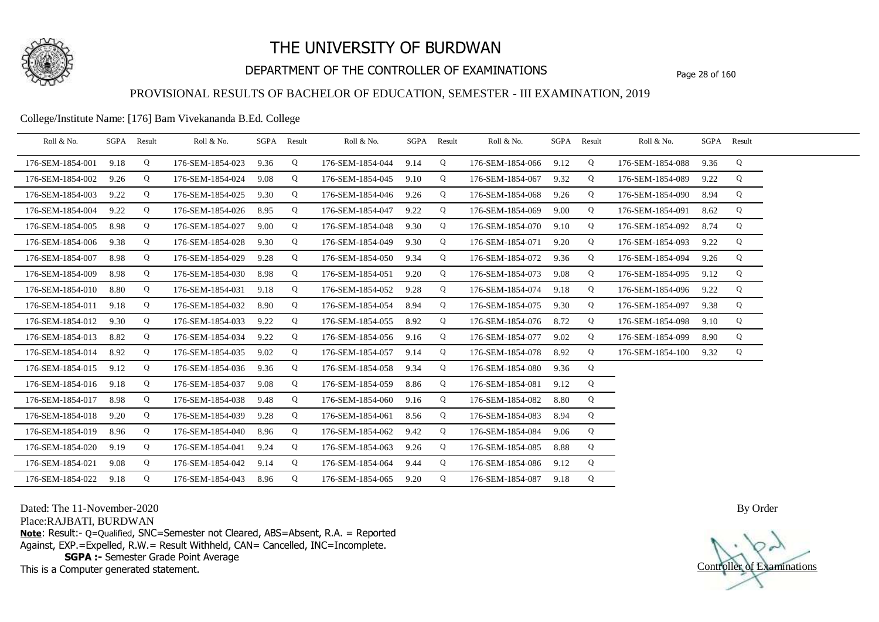

## DEPARTMENT OF THE CONTROLLER OF EXAMINATIONS Page 28 of 160

### PROVISIONAL RESULTS OF BACHELOR OF EDUCATION, SEMESTER - III EXAMINATION, 2019

#### College/Institute Name: [176] Bam Vivekananda B.Ed. College

| Roll & No.       |      | SGPA Result | Roll & No.       |      | SGPA Result | Roll & No.       |      | SGPA Result | Roll & No.       |      | SGPA Result | Roll & No.       |      | SGPA Result |  |
|------------------|------|-------------|------------------|------|-------------|------------------|------|-------------|------------------|------|-------------|------------------|------|-------------|--|
| 176-SEM-1854-001 | 9.18 | Q           | 176-SEM-1854-023 | 9.36 | Q           | 176-SEM-1854-044 | 9.14 | Q           | 176-SEM-1854-066 | 9.12 | Q           | 176-SEM-1854-088 | 9.36 | Q           |  |
| 176-SEM-1854-002 | 9.26 | Q           | 176-SEM-1854-024 | 9.08 | Q           | 176-SEM-1854-045 | 9.10 | Q           | 176-SEM-1854-067 | 9.32 | Q           | 176-SEM-1854-089 | 9.22 | Q           |  |
| 176-SEM-1854-003 | 9.22 | Q           | 176-SEM-1854-025 | 9.30 | Q           | 176-SEM-1854-046 | 9.26 | Q           | 176-SEM-1854-068 | 9.26 | Q           | 176-SEM-1854-090 | 8.94 | Q           |  |
| 176-SEM-1854-004 | 9.22 | Q           | 176-SEM-1854-026 | 8.95 | Q           | 176-SEM-1854-047 | 9.22 | Q           | 176-SEM-1854-069 | 9.00 | Q           | 176-SEM-1854-091 | 8.62 | Q           |  |
| 176-SEM-1854-005 | 8.98 | Q           | 176-SEM-1854-027 | 9.00 | Q           | 176-SEM-1854-048 | 9.30 | Q           | 176-SEM-1854-070 | 9.10 | Q           | 176-SEM-1854-092 | 8.74 | Q           |  |
| 176-SEM-1854-006 | 9.38 | Q           | 176-SEM-1854-028 | 9.30 | Q           | 176-SEM-1854-049 | 9.30 | Q           | 176-SEM-1854-071 | 9.20 | Q           | 176-SEM-1854-093 | 9.22 | Q           |  |
| 176-SEM-1854-007 | 8.98 | Q           | 176-SEM-1854-029 | 9.28 | Q           | 176-SEM-1854-050 | 9.34 | Q           | 176-SEM-1854-072 | 9.36 | Q           | 176-SEM-1854-094 | 9.26 | Q           |  |
| 176-SEM-1854-009 | 8.98 | Q           | 176-SEM-1854-030 | 8.98 | Q           | 176-SEM-1854-051 | 9.20 | Q           | 176-SEM-1854-073 | 9.08 | Q           | 176-SEM-1854-095 | 9.12 | Q           |  |
| 176-SEM-1854-010 | 8.80 | Q           | 176-SEM-1854-031 | 9.18 | Q           | 176-SEM-1854-052 | 9.28 | Q           | 176-SEM-1854-074 | 9.18 | Q           | 176-SEM-1854-096 | 9.22 | Q           |  |
| 176-SEM-1854-011 | 9.18 | Q           | 176-SEM-1854-032 | 8.90 | Q           | 176-SEM-1854-054 | 8.94 | Q           | 176-SEM-1854-075 | 9.30 | Q           | 176-SEM-1854-097 | 9.38 | Q           |  |
| 176-SEM-1854-012 | 9.30 | Q           | 176-SEM-1854-033 | 9.22 | Q           | 176-SEM-1854-055 | 8.92 | Q           | 176-SEM-1854-076 | 8.72 | Q           | 176-SEM-1854-098 | 9.10 | Q           |  |
| 176-SEM-1854-013 | 8.82 | Q           | 176-SEM-1854-034 | 9.22 | Q           | 176-SEM-1854-056 | 9.16 | Q           | 176-SEM-1854-077 | 9.02 | Q           | 176-SEM-1854-099 | 8.90 | Q           |  |
| 176-SEM-1854-014 | 8.92 | Q           | 176-SEM-1854-035 | 9.02 | Q           | 176-SEM-1854-057 | 9.14 | Q           | 176-SEM-1854-078 | 8.92 | Q           | 176-SEM-1854-100 | 9.32 | Q           |  |
| 176-SEM-1854-015 | 9.12 | Q           | 176-SEM-1854-036 | 9.36 | Q           | 176-SEM-1854-058 | 9.34 | Q           | 176-SEM-1854-080 | 9.36 | Q           |                  |      |             |  |
| 176-SEM-1854-016 | 9.18 | Q           | 176-SEM-1854-037 | 9.08 | Q           | 176-SEM-1854-059 | 8.86 | Q           | 176-SEM-1854-081 | 9.12 | Q           |                  |      |             |  |
| 176-SEM-1854-017 | 8.98 | Q           | 176-SEM-1854-038 | 9.48 | Q           | 176-SEM-1854-060 | 9.16 | Q           | 176-SEM-1854-082 | 8.80 | Q           |                  |      |             |  |
| 176-SEM-1854-018 | 9.20 | Q           | 176-SEM-1854-039 | 9.28 | Q           | 176-SEM-1854-061 | 8.56 | Q           | 176-SEM-1854-083 | 8.94 | Q           |                  |      |             |  |
| 176-SEM-1854-019 | 8.96 | Q           | 176-SEM-1854-040 | 8.96 | Q           | 176-SEM-1854-062 | 9.42 | Q           | 176-SEM-1854-084 | 9.06 | Q           |                  |      |             |  |
| 176-SEM-1854-020 | 9.19 | Q           | 176-SEM-1854-041 | 9.24 | Q           | 176-SEM-1854-063 | 9.26 | Q           | 176-SEM-1854-085 | 8.88 | Q           |                  |      |             |  |
| 176-SEM-1854-021 | 9.08 | Q           | 176-SEM-1854-042 | 9.14 | Q           | 176-SEM-1854-064 | 9.44 | Q           | 176-SEM-1854-086 | 9.12 | Q           |                  |      |             |  |
| 176-SEM-1854-022 | 9.18 | Q           | 176-SEM-1854-043 | 8.96 | Q           | 176-SEM-1854-065 | 9.20 | Q           | 176-SEM-1854-087 | 9.18 | Q           |                  |      |             |  |

Dated: The 11-November-2020

Place:RAJBATI, BURDWAN

**Note**: Result:- Q=Qualified, SNC=Semester not Cleared, ABS=Absent, R.A. = Reported Against, EXP.=Expelled, R.W.= Result Withheld, CAN= Cancelled, INC=Incomplete. **SGPA :-** Semester Grade Point Average

This is a Computer generated statement.

Controller of Examinations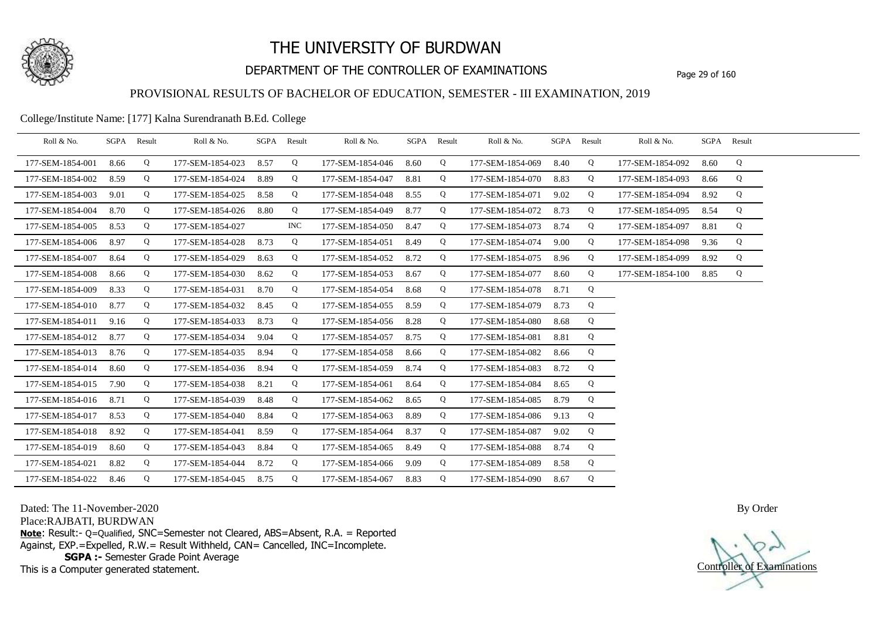

## DEPARTMENT OF THE CONTROLLER OF EXAMINATIONS Page 29 of 160

### PROVISIONAL RESULTS OF BACHELOR OF EDUCATION, SEMESTER - III EXAMINATION, 2019

#### College/Institute Name: [177] Kalna Surendranath B.Ed. College

| Roll & No.       |      | SGPA Result | Roll & No.       |      | SGPA Result | Roll & No.       |      | SGPA Result | Roll & No.       |      | SGPA Result | Roll & No.       |      | SGPA Result |  |
|------------------|------|-------------|------------------|------|-------------|------------------|------|-------------|------------------|------|-------------|------------------|------|-------------|--|
| 177-SEM-1854-001 | 8.66 | Q           | 177-SEM-1854-023 | 8.57 | Q           | 177-SEM-1854-046 | 8.60 | Q           | 177-SEM-1854-069 | 8.40 | Q           | 177-SEM-1854-092 | 8.60 | Q           |  |
| 177-SEM-1854-002 | 8.59 | Q           | 177-SEM-1854-024 | 8.89 | Q           | 177-SEM-1854-047 | 8.81 | Q           | 177-SEM-1854-070 | 8.83 | Q           | 177-SEM-1854-093 | 8.66 | Q           |  |
| 177-SEM-1854-003 | 9.01 | Q           | 177-SEM-1854-025 | 8.58 | Q           | 177-SEM-1854-048 | 8.55 | Q           | 177-SEM-1854-071 | 9.02 | Q           | 177-SEM-1854-094 | 8.92 | Q           |  |
| 177-SEM-1854-004 | 8.70 | Q           | 177-SEM-1854-026 | 8.80 | Q           | 177-SEM-1854-049 | 8.77 | Q           | 177-SEM-1854-072 | 8.73 | Q           | 177-SEM-1854-095 | 8.54 | Q           |  |
| 177-SEM-1854-005 | 8.53 | Q           | 177-SEM-1854-027 |      | INC.        | 177-SEM-1854-050 | 8.47 | Q           | 177-SEM-1854-073 | 8.74 | Q           | 177-SEM-1854-097 | 8.81 | Q           |  |
| 177-SEM-1854-006 | 8.97 | Q           | 177-SEM-1854-028 | 8.73 | Q           | 177-SEM-1854-051 | 8.49 | Q           | 177-SEM-1854-074 | 9.00 | Q           | 177-SEM-1854-098 | 9.36 | Q           |  |
| 177-SEM-1854-007 | 8.64 | Q           | 177-SEM-1854-029 | 8.63 | Q           | 177-SEM-1854-052 | 8.72 | Q           | 177-SEM-1854-075 | 8.96 | Q           | 177-SEM-1854-099 | 8.92 | Q           |  |
| 177-SEM-1854-008 | 8.66 | Q           | 177-SEM-1854-030 | 8.62 | Q           | 177-SEM-1854-053 | 8.67 | Q           | 177-SEM-1854-077 | 8.60 | Q           | 177-SEM-1854-100 | 8.85 | Q           |  |
| 177-SEM-1854-009 | 8.33 | Q           | 177-SEM-1854-031 | 8.70 | Q           | 177-SEM-1854-054 | 8.68 | Q           | 177-SEM-1854-078 | 8.71 | Q           |                  |      |             |  |
| 177-SEM-1854-010 | 8.77 | Q           | 177-SEM-1854-032 | 8.45 | Q           | 177-SEM-1854-055 | 8.59 | Q           | 177-SEM-1854-079 | 8.73 | Q           |                  |      |             |  |
| 177-SEM-1854-011 | 9.16 | Q           | 177-SEM-1854-033 | 8.73 | Q           | 177-SEM-1854-056 | 8.28 | Q           | 177-SEM-1854-080 | 8.68 | Q           |                  |      |             |  |
| 177-SEM-1854-012 | 8.77 | Q           | 177-SEM-1854-034 | 9.04 | Q           | 177-SEM-1854-057 | 8.75 | Q           | 177-SEM-1854-081 | 8.81 | Q           |                  |      |             |  |
| 177-SEM-1854-013 | 8.76 | Q           | 177-SEM-1854-035 | 8.94 | Q           | 177-SEM-1854-058 | 8.66 | Q           | 177-SEM-1854-082 | 8.66 | Q           |                  |      |             |  |
| 177-SEM-1854-014 | 8.60 | Q           | 177-SEM-1854-036 | 8.94 | Q           | 177-SEM-1854-059 | 8.74 | Q           | 177-SEM-1854-083 | 8.72 | Q           |                  |      |             |  |
| 177-SEM-1854-015 | 7.90 | Q           | 177-SEM-1854-038 | 8.21 | Q           | 177-SEM-1854-061 | 8.64 | Q           | 177-SEM-1854-084 | 8.65 | Q           |                  |      |             |  |
| 177-SEM-1854-016 | 8.71 | Q           | 177-SEM-1854-039 | 8.48 | Q           | 177-SEM-1854-062 | 8.65 | Q           | 177-SEM-1854-085 | 8.79 | Q           |                  |      |             |  |
| 177-SEM-1854-017 | 8.53 | Q           | 177-SEM-1854-040 | 8.84 | Q           | 177-SEM-1854-063 | 8.89 | Q           | 177-SEM-1854-086 | 9.13 | Q           |                  |      |             |  |
| 177-SEM-1854-018 | 8.92 | Q           | 177-SEM-1854-041 | 8.59 | Q           | 177-SEM-1854-064 | 8.37 | Q           | 177-SEM-1854-087 | 9.02 | Q           |                  |      |             |  |
| 177-SEM-1854-019 | 8.60 | Q           | 177-SEM-1854-043 | 8.84 | Q           | 177-SEM-1854-065 | 8.49 | Q           | 177-SEM-1854-088 | 8.74 | Q           |                  |      |             |  |
| 177-SEM-1854-021 | 8.82 | Q           | 177-SEM-1854-044 | 8.72 | Q           | 177-SEM-1854-066 | 9.09 | Q           | 177-SEM-1854-089 | 8.58 | Q           |                  |      |             |  |
| 177-SEM-1854-022 | 8.46 | Q           | 177-SEM-1854-045 | 8.75 | Q           | 177-SEM-1854-067 | 8.83 | Q           | 177-SEM-1854-090 | 8.67 | Q           |                  |      |             |  |

Dated: The 11-November-2020

Place:RAJBATI, BURDWAN

**Note**: Result:- Q=Qualified, SNC=Semester not Cleared, ABS=Absent, R.A. = Reported Against, EXP.=Expelled, R.W.= Result Withheld, CAN= Cancelled, INC=Incomplete. **SGPA :-** Semester Grade Point Average

This is a Computer generated statement.

Controller of Examinations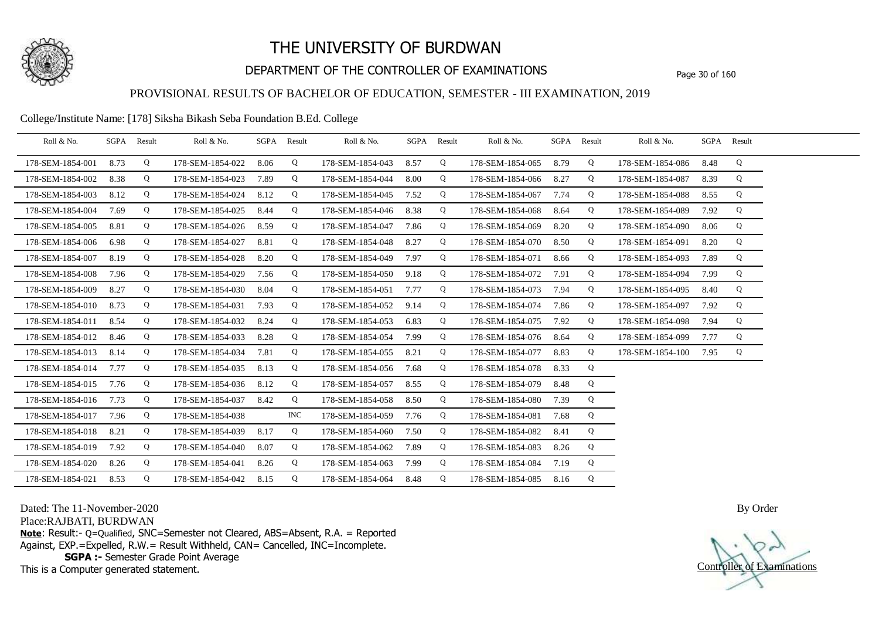

## DEPARTMENT OF THE CONTROLLER OF EXAMINATIONS Page 30 of 160

### PROVISIONAL RESULTS OF BACHELOR OF EDUCATION, SEMESTER - III EXAMINATION, 2019

College/Institute Name: [178] Siksha Bikash Seba Foundation B.Ed. College

| Roll & No.       |      | SGPA Result | Roll & No.       |      | SGPA Result | Roll & No.       |      | SGPA Result | Roll & No.       |      | SGPA Result | Roll & No.       |      | SGPA Result |  |
|------------------|------|-------------|------------------|------|-------------|------------------|------|-------------|------------------|------|-------------|------------------|------|-------------|--|
| 178-SEM-1854-001 | 8.73 | Q           | 178-SEM-1854-022 | 8.06 | Q           | 178-SEM-1854-043 | 8.57 | Q           | 178-SEM-1854-065 | 8.79 | Q           | 178-SEM-1854-086 | 8.48 | Q           |  |
| 178-SEM-1854-002 | 8.38 | Q           | 178-SEM-1854-023 | 7.89 | Q           | 178-SEM-1854-044 | 8.00 | Q           | 178-SEM-1854-066 | 8.27 | Q           | 178-SEM-1854-087 | 8.39 | Q           |  |
| 178-SEM-1854-003 | 8.12 | Q           | 178-SEM-1854-024 | 8.12 | Q           | 178-SEM-1854-045 | 7.52 | Q           | 178-SEM-1854-067 | 7.74 | Q           | 178-SEM-1854-088 | 8.55 | Q           |  |
| 178-SEM-1854-004 | 7.69 | Q           | 178-SEM-1854-025 | 8.44 | Q           | 178-SEM-1854-046 | 8.38 | Q           | 178-SEM-1854-068 | 8.64 | Q           | 178-SEM-1854-089 | 7.92 | Q           |  |
| 178-SEM-1854-005 | 8.81 | Q           | 178-SEM-1854-026 | 8.59 | Q           | 178-SEM-1854-047 | 7.86 | Q           | 178-SEM-1854-069 | 8.20 | Q           | 178-SEM-1854-090 | 8.06 | Q           |  |
| 178-SEM-1854-006 | 6.98 | Q           | 178-SEM-1854-027 | 8.81 | Q           | 178-SEM-1854-048 | 8.27 | Q           | 178-SEM-1854-070 | 8.50 | Q           | 178-SEM-1854-091 | 8.20 | Q           |  |
| 178-SEM-1854-007 | 8.19 | Q           | 178-SEM-1854-028 | 8.20 | Q           | 178-SEM-1854-049 | 7.97 | Q           | 178-SEM-1854-071 | 8.66 | Q           | 178-SEM-1854-093 | 7.89 | Q           |  |
| 178-SEM-1854-008 | 7.96 | Q           | 178-SEM-1854-029 | 7.56 | Q           | 178-SEM-1854-050 | 9.18 | Q           | 178-SEM-1854-072 | 7.91 | Q           | 178-SEM-1854-094 | 7.99 | Q           |  |
| 178-SEM-1854-009 | 8.27 | Q           | 178-SEM-1854-030 | 8.04 | Q           | 178-SEM-1854-051 | 7.77 | Q           | 178-SEM-1854-073 | 7.94 | Q           | 178-SEM-1854-095 | 8.40 | Q           |  |
| 178-SEM-1854-010 | 8.73 | Q           | 178-SEM-1854-031 | 7.93 | Q           | 178-SEM-1854-052 | 9.14 | Q           | 178-SEM-1854-074 | 7.86 | Q           | 178-SEM-1854-097 | 7.92 | Q           |  |
| 178-SEM-1854-011 | 8.54 | Q           | 178-SEM-1854-032 | 8.24 | Q           | 178-SEM-1854-053 | 6.83 | Q           | 178-SEM-1854-075 | 7.92 | Q           | 178-SEM-1854-098 | 7.94 | Q           |  |
| 178-SEM-1854-012 | 8.46 | Q           | 178-SEM-1854-033 | 8.28 | Q           | 178-SEM-1854-054 | 7.99 | Q           | 178-SEM-1854-076 | 8.64 | Q           | 178-SEM-1854-099 | 7.77 | Q           |  |
| 178-SEM-1854-013 | 8.14 | Q           | 178-SEM-1854-034 | 7.81 | Q           | 178-SEM-1854-055 | 8.21 | Q           | 178-SEM-1854-077 | 8.83 | Q           | 178-SEM-1854-100 | 7.95 | Q           |  |
| 178-SEM-1854-014 | 7.77 | Q           | 178-SEM-1854-035 | 8.13 | Q           | 178-SEM-1854-056 | 7.68 | Q           | 178-SEM-1854-078 | 8.33 | Q           |                  |      |             |  |
| 178-SEM-1854-015 | 7.76 | Q           | 178-SEM-1854-036 | 8.12 | Q           | 178-SEM-1854-057 | 8.55 | Q           | 178-SEM-1854-079 | 8.48 | Q           |                  |      |             |  |
| 178-SEM-1854-016 | 7.73 | Q           | 178-SEM-1854-037 | 8.42 | Q           | 178-SEM-1854-058 | 8.50 | Q           | 178-SEM-1854-080 | 7.39 | Q           |                  |      |             |  |
| 178-SEM-1854-017 | 7.96 | Q           | 178-SEM-1854-038 |      | INC.        | 178-SEM-1854-059 | 7.76 | Q           | 178-SEM-1854-081 | 7.68 | Q           |                  |      |             |  |
| 178-SEM-1854-018 | 8.21 | Q           | 178-SEM-1854-039 | 8.17 | Q           | 178-SEM-1854-060 | 7.50 | Q           | 178-SEM-1854-082 | 8.41 | Q           |                  |      |             |  |
| 178-SEM-1854-019 | 7.92 | Q           | 178-SEM-1854-040 | 8.07 | Q           | 178-SEM-1854-062 | 7.89 | Q           | 178-SEM-1854-083 | 8.26 | Q           |                  |      |             |  |
| 178-SEM-1854-020 | 8.26 | Q           | 178-SEM-1854-041 | 8.26 | Q           | 178-SEM-1854-063 | 7.99 | Q           | 178-SEM-1854-084 | 7.19 | Q           |                  |      |             |  |
| 178-SEM-1854-021 | 8.53 | Q           | 178-SEM-1854-042 | 8.15 | Q           | 178-SEM-1854-064 | 8.48 | Q           | 178-SEM-1854-085 | 8.16 | Q           |                  |      |             |  |

Dated: The 11-November-2020

Place:RAJBATI, BURDWAN

**Note**: Result:- Q=Qualified, SNC=Semester not Cleared, ABS=Absent, R.A. = Reported Against, EXP.=Expelled, R.W.= Result Withheld, CAN= Cancelled, INC=Incomplete. **SGPA :-** Semester Grade Point Average

This is a Computer generated statement.

Controller of Examinations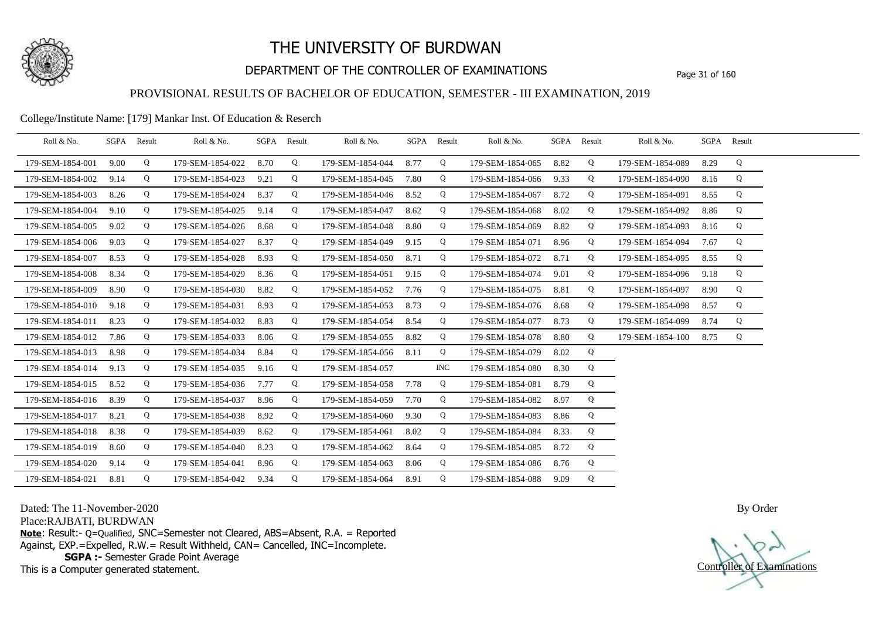

## DEPARTMENT OF THE CONTROLLER OF EXAMINATIONS Page 31 of 160

### PROVISIONAL RESULTS OF BACHELOR OF EDUCATION, SEMESTER - III EXAMINATION, 2019

#### College/Institute Name: [179] Mankar Inst. Of Education & Reserch

| Roll & No.       |      | SGPA Result | Roll & No.       |      | SGPA Result | Roll & No.       |      | SGPA Result | Roll & No.       | SGPA | Result | Roll & No.       | SGPA Result |   |  |
|------------------|------|-------------|------------------|------|-------------|------------------|------|-------------|------------------|------|--------|------------------|-------------|---|--|
| 179-SEM-1854-001 | 9.00 | Q           | 179-SEM-1854-022 | 8.70 | Q           | 179-SEM-1854-044 | 8.77 | Q           | 179-SEM-1854-065 | 8.82 | Q      | 179-SEM-1854-089 | 8.29        | Q |  |
| 179-SEM-1854-002 | 9.14 | Q           | 179-SEM-1854-023 | 9.21 | Q           | 179-SEM-1854-045 | 7.80 | Q           | 179-SEM-1854-066 | 9.33 | Q      | 179-SEM-1854-090 | 8.16        | Q |  |
| 179-SEM-1854-003 | 8.26 | Q           | 179-SEM-1854-024 | 8.37 | Q           | 179-SEM-1854-046 | 8.52 | Q           | 179-SEM-1854-067 | 8.72 | Q      | 179-SEM-1854-091 | 8.55        | Q |  |
| 179-SEM-1854-004 | 9.10 | Q           | 179-SEM-1854-025 | 9.14 | Q           | 179-SEM-1854-047 | 8.62 | Q           | 179-SEM-1854-068 | 8.02 | Q      | 179-SEM-1854-092 | 8.86        | Q |  |
| 179-SEM-1854-005 | 9.02 | Q           | 179-SEM-1854-026 | 8.68 | Q           | 179-SEM-1854-048 | 8.80 | Q           | 179-SEM-1854-069 | 8.82 | Q      | 179-SEM-1854-093 | 8.16        | Q |  |
| 179-SEM-1854-006 | 9.03 | Q           | 179-SEM-1854-027 | 8.37 | Q           | 179-SEM-1854-049 | 9.15 | Q           | 179-SEM-1854-071 | 8.96 | Q      | 179-SEM-1854-094 | 7.67        | Q |  |
| 179-SEM-1854-007 | 8.53 | Q           | 179-SEM-1854-028 | 8.93 | Q           | 179-SEM-1854-050 | 8.71 | Q           | 179-SEM-1854-072 | 8.71 | Q      | 179-SEM-1854-095 | 8.55        | Q |  |
| 179-SEM-1854-008 | 8.34 | Q           | 179-SEM-1854-029 | 8.36 | Q           | 179-SEM-1854-051 | 9.15 | Q           | 179-SEM-1854-074 | 9.01 | Q      | 179-SEM-1854-096 | 9.18        | Q |  |
| 179-SEM-1854-009 | 8.90 | Q           | 179-SEM-1854-030 | 8.82 | Q           | 179-SEM-1854-052 | 7.76 | Q           | 179-SEM-1854-075 | 8.81 | Q      | 179-SEM-1854-097 | 8.90        | Q |  |
| 179-SEM-1854-010 | 9.18 | Q           | 179-SEM-1854-031 | 8.93 | Q           | 179-SEM-1854-053 | 8.73 | Q           | 179-SEM-1854-076 | 8.68 | Q      | 179-SEM-1854-098 | 8.57        | Q |  |
| 179-SEM-1854-011 | 8.23 | Q           | 179-SEM-1854-032 | 8.83 | Q           | 179-SEM-1854-054 | 8.54 | Q           | 179-SEM-1854-077 | 8.73 | Q      | 179-SEM-1854-099 | 8.74        | Q |  |
| 179-SEM-1854-012 | 7.86 | Q           | 179-SEM-1854-033 | 8.06 | Q           | 179-SEM-1854-055 | 8.82 | Q           | 179-SEM-1854-078 | 8.80 | Q      | 179-SEM-1854-100 | 8.75        | Q |  |
| 179-SEM-1854-013 | 8.98 | Q           | 179-SEM-1854-034 | 8.84 | Q           | 179-SEM-1854-056 | 8.11 | Q           | 179-SEM-1854-079 | 8.02 | Q      |                  |             |   |  |
| 179-SEM-1854-014 | 9.13 | Q           | 179-SEM-1854-035 | 9.16 | Q           | 179-SEM-1854-057 |      | <b>INC</b>  | 179-SEM-1854-080 | 8.30 | Q      |                  |             |   |  |
| 179-SEM-1854-015 | 8.52 | Q           | 179-SEM-1854-036 | 7.77 | Q           | 179-SEM-1854-058 | 7.78 | Q           | 179-SEM-1854-081 | 8.79 | Q      |                  |             |   |  |
| 179-SEM-1854-016 | 8.39 | Q           | 179-SEM-1854-037 | 8.96 | Q           | 179-SEM-1854-059 | 7.70 | Q           | 179-SEM-1854-082 | 8.97 | Q      |                  |             |   |  |
| 179-SEM-1854-017 | 8.21 | Q           | 179-SEM-1854-038 | 8.92 | Q           | 179-SEM-1854-060 | 9.30 | Q           | 179-SEM-1854-083 | 8.86 | Q      |                  |             |   |  |
| 179-SEM-1854-018 | 8.38 | Q           | 179-SEM-1854-039 | 8.62 | Q           | 179-SEM-1854-061 | 8.02 | Q           | 179-SEM-1854-084 | 8.33 | Q      |                  |             |   |  |
| 179-SEM-1854-019 | 8.60 | Q           | 179-SEM-1854-040 | 8.23 | Q           | 179-SEM-1854-062 | 8.64 | Q           | 179-SEM-1854-085 | 8.72 | Q      |                  |             |   |  |
| 179-SEM-1854-020 | 9.14 | Q           | 179-SEM-1854-041 | 8.96 | Q           | 179-SEM-1854-063 | 8.06 | Q           | 179-SEM-1854-086 | 8.76 | Q      |                  |             |   |  |
| 179-SEM-1854-021 | 8.81 | Q           | 179-SEM-1854-042 | 9.34 | Q           | 179-SEM-1854-064 | 8.91 | Q           | 179-SEM-1854-088 | 9.09 | Q      |                  |             |   |  |

Dated: The 11-November-2020

Place:RAJBATI, BURDWAN

**Note**: Result:- Q=Qualified, SNC=Semester not Cleared, ABS=Absent, R.A. = Reported Against, EXP.=Expelled, R.W.= Result Withheld, CAN= Cancelled, INC=Incomplete. **SGPA :-** Semester Grade Point Average

This is a Computer generated statement.

Controller of Examinations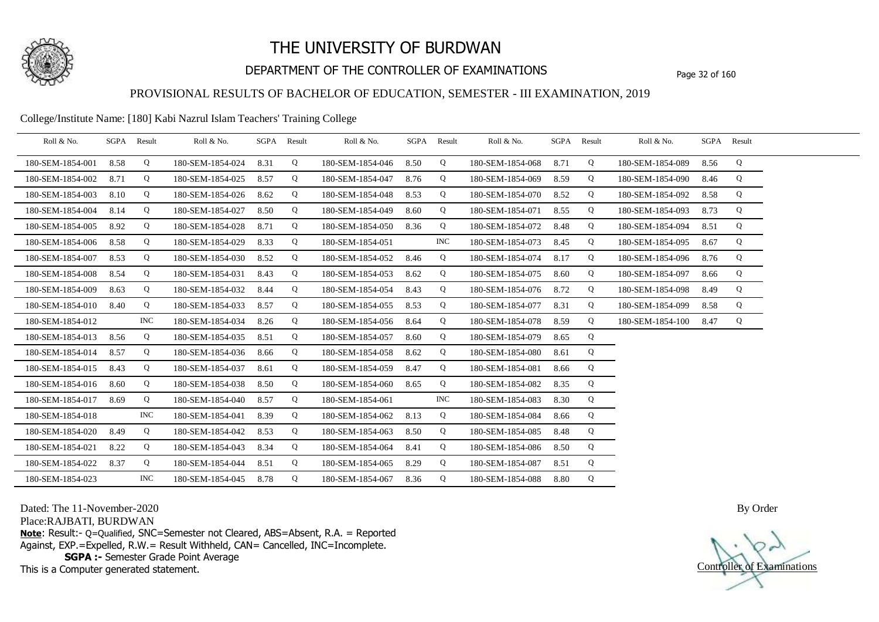

## DEPARTMENT OF THE CONTROLLER OF EXAMINATIONS Page 32 of 160

### PROVISIONAL RESULTS OF BACHELOR OF EDUCATION, SEMESTER - III EXAMINATION, 2019

College/Institute Name: [180] Kabi Nazrul Islam Teachers' Training College

| Roll & No.       |      | SGPA Result | Roll & No.       |      | SGPA Result | Roll & No.       |      | SGPA Result | Roll & No.       | SGPA Result |   | Roll & No.       |      | SGPA Result |  |
|------------------|------|-------------|------------------|------|-------------|------------------|------|-------------|------------------|-------------|---|------------------|------|-------------|--|
| 180-SEM-1854-001 | 8.58 | Q           | 180-SEM-1854-024 | 8.31 | Q           | 180-SEM-1854-046 | 8.50 | Q           | 180-SEM-1854-068 | 8.71        | Q | 180-SEM-1854-089 | 8.56 | Q           |  |
| 180-SEM-1854-002 | 8.71 | Q           | 180-SEM-1854-025 | 8.57 | Q           | 180-SEM-1854-047 | 8.76 | Q           | 180-SEM-1854-069 | 8.59        | Q | 180-SEM-1854-090 | 8.46 | Q           |  |
| 180-SEM-1854-003 | 8.10 | Q           | 180-SEM-1854-026 | 8.62 | Q           | 180-SEM-1854-048 | 8.53 | Q           | 180-SEM-1854-070 | 8.52        | Q | 180-SEM-1854-092 | 8.58 | Q           |  |
| 180-SEM-1854-004 | 8.14 | Q           | 180-SEM-1854-027 | 8.50 | Q           | 180-SEM-1854-049 | 8.60 | Q           | 180-SEM-1854-071 | 8.55        | Q | 180-SEM-1854-093 | 8.73 | Q           |  |
| 180-SEM-1854-005 | 8.92 | Q           | 180-SEM-1854-028 | 8.71 | Q           | 180-SEM-1854-050 | 8.36 | Q           | 180-SEM-1854-072 | 8.48        | Q | 180-SEM-1854-094 | 8.51 | Q           |  |
| 180-SEM-1854-006 | 8.58 | Q           | 180-SEM-1854-029 | 8.33 | Q           | 180-SEM-1854-051 |      | <b>INC</b>  | 180-SEM-1854-073 | 8.45        | Q | 180-SEM-1854-095 | 8.67 | Q           |  |
| 180-SEM-1854-007 | 8.53 | Q           | 180-SEM-1854-030 | 8.52 | Q           | 180-SEM-1854-052 | 8.46 | Q           | 180-SEM-1854-074 | 8.17        | Q | 180-SEM-1854-096 | 8.76 | Q           |  |
| 180-SEM-1854-008 | 8.54 | Q           | 180-SEM-1854-031 | 8.43 | Q           | 180-SEM-1854-053 | 8.62 | Q           | 180-SEM-1854-075 | 8.60        | Q | 180-SEM-1854-097 | 8.66 | Q           |  |
| 180-SEM-1854-009 | 8.63 | Q           | 180-SEM-1854-032 | 8.44 | Q           | 180-SEM-1854-054 | 8.43 | Q           | 180-SEM-1854-076 | 8.72        | Q | 180-SEM-1854-098 | 8.49 | Q           |  |
| 180-SEM-1854-010 | 8.40 | Q           | 180-SEM-1854-033 | 8.57 | Q           | 180-SEM-1854-055 | 8.53 | Q           | 180-SEM-1854-077 | 8.31        | Q | 180-SEM-1854-099 | 8.58 | Q           |  |
| 180-SEM-1854-012 |      | INC.        | 180-SEM-1854-034 | 8.26 | Q           | 180-SEM-1854-056 | 8.64 | Q           | 180-SEM-1854-078 | 8.59        | Q | 180-SEM-1854-100 | 8.47 | Q           |  |
| 180-SEM-1854-013 | 8.56 | Q           | 180-SEM-1854-035 | 8.51 | Q           | 180-SEM-1854-057 | 8.60 | Q           | 180-SEM-1854-079 | 8.65        | Q |                  |      |             |  |
| 180-SEM-1854-014 | 8.57 | Q           | 180-SEM-1854-036 | 8.66 | Q           | 180-SEM-1854-058 | 8.62 | Q           | 180-SEM-1854-080 | 8.61        | Q |                  |      |             |  |
| 180-SEM-1854-015 | 8.43 | Q           | 180-SEM-1854-037 | 8.61 | Q           | 180-SEM-1854-059 | 8.47 | Q           | 180-SEM-1854-081 | 8.66        | Q |                  |      |             |  |
| 180-SEM-1854-016 | 8.60 | Q           | 180-SEM-1854-038 | 8.50 | Q           | 180-SEM-1854-060 | 8.65 | Q           | 180-SEM-1854-082 | 8.35        | Q |                  |      |             |  |
| 180-SEM-1854-017 | 8.69 | Q           | 180-SEM-1854-040 | 8.57 | Q           | 180-SEM-1854-061 |      | <b>INC</b>  | 180-SEM-1854-083 | 8.30        | Q |                  |      |             |  |
| 180-SEM-1854-018 |      | <b>INC</b>  | 180-SEM-1854-041 | 8.39 | Q           | 180-SEM-1854-062 | 8.13 | Q           | 180-SEM-1854-084 | 8.66        | Q |                  |      |             |  |
| 180-SEM-1854-020 | 8.49 | Q           | 180-SEM-1854-042 | 8.53 | Q           | 180-SEM-1854-063 | 8.50 | Q           | 180-SEM-1854-085 | 8.48        | Q |                  |      |             |  |
| 180-SEM-1854-021 | 8.22 | Q           | 180-SEM-1854-043 | 8.34 | Q           | 180-SEM-1854-064 | 8.41 | Q           | 180-SEM-1854-086 | 8.50        | Q |                  |      |             |  |
| 180-SEM-1854-022 | 8.37 | Q           | 180-SEM-1854-044 | 8.51 | Q           | 180-SEM-1854-065 | 8.29 | Q           | 180-SEM-1854-087 | 8.51        | Q |                  |      |             |  |
| 180-SEM-1854-023 |      | <b>INC</b>  | 180-SEM-1854-045 | 8.78 | Q           | 180-SEM-1854-067 | 8.36 | Q           | 180-SEM-1854-088 | 8.80        | Q |                  |      |             |  |

Dated: The 11-November-2020

Place:RAJBATI, BURDWAN

**Note**: Result:- Q=Qualified, SNC=Semester not Cleared, ABS=Absent, R.A. = Reported Against, EXP.=Expelled, R.W.= Result Withheld, CAN= Cancelled, INC=Incomplete. **SGPA :-** Semester Grade Point Average

This is a Computer generated statement.

Controller of Examinations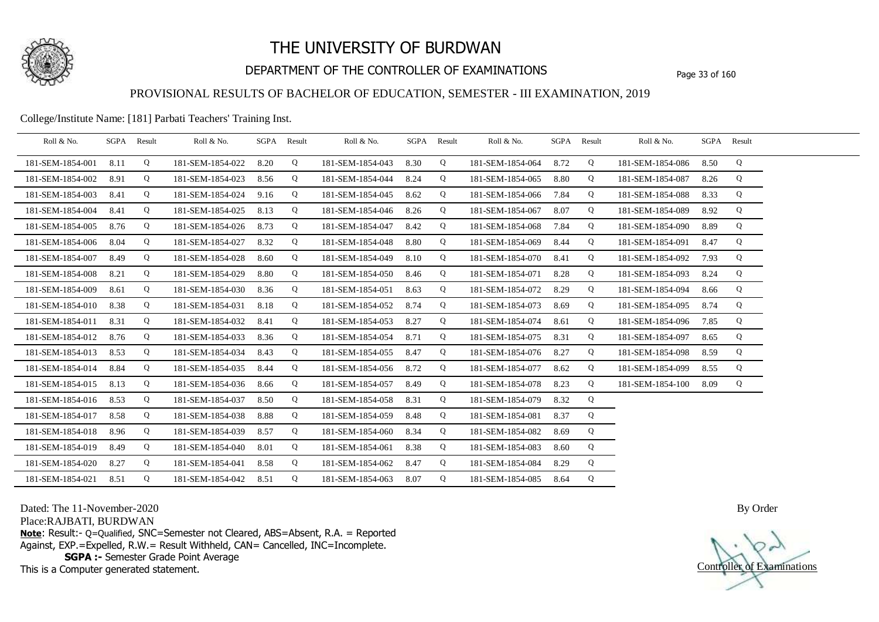

## DEPARTMENT OF THE CONTROLLER OF EXAMINATIONS Page 33 of 160

### PROVISIONAL RESULTS OF BACHELOR OF EDUCATION, SEMESTER - III EXAMINATION, 2019

College/Institute Name: [181] Parbati Teachers' Training Inst.

| Roll & No.       | SGPA | Result | Roll & No.       |      | SGPA Result | Roll & No.       | SGPA | Result | Roll & No.       |      | SGPA Result | Roll & No.       | SGPA Result |   |  |
|------------------|------|--------|------------------|------|-------------|------------------|------|--------|------------------|------|-------------|------------------|-------------|---|--|
| 181-SEM-1854-001 | 8.11 | Q      | 181-SEM-1854-022 | 8.20 | Q           | 181-SEM-1854-043 | 8.30 | Q      | 181-SEM-1854-064 | 8.72 | Q           | 181-SEM-1854-086 | 8.50        | Q |  |
| 181-SEM-1854-002 | 8.91 | Q      | 181-SEM-1854-023 | 8.56 | Q           | 181-SEM-1854-044 | 8.24 | Q      | 181-SEM-1854-065 | 8.80 | Q           | 181-SEM-1854-087 | 8.26        | Q |  |
| 181-SEM-1854-003 | 8.41 | Q      | 181-SEM-1854-024 | 9.16 | Q           | 181-SEM-1854-045 | 8.62 | Q      | 181-SEM-1854-066 | 7.84 | Q           | 181-SEM-1854-088 | 8.33        | Q |  |
| 181-SEM-1854-004 | 8.41 | Q      | 181-SEM-1854-025 | 8.13 | Q           | 181-SEM-1854-046 | 8.26 | Q      | 181-SEM-1854-067 | 8.07 | Q           | 181-SEM-1854-089 | 8.92        | Q |  |
| 181-SEM-1854-005 | 8.76 | Q      | 181-SEM-1854-026 | 8.73 | Q           | 181-SEM-1854-047 | 8.42 | Q      | 181-SEM-1854-068 | 7.84 | Q           | 181-SEM-1854-090 | 8.89        | Q |  |
| 181-SEM-1854-006 | 8.04 | Q      | 181-SEM-1854-027 | 8.32 | Q           | 181-SEM-1854-048 | 8.80 | Q      | 181-SEM-1854-069 | 8.44 | Q           | 181-SEM-1854-091 | 8.47        | Q |  |
| 181-SEM-1854-007 | 8.49 | Q      | 181-SEM-1854-028 | 8.60 | Q           | 181-SEM-1854-049 | 8.10 | Q      | 181-SEM-1854-070 | 8.41 | Q           | 181-SEM-1854-092 | 7.93        | Q |  |
| 181-SEM-1854-008 | 8.21 | Q      | 181-SEM-1854-029 | 8.80 | Q           | 181-SEM-1854-050 | 8.46 | Q      | 181-SEM-1854-071 | 8.28 | Q           | 181-SEM-1854-093 | 8.24        | Q |  |
| 181-SEM-1854-009 | 8.61 | Q      | 181-SEM-1854-030 | 8.36 | Q           | 181-SEM-1854-051 | 8.63 | Q      | 181-SEM-1854-072 | 8.29 | Q           | 181-SEM-1854-094 | 8.66        | Q |  |
| 181-SEM-1854-010 | 8.38 | Q      | 181-SEM-1854-031 | 8.18 | Q           | 181-SEM-1854-052 | 8.74 | Q      | 181-SEM-1854-073 | 8.69 | Q           | 181-SEM-1854-095 | 8.74        | Q |  |
| 181-SEM-1854-011 | 8.31 | Q      | 181-SEM-1854-032 | 8.41 | Q           | 181-SEM-1854-053 | 8.27 | Q      | 181-SEM-1854-074 | 8.61 | Q           | 181-SEM-1854-096 | 7.85        | Q |  |
| 181-SEM-1854-012 | 8.76 | Q      | 181-SEM-1854-033 | 8.36 | Q           | 181-SEM-1854-054 | 8.71 | Q      | 181-SEM-1854-075 | 8.31 | Q           | 181-SEM-1854-097 | 8.65        | Q |  |
| 181-SEM-1854-013 | 8.53 | Q      | 181-SEM-1854-034 | 8.43 | Q           | 181-SEM-1854-055 | 8.47 | Q      | 181-SEM-1854-076 | 8.27 | Q           | 181-SEM-1854-098 | 8.59        | Q |  |
| 181-SEM-1854-014 | 8.84 | Q      | 181-SEM-1854-035 | 8.44 | Q           | 181-SEM-1854-056 | 8.72 | Q      | 181-SEM-1854-077 | 8.62 | Q           | 181-SEM-1854-099 | 8.55        | Q |  |
| 181-SEM-1854-015 | 8.13 | Q      | 181-SEM-1854-036 | 8.66 | Q           | 181-SEM-1854-057 | 8.49 | Q      | 181-SEM-1854-078 | 8.23 | Q           | 181-SEM-1854-100 | 8.09        | Q |  |
| 181-SEM-1854-016 | 8.53 | Q      | 181-SEM-1854-037 | 8.50 | Q           | 181-SEM-1854-058 | 8.31 | Q      | 181-SEM-1854-079 | 8.32 | Q           |                  |             |   |  |
| 181-SEM-1854-017 | 8.58 | Q      | 181-SEM-1854-038 | 8.88 | Q           | 181-SEM-1854-059 | 8.48 | Q      | 181-SEM-1854-081 | 8.37 | Q           |                  |             |   |  |
| 181-SEM-1854-018 | 8.96 | Q      | 181-SEM-1854-039 | 8.57 | Q           | 181-SEM-1854-060 | 8.34 | Q      | 181-SEM-1854-082 | 8.69 | Q           |                  |             |   |  |
| 181-SEM-1854-019 | 8.49 | Q      | 181-SEM-1854-040 | 8.01 | Q           | 181-SEM-1854-061 | 8.38 | Q      | 181-SEM-1854-083 | 8.60 | Q           |                  |             |   |  |
| 181-SEM-1854-020 | 8.27 | Q      | 181-SEM-1854-041 | 8.58 | Q           | 181-SEM-1854-062 | 8.47 | Q      | 181-SEM-1854-084 | 8.29 | Q           |                  |             |   |  |
| 181-SEM-1854-021 | 8.51 | Q      | 181-SEM-1854-042 | 8.51 | Q           | 181-SEM-1854-063 | 8.07 | Q      | 181-SEM-1854-085 | 8.64 | $\mathbf Q$ |                  |             |   |  |

Dated: The 11-November-2020

Place:RAJBATI, BURDWAN

**Note**: Result:- Q=Qualified, SNC=Semester not Cleared, ABS=Absent, R.A. = Reported Against, EXP.=Expelled, R.W.= Result Withheld, CAN= Cancelled, INC=Incomplete. **SGPA :-** Semester Grade Point Average

This is a Computer generated statement.

Controller of Examinations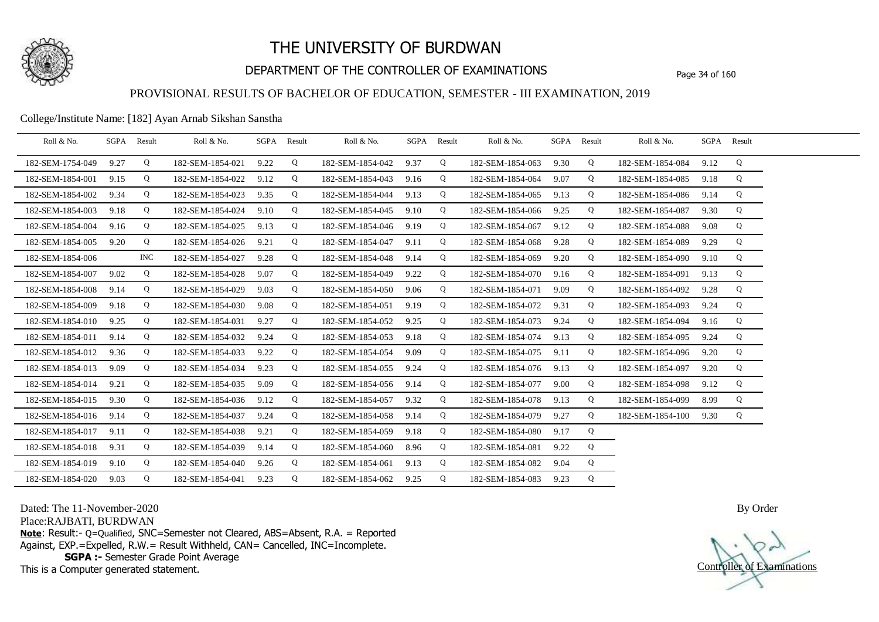

## DEPARTMENT OF THE CONTROLLER OF EXAMINATIONS Page 34 of 160

### PROVISIONAL RESULTS OF BACHELOR OF EDUCATION, SEMESTER - III EXAMINATION, 2019

#### College/Institute Name: [182] Ayan Arnab Sikshan Sanstha

| Roll & No.       | SGPA Result |            | Roll & No.       | SGPA Result |   | Roll & No.       | SGPA Result |   | Roll & No.       | SGPA Result |   | Roll & No.       |      | SGPA Result |  |
|------------------|-------------|------------|------------------|-------------|---|------------------|-------------|---|------------------|-------------|---|------------------|------|-------------|--|
| 182-SEM-1754-049 | 9.27        | Q          | 182-SEM-1854-021 | 9.22        | Q | 182-SEM-1854-042 | 9.37        | Q | 182-SEM-1854-063 | 9.30        | Q | 182-SEM-1854-084 | 9.12 | Q           |  |
| 182-SEM-1854-001 | 9.15        | Q          | 182-SEM-1854-022 | 9.12        | Q | 182-SEM-1854-043 | 9.16        | Q | 182-SEM-1854-064 | 9.07        | Q | 182-SEM-1854-085 | 9.18 | Q           |  |
| 182-SEM-1854-002 | 9.34        | Q          | 182-SEM-1854-023 | 9.35        | Q | 182-SEM-1854-044 | 9.13        | Q | 182-SEM-1854-065 | 9.13        | Q | 182-SEM-1854-086 | 9.14 | Q           |  |
| 182-SEM-1854-003 | 9.18        | Q          | 182-SEM-1854-024 | 9.10        | Q | 182-SEM-1854-045 | 9.10        | Q | 182-SEM-1854-066 | 9.25        | Q | 182-SEM-1854-087 | 9.30 | Q           |  |
| 182-SEM-1854-004 | 9.16        | Q          | 182-SEM-1854-025 | 9.13        | Q | 182-SEM-1854-046 | 9.19        | Q | 182-SEM-1854-067 | 9.12        | Q | 182-SEM-1854-088 | 9.08 | Q           |  |
| 182-SEM-1854-005 | 9.20        | Q          | 182-SEM-1854-026 | 9.21        | Q | 182-SEM-1854-047 | 9.11        | Q | 182-SEM-1854-068 | 9.28        | Q | 182-SEM-1854-089 | 9.29 | Q           |  |
| 182-SEM-1854-006 |             | <b>INC</b> | 182-SEM-1854-027 | 9.28        | Q | 182-SEM-1854-048 | 9.14        | Q | 182-SEM-1854-069 | 9.20        | Q | 182-SEM-1854-090 | 9.10 | Q           |  |
| 182-SEM-1854-007 | 9.02        | Q          | 182-SEM-1854-028 | 9.07        | Q | 182-SEM-1854-049 | 9.22        | Q | 182-SEM-1854-070 | 9.16        | Q | 182-SEM-1854-091 | 9.13 | Q           |  |
| 182-SEM-1854-008 | 9.14        | Q          | 182-SEM-1854-029 | 9.03        | Q | 182-SEM-1854-050 | 9.06        | Q | 182-SEM-1854-071 | 9.09        | Q | 182-SEM-1854-092 | 9.28 | Q           |  |
| 182-SEM-1854-009 | 9.18        | Q          | 182-SEM-1854-030 | 9.08        | Q | 182-SEM-1854-051 | 9.19        | Q | 182-SEM-1854-072 | 9.31        | Q | 182-SEM-1854-093 | 9.24 | Q           |  |
| 182-SEM-1854-010 | 9.25        | Q          | 182-SEM-1854-031 | 9.27        | Q | 182-SEM-1854-052 | 9.25        | Q | 182-SEM-1854-073 | 9.24        | Q | 182-SEM-1854-094 | 9.16 | Q           |  |
| 182-SEM-1854-011 | 9.14        | Q          | 182-SEM-1854-032 | 9.24        | Q | 182-SEM-1854-053 | 9.18        | Q | 182-SEM-1854-074 | 9.13        | Q | 182-SEM-1854-095 | 9.24 | Q           |  |
| 182-SEM-1854-012 | 9.36        | Q          | 182-SEM-1854-033 | 9.22        | Q | 182-SEM-1854-054 | 9.09        | Q | 182-SEM-1854-075 | 9.11        | Q | 182-SEM-1854-096 | 9.20 | Q           |  |
| 182-SEM-1854-013 | 9.09        | Q          | 182-SEM-1854-034 | 9.23        | Q | 182-SEM-1854-055 | 9.24        | Q | 182-SEM-1854-076 | 9.13        | Q | 182-SEM-1854-097 | 9.20 | Q           |  |
| 182-SEM-1854-014 | 9.21        | Q          | 182-SEM-1854-035 | 9.09        | Q | 182-SEM-1854-056 | 9.14        | Q | 182-SEM-1854-077 | 9.00        | Q | 182-SEM-1854-098 | 9.12 | Q           |  |
| 182-SEM-1854-015 | 9.30        | Q          | 182-SEM-1854-036 | 9.12        | Q | 182-SEM-1854-057 | 9.32        | Q | 182-SEM-1854-078 | 9.13        | Q | 182-SEM-1854-099 | 8.99 | Q           |  |
| 182-SEM-1854-016 | 9.14        | Q          | 182-SEM-1854-037 | 9.24        | Q | 182-SEM-1854-058 | 9.14        | Q | 182-SEM-1854-079 | 9.27        | Q | 182-SEM-1854-100 | 9.30 | Q           |  |
| 182-SEM-1854-017 | 9.11        | Q          | 182-SEM-1854-038 | 9.21        | Q | 182-SEM-1854-059 | 9.18        | Q | 182-SEM-1854-080 | 9.17        | Q |                  |      |             |  |
| 182-SEM-1854-018 | 9.31        | Q          | 182-SEM-1854-039 | 9.14        | Q | 182-SEM-1854-060 | 8.96        | Q | 182-SEM-1854-081 | 9.22        | Q |                  |      |             |  |
| 182-SEM-1854-019 | 9.10        | Q          | 182-SEM-1854-040 | 9.26        | Q | 182-SEM-1854-061 | 9.13        | Q | 182-SEM-1854-082 | 9.04        | Q |                  |      |             |  |
| 182-SEM-1854-020 | 9.03        | Q          | 182-SEM-1854-041 | 9.23        | Q | 182-SEM-1854-062 | 9.25        | Q | 182-SEM-1854-083 | 9.23        | Q |                  |      |             |  |

Dated: The 11-November-2020

Place:RAJBATI, BURDWAN

**Note**: Result:- Q=Qualified, SNC=Semester not Cleared, ABS=Absent, R.A. = Reported Against, EXP.=Expelled, R.W.= Result Withheld, CAN= Cancelled, INC=Incomplete. **SGPA :-** Semester Grade Point Average

This is a Computer generated statement.

Controller of Examinations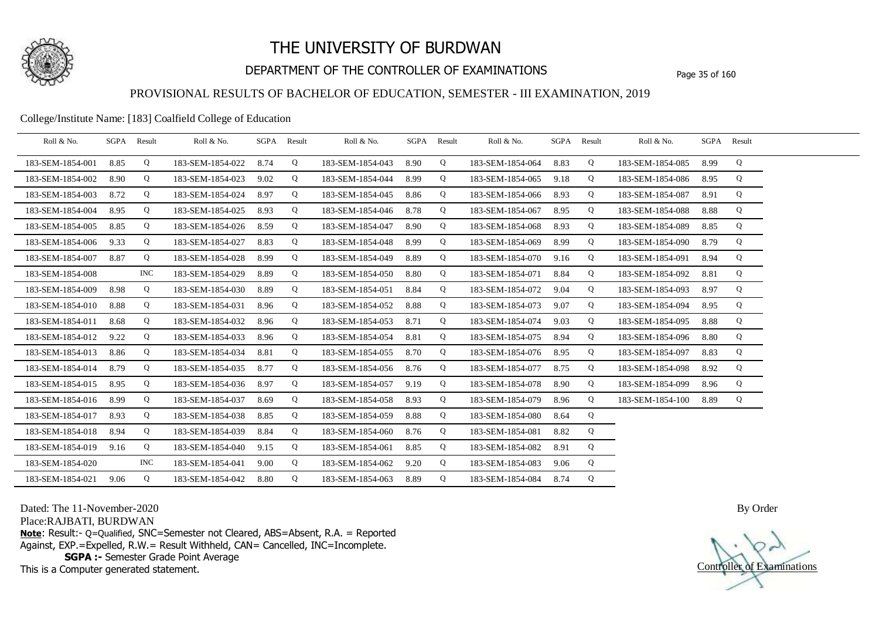

## DEPARTMENT OF THE CONTROLLER OF EXAMINATIONS Page 35 of 160

### PROVISIONAL RESULTS OF BACHELOR OF EDUCATION, SEMESTER - III EXAMINATION, 2019

#### College/Institute Name: [183] Coalfield College of Education

| Roll & No.       |      | SGPA Result | Roll & No.       |      | SGPA Result | Roll & No.       | SGPA | Result | Roll & No.       | SGPA Result |   | Roll & No.       |      | SGPA Result |  |
|------------------|------|-------------|------------------|------|-------------|------------------|------|--------|------------------|-------------|---|------------------|------|-------------|--|
| 183-SEM-1854-001 | 8.85 | Q           | 183-SEM-1854-022 | 8.74 | Q           | 183-SEM-1854-043 | 8.90 | Q      | 183-SEM-1854-064 | 8.83        | Q | 183-SEM-1854-085 | 8.99 | Q           |  |
| 183-SEM-1854-002 | 8.90 | Q           | 183-SEM-1854-023 | 9.02 | Q           | 183-SEM-1854-044 | 8.99 | Q      | 183-SEM-1854-065 | 9.18        | Q | 183-SEM-1854-086 | 8.95 | Q           |  |
| 183-SEM-1854-003 | 8.72 | Q           | 183-SEM-1854-024 | 8.97 | Q           | 183-SEM-1854-045 | 8.86 | Q      | 183-SEM-1854-066 | 8.93        | Q | 183-SEM-1854-087 | 8.91 | Q           |  |
| 183-SEM-1854-004 | 8.95 | Q           | 183-SEM-1854-025 | 8.93 | Q           | 183-SEM-1854-046 | 8.78 | Q      | 183-SEM-1854-067 | 8.95        | Q | 183-SEM-1854-088 | 8.88 | Q           |  |
| 183-SEM-1854-005 | 8.85 | Q           | 183-SEM-1854-026 | 8.59 | Q           | 183-SEM-1854-047 | 8.90 | Q      | 183-SEM-1854-068 | 8.93        | Q | 183-SEM-1854-089 | 8.85 | Q           |  |
| 183-SEM-1854-006 | 9.33 | Q           | 183-SEM-1854-027 | 8.83 | Q           | 183-SEM-1854-048 | 8.99 | Q      | 183-SEM-1854-069 | 8.99        | Q | 183-SEM-1854-090 | 8.79 | Q           |  |
| 183-SEM-1854-007 | 8.87 | Q           | 183-SEM-1854-028 | 8.99 | Q           | 183-SEM-1854-049 | 8.89 | Q      | 183-SEM-1854-070 | 9.16        | Q | 183-SEM-1854-091 | 8.94 | Q           |  |
| 183-SEM-1854-008 |      | <b>INC</b>  | 183-SEM-1854-029 | 8.89 | Q           | 183-SEM-1854-050 | 8.80 | Q      | 183-SEM-1854-071 | 8.84        | Q | 183-SEM-1854-092 | 8.81 | Q           |  |
| 183-SEM-1854-009 | 8.98 | Q           | 183-SEM-1854-030 | 8.89 | Q           | 183-SEM-1854-051 | 8.84 | Q      | 183-SEM-1854-072 | 9.04        | Q | 183-SEM-1854-093 | 8.97 | Q           |  |
| 183-SEM-1854-010 | 8.88 | Q           | 183-SEM-1854-031 | 8.96 | Q           | 183-SEM-1854-052 | 8.88 | Q      | 183-SEM-1854-073 | 9.07        | Q | 183-SEM-1854-094 | 8.95 | Q           |  |
| 183-SEM-1854-011 | 8.68 | Q           | 183-SEM-1854-032 | 8.96 | Q           | 183-SEM-1854-053 | 8.71 | Q      | 183-SEM-1854-074 | 9.03        | Q | 183-SEM-1854-095 | 8.88 | Q           |  |
| 183-SEM-1854-012 | 9.22 | Q           | 183-SEM-1854-033 | 8.96 | Q           | 183-SEM-1854-054 | 8.81 | Q      | 183-SEM-1854-075 | 8.94        | Q | 183-SEM-1854-096 | 8.80 | Q           |  |
| 183-SEM-1854-013 | 8.86 | Q           | 183-SEM-1854-034 | 8.81 | Q           | 183-SEM-1854-055 | 8.70 | Q      | 183-SEM-1854-076 | 8.95        | Q | 183-SEM-1854-097 | 8.83 | Q           |  |
| 183-SEM-1854-014 | 8.79 | Q           | 183-SEM-1854-035 | 8.77 | Q           | 183-SEM-1854-056 | 8.76 | Q      | 183-SEM-1854-077 | 8.75        | Q | 183-SEM-1854-098 | 8.92 | Q           |  |
| 183-SEM-1854-015 | 8.95 | Q           | 183-SEM-1854-036 | 8.97 | Q           | 183-SEM-1854-057 | 9.19 | Q      | 183-SEM-1854-078 | 8.90        | Q | 183-SEM-1854-099 | 8.96 | Q           |  |
| 183-SEM-1854-016 | 8.99 | Q           | 183-SEM-1854-037 | 8.69 | Q           | 183-SEM-1854-058 | 8.93 | Q      | 183-SEM-1854-079 | 8.96        | Q | 183-SEM-1854-100 | 8.89 | Q           |  |
| 183-SEM-1854-017 | 8.93 | Q           | 183-SEM-1854-038 | 8.85 | Q           | 183-SEM-1854-059 | 8.88 | Q      | 183-SEM-1854-080 | 8.64        | Q |                  |      |             |  |
| 183-SEM-1854-018 | 8.94 | Q           | 183-SEM-1854-039 | 8.84 | Q           | 183-SEM-1854-060 | 8.76 | Q      | 183-SEM-1854-081 | 8.82        | Q |                  |      |             |  |
| 183-SEM-1854-019 | 9.16 | Q           | 183-SEM-1854-040 | 9.15 | Q           | 183-SEM-1854-061 | 8.85 | Q      | 183-SEM-1854-082 | 8.91        | Q |                  |      |             |  |
| 183-SEM-1854-020 |      | <b>INC</b>  | 183-SEM-1854-041 | 9.00 | Q           | 183-SEM-1854-062 | 9.20 | Q      | 183-SEM-1854-083 | 9.06        | Q |                  |      |             |  |
| 183-SEM-1854-021 | 9.06 | Q           | 183-SEM-1854-042 | 8.80 | Q           | 183-SEM-1854-063 | 8.89 | Q      | 183-SEM-1854-084 | 8.74        | Q |                  |      |             |  |

Dated: The 11-November-2020

Place:RAJBATI, BURDWAN

**Note**: Result:- Q=Qualified, SNC=Semester not Cleared, ABS=Absent, R.A. = Reported Against, EXP.=Expelled, R.W.= Result Withheld, CAN= Cancelled, INC=Incomplete. **SGPA :-** Semester Grade Point Average

This is a Computer generated statement.

Controller of Examinations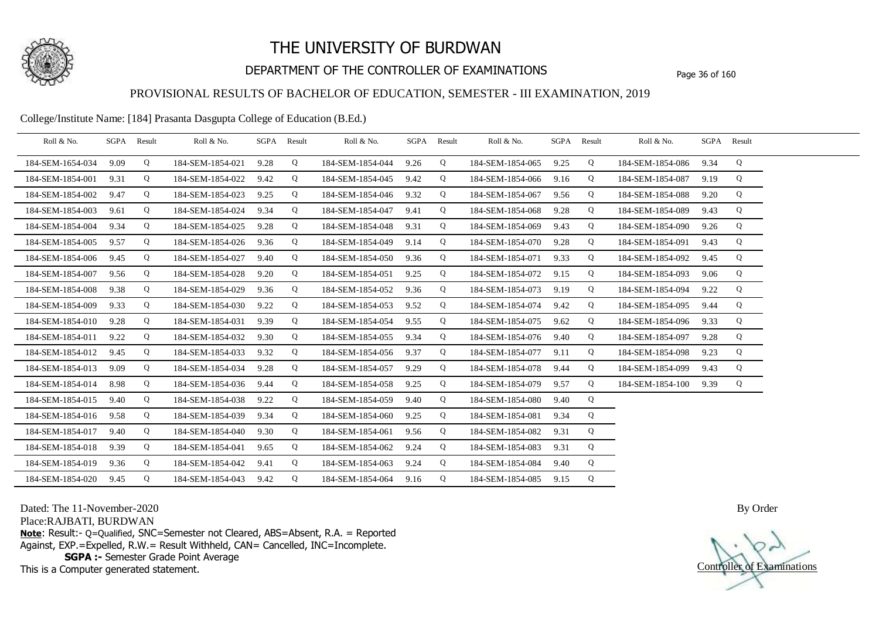

## DEPARTMENT OF THE CONTROLLER OF EXAMINATIONS Page 36 of 160

### PROVISIONAL RESULTS OF BACHELOR OF EDUCATION, SEMESTER - III EXAMINATION, 2019

College/Institute Name: [184] Prasanta Dasgupta College of Education (B.Ed.)

| Roll & No.       | SGPA Result |   | Roll & No.       |      | SGPA Result | Roll & No.       | SGPA Result |   | Roll & No.       | SGPA Result |   | Roll & No.       |      | SGPA Result |  |
|------------------|-------------|---|------------------|------|-------------|------------------|-------------|---|------------------|-------------|---|------------------|------|-------------|--|
| 184-SEM-1654-034 | 9.09        | Q | 184-SEM-1854-021 | 9.28 | Q           | 184-SEM-1854-044 | 9.26        | Q | 184-SEM-1854-065 | 9.25        | Q | 184-SEM-1854-086 | 9.34 | Q           |  |
| 184-SEM-1854-001 | 9.31        | Q | 184-SEM-1854-022 | 9.42 | Q           | 184-SEM-1854-045 | 9.42        | Q | 184-SEM-1854-066 | 9.16        | Q | 184-SEM-1854-087 | 9.19 | Q           |  |
| 184-SEM-1854-002 | 9.47        | Q | 184-SEM-1854-023 | 9.25 | Q           | 184-SEM-1854-046 | 9.32        | Q | 184-SEM-1854-067 | 9.56        | Q | 184-SEM-1854-088 | 9.20 | Q           |  |
| 184-SEM-1854-003 | 9.61        | Q | 184-SEM-1854-024 | 9.34 | Q           | 184-SEM-1854-047 | 9.41        | Q | 184-SEM-1854-068 | 9.28        | Q | 184-SEM-1854-089 | 9.43 | Q           |  |
| 184-SEM-1854-004 | 9.34        | Q | 184-SEM-1854-025 | 9.28 | Q           | 184-SEM-1854-048 | 9.31        | Q | 184-SEM-1854-069 | 9.43        | Q | 184-SEM-1854-090 | 9.26 | Q           |  |
| 184-SEM-1854-005 | 9.57        | Q | 184-SEM-1854-026 | 9.36 | Q           | 184-SEM-1854-049 | 9.14        | Q | 184-SEM-1854-070 | 9.28        | Q | 184-SEM-1854-091 | 9.43 | Q           |  |
| 184-SEM-1854-006 | 9.45        | Q | 184-SEM-1854-027 | 9.40 | Q           | 184-SEM-1854-050 | 9.36        | Q | 184-SEM-1854-071 | 9.33        | Q | 184-SEM-1854-092 | 9.45 | Q           |  |
| 184-SEM-1854-007 | 9.56        | Q | 184-SEM-1854-028 | 9.20 | Q           | 184-SEM-1854-051 | 9.25        | Q | 184-SEM-1854-072 | 9.15        | Q | 184-SEM-1854-093 | 9.06 | Q           |  |
| 184-SEM-1854-008 | 9.38        | Q | 184-SEM-1854-029 | 9.36 | Q           | 184-SEM-1854-052 | 9.36        | Q | 184-SEM-1854-073 | 9.19        | Q | 184-SEM-1854-094 | 9.22 | Q           |  |
| 184-SEM-1854-009 | 9.33        | Q | 184-SEM-1854-030 | 9.22 | Q           | 184-SEM-1854-053 | 9.52        | Q | 184-SEM-1854-074 | 9.42        | Q | 184-SEM-1854-095 | 9.44 | Q           |  |
| 184-SEM-1854-010 | 9.28        | Q | 184-SEM-1854-031 | 9.39 | Q           | 184-SEM-1854-054 | 9.55        | Q | 184-SEM-1854-075 | 9.62        | Q | 184-SEM-1854-096 | 9.33 | Q           |  |
| 184-SEM-1854-011 | 9.22        | Q | 184-SEM-1854-032 | 9.30 | Q           | 184-SEM-1854-055 | 9.34        | Q | 184-SEM-1854-076 | 9.40        | Q | 184-SEM-1854-097 | 9.28 | Q           |  |
| 184-SEM-1854-012 | 9.45        | Q | 184-SEM-1854-033 | 9.32 | Q           | 184-SEM-1854-056 | 9.37        | Q | 184-SEM-1854-077 | 9.11        | Q | 184-SEM-1854-098 | 9.23 | Q           |  |
| 184-SEM-1854-013 | 9.09        | Q | 184-SEM-1854-034 | 9.28 | Q           | 184-SEM-1854-057 | 9.29        | Q | 184-SEM-1854-078 | 9.44        | Q | 184-SEM-1854-099 | 9.43 | Q           |  |
| 184-SEM-1854-014 | 8.98        | Q | 184-SEM-1854-036 | 9.44 | Q           | 184-SEM-1854-058 | 9.25        | Q | 184-SEM-1854-079 | 9.57        | Q | 184-SEM-1854-100 | 9.39 | Q           |  |
| 184-SEM-1854-015 | 9.40        | Q | 184-SEM-1854-038 | 9.22 | Q           | 184-SEM-1854-059 | 9.40        | Q | 184-SEM-1854-080 | 9.40        | Q |                  |      |             |  |
| 184-SEM-1854-016 | 9.58        | Q | 184-SEM-1854-039 | 9.34 | Q           | 184-SEM-1854-060 | 9.25        | Q | 184-SEM-1854-081 | 9.34        | Q |                  |      |             |  |
| 184-SEM-1854-017 | 9.40        | Q | 184-SEM-1854-040 | 9.30 | Q           | 184-SEM-1854-061 | 9.56        | Q | 184-SEM-1854-082 | 9.31        | Q |                  |      |             |  |
| 184-SEM-1854-018 | 9.39        | Q | 184-SEM-1854-041 | 9.65 | Q           | 184-SEM-1854-062 | 9.24        | Q | 184-SEM-1854-083 | 9.31        | Q |                  |      |             |  |
| 184-SEM-1854-019 | 9.36        | Q | 184-SEM-1854-042 | 9.41 | Q           | 184-SEM-1854-063 | 9.24        | Q | 184-SEM-1854-084 | 9.40        | Q |                  |      |             |  |
| 184-SEM-1854-020 | 9.45        | Q | 184-SEM-1854-043 | 9.42 | Q           | 184-SEM-1854-064 | 9.16        | Q | 184-SEM-1854-085 | 9.15        | Q |                  |      |             |  |

Dated: The 11-November-2020

Place:RAJBATI, BURDWAN

**Note**: Result:- Q=Qualified, SNC=Semester not Cleared, ABS=Absent, R.A. = Reported Against, EXP.=Expelled, R.W.= Result Withheld, CAN= Cancelled, INC=Incomplete. **SGPA :-** Semester Grade Point Average

This is a Computer generated statement.

Controller of Examinations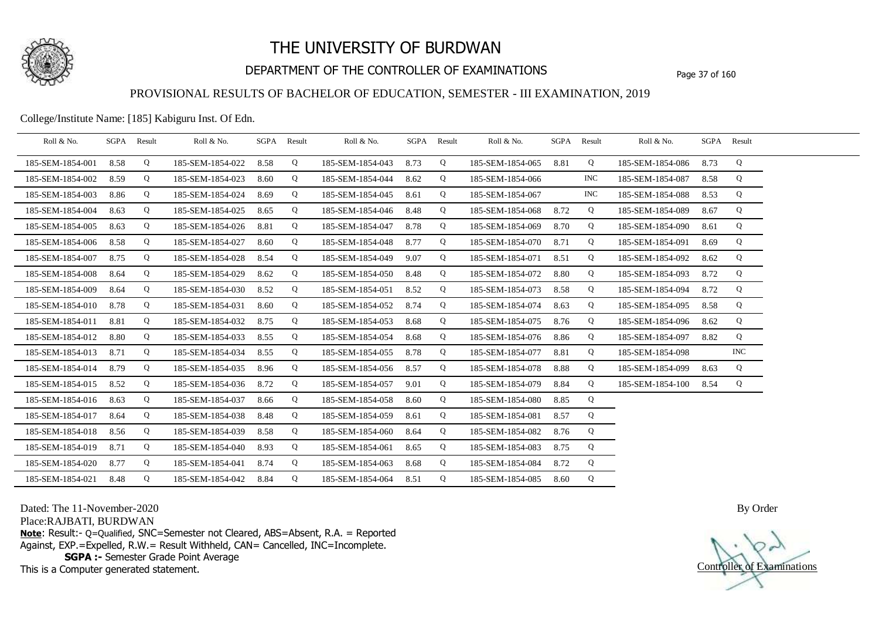

## DEPARTMENT OF THE CONTROLLER OF EXAMINATIONS Page 37 of 160

### PROVISIONAL RESULTS OF BACHELOR OF EDUCATION, SEMESTER - III EXAMINATION, 2019

College/Institute Name: [185] Kabiguru Inst. Of Edn.

| Roll & No.       | SGPA | Result | Roll & No.       | SGPA Result |   | Roll & No.       | SGPA Result |   | Roll & No.       | SGPA Result |            | Roll & No.       |      | SGPA Result |  |
|------------------|------|--------|------------------|-------------|---|------------------|-------------|---|------------------|-------------|------------|------------------|------|-------------|--|
| 185-SEM-1854-001 | 8.58 | Q      | 185-SEM-1854-022 | 8.58        | Q | 185-SEM-1854-043 | 8.73        | Q | 185-SEM-1854-065 | 8.81        | Q          | 185-SEM-1854-086 | 8.73 | Q           |  |
| 185-SEM-1854-002 | 8.59 | Q      | 185-SEM-1854-023 | 8.60        | Q | 185-SEM-1854-044 | 8.62        | Q | 185-SEM-1854-066 |             | <b>INC</b> | 185-SEM-1854-087 | 8.58 | Q           |  |
| 185-SEM-1854-003 | 8.86 | Q      | 185-SEM-1854-024 | 8.69        | Q | 185-SEM-1854-045 | 8.61        | Q | 185-SEM-1854-067 |             | <b>INC</b> | 185-SEM-1854-088 | 8.53 | Q           |  |
| 185-SEM-1854-004 | 8.63 | Q      | 185-SEM-1854-025 | 8.65        | Q | 185-SEM-1854-046 | 8.48        | Q | 185-SEM-1854-068 | 8.72        | Q          | 185-SEM-1854-089 | 8.67 | Q           |  |
| 185-SEM-1854-005 | 8.63 | Q      | 185-SEM-1854-026 | 8.81        | Q | 185-SEM-1854-047 | 8.78        | Q | 185-SEM-1854-069 | 8.70        | Q          | 185-SEM-1854-090 | 8.61 | Q           |  |
| 185-SEM-1854-006 | 8.58 | Q      | 185-SEM-1854-027 | 8.60        | Q | 185-SEM-1854-048 | 8.77        | Q | 185-SEM-1854-070 | 8.71        | Q          | 185-SEM-1854-091 | 8.69 | Q           |  |
| 185-SEM-1854-007 | 8.75 | Q      | 185-SEM-1854-028 | 8.54        | Q | 185-SEM-1854-049 | 9.07        | Q | 185-SEM-1854-071 | 8.51        | Q          | 185-SEM-1854-092 | 8.62 | Q           |  |
| 185-SEM-1854-008 | 8.64 | Q      | 185-SEM-1854-029 | 8.62        | Q | 185-SEM-1854-050 | 8.48        | Q | 185-SEM-1854-072 | 8.80        | Q          | 185-SEM-1854-093 | 8.72 | Q           |  |
| 185-SEM-1854-009 | 8.64 | Q      | 185-SEM-1854-030 | 8.52        | Q | 185-SEM-1854-051 | 8.52        | Q | 185-SEM-1854-073 | 8.58        | Q          | 185-SEM-1854-094 | 8.72 | Q           |  |
| 185-SEM-1854-010 | 8.78 | Q      | 185-SEM-1854-031 | 8.60        | Q | 185-SEM-1854-052 | 8.74        | Q | 185-SEM-1854-074 | 8.63        | Q          | 185-SEM-1854-095 | 8.58 | Q           |  |
| 185-SEM-1854-011 | 8.81 | Q      | 185-SEM-1854-032 | 8.75        | Q | 185-SEM-1854-053 | 8.68        | Q | 185-SEM-1854-075 | 8.76        | Q          | 185-SEM-1854-096 | 8.62 | Q           |  |
| 185-SEM-1854-012 | 8.80 | Q      | 185-SEM-1854-033 | 8.55        | Q | 185-SEM-1854-054 | 8.68        | Q | 185-SEM-1854-076 | 8.86        | Q          | 185-SEM-1854-097 | 8.82 | Q           |  |
| 185-SEM-1854-013 | 8.71 | Q      | 185-SEM-1854-034 | 8.55        | Q | 185-SEM-1854-055 | 8.78        | Q | 185-SEM-1854-077 | 8.81        | Q          | 185-SEM-1854-098 |      | INC         |  |
| 185-SEM-1854-014 | 8.79 | Q      | 185-SEM-1854-035 | 8.96        | Q | 185-SEM-1854-056 | 8.57        | Q | 185-SEM-1854-078 | 8.88        | Q          | 185-SEM-1854-099 | 8.63 | Q           |  |
| 185-SEM-1854-015 | 8.52 | Q      | 185-SEM-1854-036 | 8.72        | Q | 185-SEM-1854-057 | 9.01        | Q | 185-SEM-1854-079 | 8.84        | Q          | 185-SEM-1854-100 | 8.54 | Q           |  |
| 185-SEM-1854-016 | 8.63 | Q      | 185-SEM-1854-037 | 8.66        | Q | 185-SEM-1854-058 | 8.60        | Q | 185-SEM-1854-080 | 8.85        | Q          |                  |      |             |  |
| 185-SEM-1854-017 | 8.64 | Q      | 185-SEM-1854-038 | 8.48        | Q | 185-SEM-1854-059 | 8.61        | Q | 185-SEM-1854-081 | 8.57        | Q          |                  |      |             |  |
| 185-SEM-1854-018 | 8.56 | Q      | 185-SEM-1854-039 | 8.58        | Q | 185-SEM-1854-060 | 8.64        | Q | 185-SEM-1854-082 | 8.76        | Q          |                  |      |             |  |
| 185-SEM-1854-019 | 8.71 | Q      | 185-SEM-1854-040 | 8.93        | Q | 185-SEM-1854-061 | 8.65        | Q | 185-SEM-1854-083 | 8.75        | Q          |                  |      |             |  |
| 185-SEM-1854-020 | 8.77 | Q      | 185-SEM-1854-041 | 8.74        | Q | 185-SEM-1854-063 | 8.68        | Q | 185-SEM-1854-084 | 8.72        | Q          |                  |      |             |  |
| 185-SEM-1854-021 | 8.48 | Q      | 185-SEM-1854-042 | 8.84        | Q | 185-SEM-1854-064 | 8.51        | Q | 185-SEM-1854-085 | 8.60        | Q          |                  |      |             |  |

Dated: The 11-November-2020

Place:RAJBATI, BURDWAN

**Note**: Result:- Q=Qualified, SNC=Semester not Cleared, ABS=Absent, R.A. = Reported Against, EXP.=Expelled, R.W.= Result Withheld, CAN= Cancelled, INC=Incomplete. **SGPA :-** Semester Grade Point Average

This is a Computer generated statement.

Controller of Examinations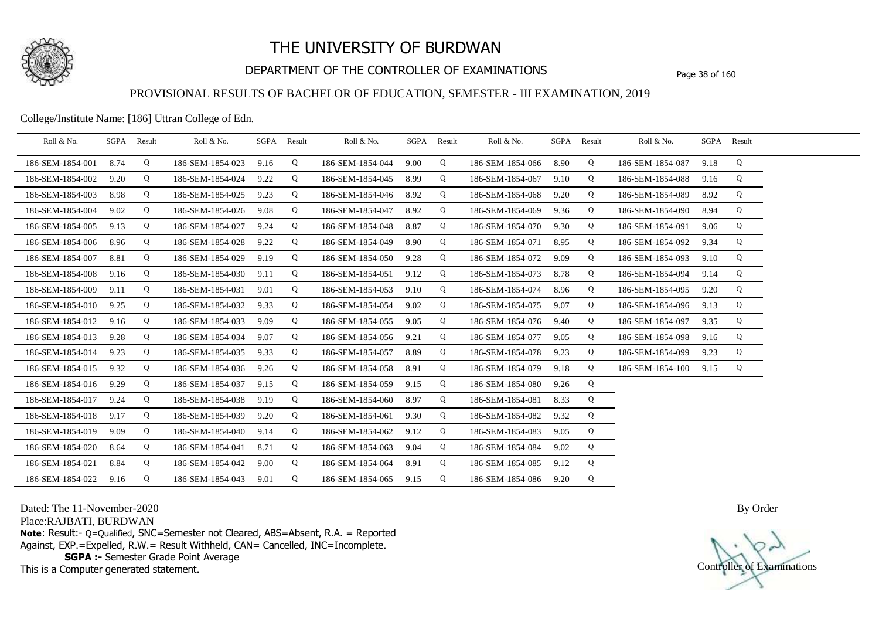

## DEPARTMENT OF THE CONTROLLER OF EXAMINATIONS Page 38 of 160

### PROVISIONAL RESULTS OF BACHELOR OF EDUCATION, SEMESTER - III EXAMINATION, 2019

College/Institute Name: [186] Uttran College of Edn.

| Roll & No.       | SGPA Result |   | Roll & No.       |      | SGPA Result | Roll & No.            | SGPA Result |   | Roll & No.       | SGPA Result |   | Roll & No.       |      | SGPA Result |  |
|------------------|-------------|---|------------------|------|-------------|-----------------------|-------------|---|------------------|-------------|---|------------------|------|-------------|--|
| 186-SEM-1854-001 | 8.74        | Q | 186-SEM-1854-023 | 9.16 | Q           | 186-SEM-1854-044      | 9.00        | Q | 186-SEM-1854-066 | 8.90        | Q | 186-SEM-1854-087 | 9.18 | Q           |  |
| 186-SEM-1854-002 | 9.20        | Q | 186-SEM-1854-024 | 9.22 | Q           | 186-SEM-1854-045      | 8.99        | Q | 186-SEM-1854-067 | 9.10        | Q | 186-SEM-1854-088 | 9.16 | Q           |  |
| 186-SEM-1854-003 | 8.98        | Q | 186-SEM-1854-025 | 9.23 | Q           | 186-SEM-1854-046      | 8.92        | Q | 186-SEM-1854-068 | 9.20        | Q | 186-SEM-1854-089 | 8.92 | Q           |  |
| 186-SEM-1854-004 | 9.02        | Q | 186-SEM-1854-026 | 9.08 | Q           | 186-SEM-1854-047      | 8.92        | Q | 186-SEM-1854-069 | 9.36        | Q | 186-SEM-1854-090 | 8.94 | Q           |  |
| 186-SEM-1854-005 | 9.13        | Q | 186-SEM-1854-027 | 9.24 | Q           | 186-SEM-1854-048      | 8.87        | Q | 186-SEM-1854-070 | 9.30        | Q | 186-SEM-1854-091 | 9.06 | Q           |  |
| 186-SEM-1854-006 | 8.96        | Q | 186-SEM-1854-028 | 9.22 | Q           | 186-SEM-1854-049      | 8.90        | Q | 186-SEM-1854-071 | 8.95        | Q | 186-SEM-1854-092 | 9.34 | Q           |  |
| 186-SEM-1854-007 | 8.81        | Q | 186-SEM-1854-029 | 9.19 | Q           | 186-SEM-1854-050      | 9.28        | Q | 186-SEM-1854-072 | 9.09        | Q | 186-SEM-1854-093 | 9.10 | Q           |  |
| 186-SEM-1854-008 | 9.16        | Q | 186-SEM-1854-030 | 9.11 | Q           | 186-SEM-1854-051      | 9.12        | Q | 186-SEM-1854-073 | 8.78        | Q | 186-SEM-1854-094 | 9.14 | Q           |  |
| 186-SEM-1854-009 | 9.11        | Q | 186-SEM-1854-031 | 9.01 | Q           | 186-SEM-1854-053      | 9.10        | Q | 186-SEM-1854-074 | 8.96        | Q | 186-SEM-1854-095 | 9.20 | Q           |  |
| 186-SEM-1854-010 | 9.25        | Q | 186-SEM-1854-032 | 9.33 | Q           | 186-SEM-1854-054      | 9.02        | Q | 186-SEM-1854-075 | 9.07        | Q | 186-SEM-1854-096 | 9.13 | Q           |  |
| 186-SEM-1854-012 | 9.16        | Q | 186-SEM-1854-033 | 9.09 | Q           | 186-SEM-1854-055      | 9.05        | Q | 186-SEM-1854-076 | 9.40        | Q | 186-SEM-1854-097 | 9.35 | Q           |  |
| 186-SEM-1854-013 | 9.28        | Q | 186-SEM-1854-034 | 9.07 | Q           | 186-SEM-1854-056      | 9.21        | Q | 186-SEM-1854-077 | 9.05        | Q | 186-SEM-1854-098 | 9.16 | Q           |  |
| 186-SEM-1854-014 | 9.23        | Q | 186-SEM-1854-035 | 9.33 | Q           | 186-SEM-1854-057      | 8.89        | Q | 186-SEM-1854-078 | 9.23        | Q | 186-SEM-1854-099 | 9.23 | Q           |  |
| 186-SEM-1854-015 | 9.32        | Q | 186-SEM-1854-036 | 9.26 | Q           | 186-SEM-1854-058      | 8.91        | Q | 186-SEM-1854-079 | 9.18        | Q | 186-SEM-1854-100 | 9.15 | Q           |  |
| 186-SEM-1854-016 | 9.29        | Q | 186-SEM-1854-037 | 9.15 | Q           | 186-SEM-1854-059      | 9.15        | Q | 186-SEM-1854-080 | 9.26        | Q |                  |      |             |  |
| 186-SEM-1854-017 | 9.24        | Q | 186-SEM-1854-038 | 9.19 | Q           | 186-SEM-1854-060      | 8.97        | Q | 186-SEM-1854-081 | 8.33        | Q |                  |      |             |  |
| 186-SEM-1854-018 | 9.17        | Q | 186-SEM-1854-039 | 9.20 | Q           | 186-SEM-1854-061      | 9.30        | Q | 186-SEM-1854-082 | 9.32        | Q |                  |      |             |  |
| 186-SEM-1854-019 | 9.09        | Q | 186-SEM-1854-040 | 9.14 | Q           | 186-SEM-1854-062      | 9.12        | Q | 186-SEM-1854-083 | 9.05        | Q |                  |      |             |  |
| 186-SEM-1854-020 | 8.64        | Q | 186-SEM-1854-041 | 8.71 | Q           | 186-SEM-1854-063      | 9.04        | Q | 186-SEM-1854-084 | 9.02        | Q |                  |      |             |  |
| 186-SEM-1854-021 | 8.84        | Q | 186-SEM-1854-042 | 9.00 | Q           | 186-SEM-1854-064      | 8.91        | Q | 186-SEM-1854-085 | 9.12        | Q |                  |      |             |  |
| 186-SEM-1854-022 | 9.16        | Q | 186-SEM-1854-043 | 9.01 | Q           | 186-SEM-1854-065 9.15 |             | Q | 186-SEM-1854-086 | 9.20        | Q |                  |      |             |  |

Dated: The 11-November-2020

Place:RAJBATI, BURDWAN

**Note**: Result:- Q=Qualified, SNC=Semester not Cleared, ABS=Absent, R.A. = Reported Against, EXP.=Expelled, R.W.= Result Withheld, CAN= Cancelled, INC=Incomplete. **SGPA :-** Semester Grade Point Average

This is a Computer generated statement.

Controller of Examinations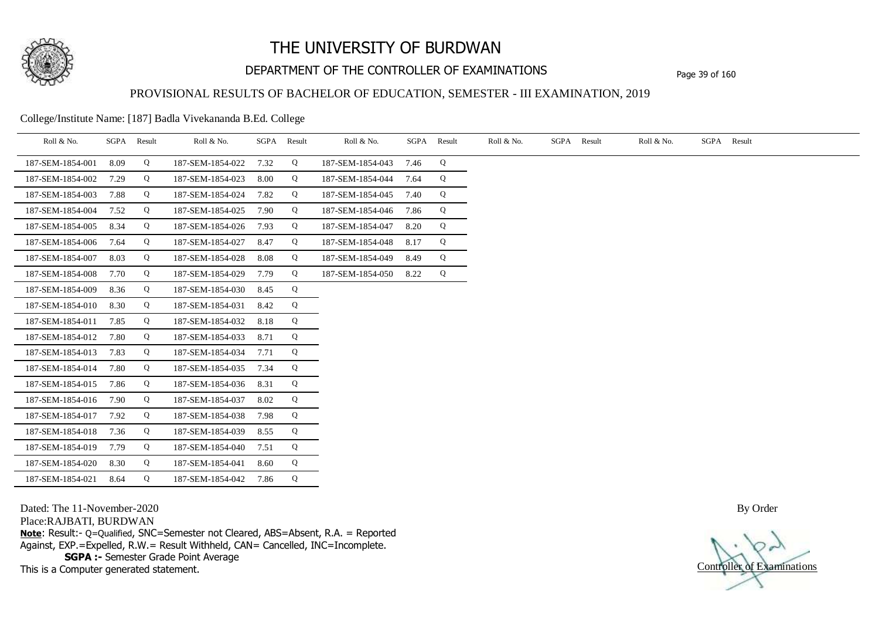

## DEPARTMENT OF THE CONTROLLER OF EXAMINATIONS Page 39 of 160

### PROVISIONAL RESULTS OF BACHELOR OF EDUCATION, SEMESTER - III EXAMINATION, 2019

College/Institute Name: [187] Badla Vivekananda B.Ed. College

| Roll & No.       | SGPA | Result | Roll & No.       | SGPA | Result | Roll & No.       | SGPA | Result | Roll & No. | SGPA Result | Roll & No. | SGPA Result |
|------------------|------|--------|------------------|------|--------|------------------|------|--------|------------|-------------|------------|-------------|
| 187-SEM-1854-001 | 8.09 | Q      | 187-SEM-1854-022 | 7.32 | Q      | 187-SEM-1854-043 | 7.46 | Q      |            |             |            |             |
| 187-SEM-1854-002 | 7.29 | Q      | 187-SEM-1854-023 | 8.00 | Q      | 187-SEM-1854-044 | 7.64 | Q      |            |             |            |             |
| 187-SEM-1854-003 | 7.88 | Q      | 187-SEM-1854-024 | 7.82 | Q      | 187-SEM-1854-045 | 7.40 | Q      |            |             |            |             |
| 187-SEM-1854-004 | 7.52 | Q      | 187-SEM-1854-025 | 7.90 | Q      | 187-SEM-1854-046 | 7.86 | Q      |            |             |            |             |
| 187-SEM-1854-005 | 8.34 | Q      | 187-SEM-1854-026 | 7.93 | Q      | 187-SEM-1854-047 | 8.20 | Q      |            |             |            |             |
| 187-SEM-1854-006 | 7.64 | Q      | 187-SEM-1854-027 | 8.47 | Q      | 187-SEM-1854-048 | 8.17 | Q      |            |             |            |             |
| 187-SEM-1854-007 | 8.03 | Q      | 187-SEM-1854-028 | 8.08 | Q      | 187-SEM-1854-049 | 8.49 | Q      |            |             |            |             |
| 187-SEM-1854-008 | 7.70 | Q      | 187-SEM-1854-029 | 7.79 | Q      | 187-SEM-1854-050 | 8.22 | Q      |            |             |            |             |
| 187-SEM-1854-009 | 8.36 | Q      | 187-SEM-1854-030 | 8.45 | Q      |                  |      |        |            |             |            |             |
| 187-SEM-1854-010 | 8.30 | Q      | 187-SEM-1854-031 | 8.42 | Q      |                  |      |        |            |             |            |             |
| 187-SEM-1854-011 | 7.85 | Q      | 187-SEM-1854-032 | 8.18 | Q      |                  |      |        |            |             |            |             |
| 187-SEM-1854-012 | 7.80 | Q      | 187-SEM-1854-033 | 8.71 | Q      |                  |      |        |            |             |            |             |
| 187-SEM-1854-013 | 7.83 | Q      | 187-SEM-1854-034 | 7.71 | Q      |                  |      |        |            |             |            |             |
| 187-SEM-1854-014 | 7.80 | Q      | 187-SEM-1854-035 | 7.34 | Q      |                  |      |        |            |             |            |             |
| 187-SEM-1854-015 | 7.86 | Q      | 187-SEM-1854-036 | 8.31 | Q      |                  |      |        |            |             |            |             |
| 187-SEM-1854-016 | 7.90 | Q      | 187-SEM-1854-037 | 8.02 | Q      |                  |      |        |            |             |            |             |
| 187-SEM-1854-017 | 7.92 | Q      | 187-SEM-1854-038 | 7.98 | Q      |                  |      |        |            |             |            |             |
| 187-SEM-1854-018 | 7.36 | Q      | 187-SEM-1854-039 | 8.55 | Q      |                  |      |        |            |             |            |             |
| 187-SEM-1854-019 | 7.79 | Q      | 187-SEM-1854-040 | 7.51 | Q      |                  |      |        |            |             |            |             |
| 187-SEM-1854-020 | 8.30 | Q      | 187-SEM-1854-041 | 8.60 | Q      |                  |      |        |            |             |            |             |
| 187-SEM-1854-021 | 8.64 | Q      | 187-SEM-1854-042 | 7.86 | Q      |                  |      |        |            |             |            |             |

Dated: The 11-November-2020

Place:RAJBATI, BURDWAN

**Note**: Result:- Q=Qualified, SNC=Semester not Cleared, ABS=Absent, R.A. = Reported Against, EXP.=Expelled, R.W.= Result Withheld, CAN= Cancelled, INC=Incomplete. **SGPA :-** Semester Grade Point Average

This is a Computer generated statement.

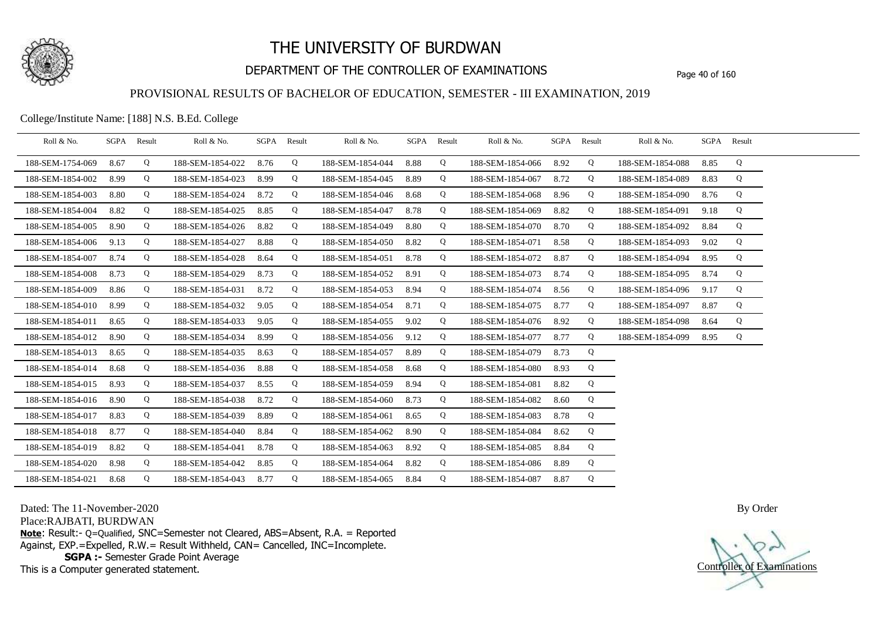

## DEPARTMENT OF THE CONTROLLER OF EXAMINATIONS Page 40 of 160

#### PROVISIONAL RESULTS OF BACHELOR OF EDUCATION, SEMESTER - III EXAMINATION, 2019

College/Institute Name: [188] N.S. B.Ed. College

| Roll & No.       |      | SGPA Result | Roll & No.       |      | SGPA Result | Roll & No.       |      | SGPA Result | Roll & No.       |      | SGPA Result | Roll & No.       | SGPA Result |   |  |
|------------------|------|-------------|------------------|------|-------------|------------------|------|-------------|------------------|------|-------------|------------------|-------------|---|--|
| 188-SEM-1754-069 | 8.67 | Q           | 188-SEM-1854-022 | 8.76 | Q           | 188-SEM-1854-044 | 8.88 | Q           | 188-SEM-1854-066 | 8.92 | Q           | 188-SEM-1854-088 | 8.85        | Q |  |
| 188-SEM-1854-002 | 8.99 | Q           | 188-SEM-1854-023 | 8.99 | Q           | 188-SEM-1854-045 | 8.89 | Q           | 188-SEM-1854-067 | 8.72 | Q           | 188-SEM-1854-089 | 8.83        | Q |  |
| 188-SEM-1854-003 | 8.80 | Q           | 188-SEM-1854-024 | 8.72 | Q           | 188-SEM-1854-046 | 8.68 | Q           | 188-SEM-1854-068 | 8.96 | Q           | 188-SEM-1854-090 | 8.76        | Q |  |
| 188-SEM-1854-004 | 8.82 | Q           | 188-SEM-1854-025 | 8.85 | Q           | 188-SEM-1854-047 | 8.78 | Q           | 188-SEM-1854-069 | 8.82 | Q           | 188-SEM-1854-091 | 9.18        | Q |  |
| 188-SEM-1854-005 | 8.90 | Q           | 188-SEM-1854-026 | 8.82 | Q           | 188-SEM-1854-049 | 8.80 | Q           | 188-SEM-1854-070 | 8.70 | Q           | 188-SEM-1854-092 | 8.84        | Q |  |
| 188-SEM-1854-006 | 9.13 | Q           | 188-SEM-1854-027 | 8.88 | Q           | 188-SEM-1854-050 | 8.82 | Q           | 188-SEM-1854-071 | 8.58 | Q           | 188-SEM-1854-093 | 9.02        | Q |  |
| 188-SEM-1854-007 | 8.74 | Q           | 188-SEM-1854-028 | 8.64 | Q           | 188-SEM-1854-051 | 8.78 | Q           | 188-SEM-1854-072 | 8.87 | Q           | 188-SEM-1854-094 | 8.95        | Q |  |
| 188-SEM-1854-008 | 8.73 | Q           | 188-SEM-1854-029 | 8.73 | Q           | 188-SEM-1854-052 | 8.91 | Q           | 188-SEM-1854-073 | 8.74 | Q           | 188-SEM-1854-095 | 8.74        | Q |  |
| 188-SEM-1854-009 | 8.86 | Q           | 188-SEM-1854-031 | 8.72 | Q           | 188-SEM-1854-053 | 8.94 | Q           | 188-SEM-1854-074 | 8.56 | Q           | 188-SEM-1854-096 | 9.17        | Q |  |
| 188-SEM-1854-010 | 8.99 | Q           | 188-SEM-1854-032 | 9.05 | Q           | 188-SEM-1854-054 | 8.71 | Q           | 188-SEM-1854-075 | 8.77 | Q           | 188-SEM-1854-097 | 8.87        | Q |  |
| 188-SEM-1854-011 | 8.65 | Q           | 188-SEM-1854-033 | 9.05 | Q           | 188-SEM-1854-055 | 9.02 | Q           | 188-SEM-1854-076 | 8.92 | Q           | 188-SEM-1854-098 | 8.64        | Q |  |
| 188-SEM-1854-012 | 8.90 | Q           | 188-SEM-1854-034 | 8.99 | Q           | 188-SEM-1854-056 | 9.12 | Q           | 188-SEM-1854-077 | 8.77 | Q           | 188-SEM-1854-099 | 8.95        | Q |  |
| 188-SEM-1854-013 | 8.65 | Q           | 188-SEM-1854-035 | 8.63 | Q           | 188-SEM-1854-057 | 8.89 | Q           | 188-SEM-1854-079 | 8.73 | Q           |                  |             |   |  |
| 188-SEM-1854-014 | 8.68 | Q           | 188-SEM-1854-036 | 8.88 | Q           | 188-SEM-1854-058 | 8.68 | Q           | 188-SEM-1854-080 | 8.93 | Q           |                  |             |   |  |
| 188-SEM-1854-015 | 8.93 | Q           | 188-SEM-1854-037 | 8.55 | Q           | 188-SEM-1854-059 | 8.94 | Q           | 188-SEM-1854-081 | 8.82 | Q           |                  |             |   |  |
| 188-SEM-1854-016 | 8.90 | Q           | 188-SEM-1854-038 | 8.72 | Q           | 188-SEM-1854-060 | 8.73 | Q           | 188-SEM-1854-082 | 8.60 | Q           |                  |             |   |  |
| 188-SEM-1854-017 | 8.83 | Q           | 188-SEM-1854-039 | 8.89 | Q           | 188-SEM-1854-061 | 8.65 | Q           | 188-SEM-1854-083 | 8.78 | Q           |                  |             |   |  |
| 188-SEM-1854-018 | 8.77 | Q           | 188-SEM-1854-040 | 8.84 | Q           | 188-SEM-1854-062 | 8.90 | Q           | 188-SEM-1854-084 | 8.62 | Q           |                  |             |   |  |
| 188-SEM-1854-019 | 8.82 | Q           | 188-SEM-1854-041 | 8.78 | Q           | 188-SEM-1854-063 | 8.92 | Q           | 188-SEM-1854-085 | 8.84 | Q           |                  |             |   |  |
| 188-SEM-1854-020 | 8.98 | Q           | 188-SEM-1854-042 | 8.85 | Q           | 188-SEM-1854-064 | 8.82 | Q           | 188-SEM-1854-086 | 8.89 | Q           |                  |             |   |  |
| 188-SEM-1854-021 | 8.68 | Q           | 188-SEM-1854-043 | 8.77 | Q           | 188-SEM-1854-065 | 8.84 | Q           | 188-SEM-1854-087 | 8.87 | Q           |                  |             |   |  |

Dated: The 11-November-2020

Place:RAJBATI, BURDWAN

**Note**: Result:- Q=Qualified, SNC=Semester not Cleared, ABS=Absent, R.A. = Reported Against, EXP.=Expelled, R.W.= Result Withheld, CAN= Cancelled, INC=Incomplete. **SGPA :-** Semester Grade Point Average

This is a Computer generated statement.

Controller of Examinations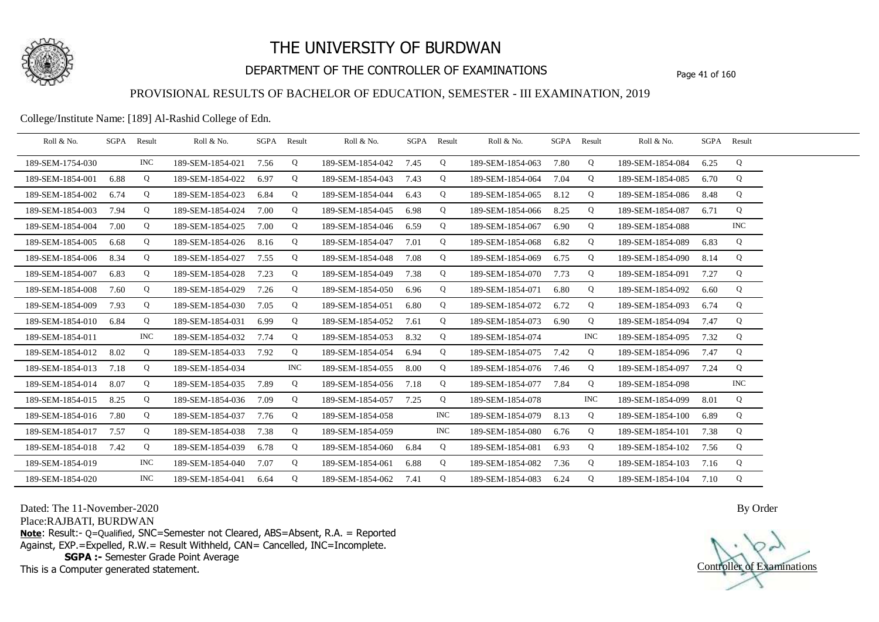

## DEPARTMENT OF THE CONTROLLER OF EXAMINATIONS Page 41 of 160

### PROVISIONAL RESULTS OF BACHELOR OF EDUCATION, SEMESTER - III EXAMINATION, 2019

College/Institute Name: [189] Al-Rashid College of Edn.

| Roll & No.       | SGPA | Result     | Roll & No.       |      | SGPA Result | Roll & No.       |      | SGPA Result | Roll & No.       |      | SGPA Result | Roll & No.       | SGPA Result |            |  |
|------------------|------|------------|------------------|------|-------------|------------------|------|-------------|------------------|------|-------------|------------------|-------------|------------|--|
| 189-SEM-1754-030 |      | <b>INC</b> | 189-SEM-1854-021 | 7.56 | Q           | 189-SEM-1854-042 | 7.45 | Q           | 189-SEM-1854-063 | 7.80 | Q           | 189-SEM-1854-084 | 6.25        | Q          |  |
| 189-SEM-1854-001 | 6.88 | Q          | 189-SEM-1854-022 | 6.97 | Q           | 189-SEM-1854-043 | 7.43 | Q           | 189-SEM-1854-064 | 7.04 | Q           | 189-SEM-1854-085 | 6.70        | Q          |  |
| 189-SEM-1854-002 | 6.74 | Q          | 189-SEM-1854-023 | 6.84 | Q           | 189-SEM-1854-044 | 6.43 | Q           | 189-SEM-1854-065 | 8.12 | Q           | 189-SEM-1854-086 | 8.48        | Q          |  |
| 189-SEM-1854-003 | 7.94 | Q          | 189-SEM-1854-024 | 7.00 | Q           | 189-SEM-1854-045 | 6.98 | Q           | 189-SEM-1854-066 | 8.25 | Q           | 189-SEM-1854-087 | 6.71        | Q          |  |
| 189-SEM-1854-004 | 7.00 | Q          | 189-SEM-1854-025 | 7.00 | Q           | 189-SEM-1854-046 | 6.59 | Q           | 189-SEM-1854-067 | 6.90 | Q           | 189-SEM-1854-088 |             | <b>INC</b> |  |
| 189-SEM-1854-005 | 6.68 | Q          | 189-SEM-1854-026 | 8.16 | Q           | 189-SEM-1854-047 | 7.01 | Q           | 189-SEM-1854-068 | 6.82 | Q           | 189-SEM-1854-089 | 6.83        | Q          |  |
| 189-SEM-1854-006 | 8.34 | Q          | 189-SEM-1854-027 | 7.55 | Q           | 189-SEM-1854-048 | 7.08 | Q           | 189-SEM-1854-069 | 6.75 | Q           | 189-SEM-1854-090 | 8.14        | Q          |  |
| 189-SEM-1854-007 | 6.83 | Q          | 189-SEM-1854-028 | 7.23 | Q           | 189-SEM-1854-049 | 7.38 | Q           | 189-SEM-1854-070 | 7.73 | Q           | 189-SEM-1854-091 | 7.27        | Q          |  |
| 189-SEM-1854-008 | 7.60 | Q          | 189-SEM-1854-029 | 7.26 | Q           | 189-SEM-1854-050 | 6.96 | Q           | 189-SEM-1854-071 | 6.80 | Q           | 189-SEM-1854-092 | 6.60        | Q          |  |
| 189-SEM-1854-009 | 7.93 | Q          | 189-SEM-1854-030 | 7.05 | Q           | 189-SEM-1854-051 | 6.80 | Q           | 189-SEM-1854-072 | 6.72 | Q           | 189-SEM-1854-093 | 6.74        | Q          |  |
| 189-SEM-1854-010 | 6.84 | Q          | 189-SEM-1854-031 | 6.99 | Q           | 189-SEM-1854-052 | 7.61 | Q           | 189-SEM-1854-073 | 6.90 | Q           | 189-SEM-1854-094 | 7.47        | Q          |  |
| 189-SEM-1854-011 |      | <b>INC</b> | 189-SEM-1854-032 | 7.74 | Q           | 189-SEM-1854-053 | 8.32 | Q           | 189-SEM-1854-074 |      | <b>INC</b>  | 189-SEM-1854-095 | 7.32        | Q          |  |
| 189-SEM-1854-012 | 8.02 | Q          | 189-SEM-1854-033 | 7.92 | Q           | 189-SEM-1854-054 | 6.94 | Q           | 189-SEM-1854-075 | 7.42 | Q           | 189-SEM-1854-096 | 7.47        | Q          |  |
| 189-SEM-1854-013 | 7.18 | Q          | 189-SEM-1854-034 |      | INC         | 189-SEM-1854-055 | 8.00 | Q           | 189-SEM-1854-076 | 7.46 | Q           | 189-SEM-1854-097 | 7.24        | Q          |  |
| 189-SEM-1854-014 | 8.07 | Q          | 189-SEM-1854-035 | 7.89 | Q           | 189-SEM-1854-056 | 7.18 | Q           | 189-SEM-1854-077 | 7.84 | Q           | 189-SEM-1854-098 |             | INC        |  |
| 189-SEM-1854-015 | 8.25 | Q          | 189-SEM-1854-036 | 7.09 | Q           | 189-SEM-1854-057 | 7.25 | Q           | 189-SEM-1854-078 |      | <b>INC</b>  | 189-SEM-1854-099 | 8.01        | Q          |  |
| 189-SEM-1854-016 | 7.80 | Q          | 189-SEM-1854-037 | 7.76 | Q           | 189-SEM-1854-058 |      | INC.        | 189-SEM-1854-079 | 8.13 | Q           | 189-SEM-1854-100 | 6.89        | Q          |  |
| 189-SEM-1854-017 | 7.57 | Q          | 189-SEM-1854-038 | 7.38 | Q           | 189-SEM-1854-059 |      | <b>INC</b>  | 189-SEM-1854-080 | 6.76 | Q           | 189-SEM-1854-101 | 7.38        | Q          |  |
| 189-SEM-1854-018 | 7.42 | Q          | 189-SEM-1854-039 | 6.78 | Q           | 189-SEM-1854-060 | 6.84 | Q           | 189-SEM-1854-081 | 6.93 | Q           | 189-SEM-1854-102 | 7.56        | Q          |  |
| 189-SEM-1854-019 |      | INC        | 189-SEM-1854-040 | 7.07 | Q           | 189-SEM-1854-061 | 6.88 | Q           | 189-SEM-1854-082 | 7.36 | Q           | 189-SEM-1854-103 | 7.16        | Q          |  |
| 189-SEM-1854-020 |      | <b>INC</b> | 189-SEM-1854-041 | 6.64 | Q           | 189-SEM-1854-062 | 7.41 | Q           | 189-SEM-1854-083 | 6.24 | Q           | 189-SEM-1854-104 | 7.10        | Q          |  |

Dated: The 11-November-2020

Place:RAJBATI, BURDWAN

**Note**: Result:- Q=Qualified, SNC=Semester not Cleared, ABS=Absent, R.A. = Reported Against, EXP.=Expelled, R.W.= Result Withheld, CAN= Cancelled, INC=Incomplete. **SGPA :-** Semester Grade Point Average

This is a Computer generated statement.

Controller of Examinations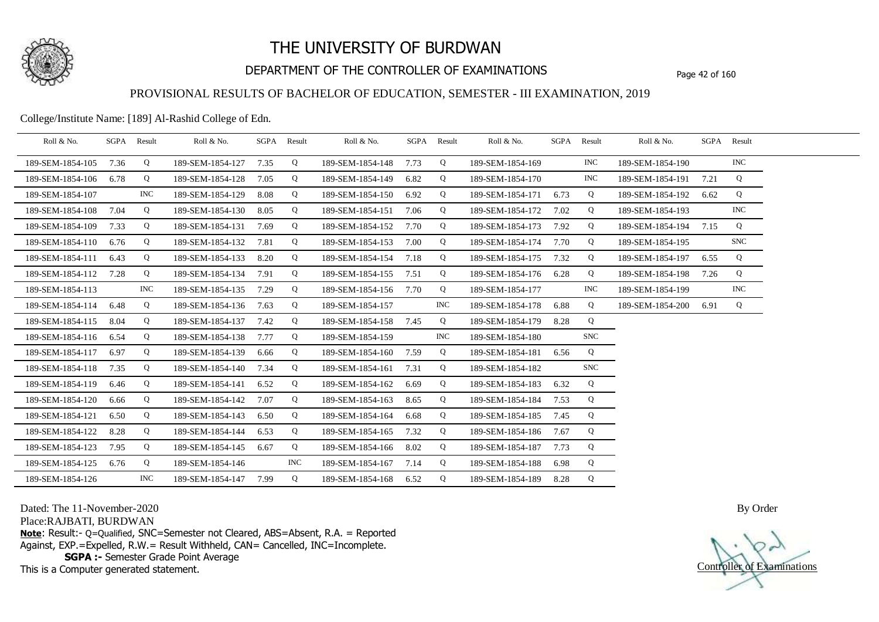

## DEPARTMENT OF THE CONTROLLER OF EXAMINATIONS Page 42 of 160

#### PROVISIONAL RESULTS OF BACHELOR OF EDUCATION, SEMESTER - III EXAMINATION, 2019

College/Institute Name: [189] Al-Rashid College of Edn.

| Roll & No.       |      | SGPA Result | Roll & No.            |      | SGPA Result | Roll & No.       |      | SGPA Result | Roll & No.       | SGPA Result |            | Roll & No.            |      | SGPA Result |  |
|------------------|------|-------------|-----------------------|------|-------------|------------------|------|-------------|------------------|-------------|------------|-----------------------|------|-------------|--|
| 189-SEM-1854-105 | 7.36 | Q           | 189-SEM-1854-127      | 7.35 | Q           | 189-SEM-1854-148 | 7.73 | Q           | 189-SEM-1854-169 |             | <b>INC</b> | 189-SEM-1854-190      |      | <b>INC</b>  |  |
| 189-SEM-1854-106 | 6.78 | Q           | 189-SEM-1854-128      | 7.05 | Q           | 189-SEM-1854-149 | 6.82 | Q           | 189-SEM-1854-170 |             | <b>INC</b> | 189-SEM-1854-191      | 7.21 | Q           |  |
| 189-SEM-1854-107 |      | <b>INC</b>  | 189-SEM-1854-129      | 8.08 | Q           | 189-SEM-1854-150 | 6.92 | Q           | 189-SEM-1854-171 | 6.73        | Q          | 189-SEM-1854-192      | 6.62 | Q           |  |
| 189-SEM-1854-108 | 7.04 | Q           | 189-SEM-1854-130      | 8.05 | Q           | 189-SEM-1854-151 | 7.06 | Q           | 189-SEM-1854-172 | 7.02        | Q          | 189-SEM-1854-193      |      | <b>INC</b>  |  |
| 189-SEM-1854-109 | 7.33 | Q           | 189-SEM-1854-131      | 7.69 | Q           | 189-SEM-1854-152 | 7.70 | Q           | 189-SEM-1854-173 | 7.92        | Q          | 189-SEM-1854-194 7.15 |      | Q           |  |
| 189-SEM-1854-110 | 6.76 | Q           | 189-SEM-1854-132      | 7.81 | Q           | 189-SEM-1854-153 | 7.00 | Q           | 189-SEM-1854-174 | 7.70        | Q          | 189-SEM-1854-195      |      | <b>SNC</b>  |  |
| 189-SEM-1854-111 | 6.43 | Q           | 189-SEM-1854-133      | 8.20 | Q           | 189-SEM-1854-154 | 7.18 | Q           | 189-SEM-1854-175 | 7.32        | Q          | 189-SEM-1854-197      | 6.55 | Q           |  |
| 189-SEM-1854-112 | 7.28 | Q           | 189-SEM-1854-134      | 7.91 | Q           | 189-SEM-1854-155 | 7.51 | Q           | 189-SEM-1854-176 | 6.28        | Q          | 189-SEM-1854-198      | 7.26 | Q           |  |
| 189-SEM-1854-113 |      | INC         | 189-SEM-1854-135      | 7.29 | Q           | 189-SEM-1854-156 | 7.70 | Q           | 189-SEM-1854-177 |             | <b>INC</b> | 189-SEM-1854-199      |      | <b>INC</b>  |  |
| 189-SEM-1854-114 | 6.48 | Q           | 189-SEM-1854-136      | 7.63 | Q           | 189-SEM-1854-157 |      | INC         | 189-SEM-1854-178 | 6.88        | Q          | 189-SEM-1854-200 6.91 |      | Q           |  |
| 189-SEM-1854-115 | 8.04 | Q           | 189-SEM-1854-137      | 7.42 | Q           | 189-SEM-1854-158 | 7.45 | Q           | 189-SEM-1854-179 | 8.28        | Q          |                       |      |             |  |
| 189-SEM-1854-116 | 6.54 | Q           | 189-SEM-1854-138      | 7.77 | Q           | 189-SEM-1854-159 |      | <b>INC</b>  | 189-SEM-1854-180 |             | <b>SNC</b> |                       |      |             |  |
| 189-SEM-1854-117 | 6.97 | Q           | 189-SEM-1854-139      | 6.66 | Q           | 189-SEM-1854-160 | 7.59 | Q           | 189-SEM-1854-181 | 6.56        | Q          |                       |      |             |  |
| 189-SEM-1854-118 | 7.35 | Q           | 189-SEM-1854-140      | 7.34 | Q           | 189-SEM-1854-161 | 7.31 | Q           | 189-SEM-1854-182 |             | <b>SNC</b> |                       |      |             |  |
| 189-SEM-1854-119 | 6.46 | Q           | 189-SEM-1854-141      | 6.52 | Q           | 189-SEM-1854-162 | 6.69 | Q           | 189-SEM-1854-183 | 6.32        | Q          |                       |      |             |  |
| 189-SEM-1854-120 | 6.66 | Q           | 189-SEM-1854-142      | 7.07 | Q           | 189-SEM-1854-163 | 8.65 | Q           | 189-SEM-1854-184 | 7.53        | Q          |                       |      |             |  |
| 189-SEM-1854-121 | 6.50 | Q           | 189-SEM-1854-143      | 6.50 | Q           | 189-SEM-1854-164 | 6.68 | Q           | 189-SEM-1854-185 | 7.45        | Q          |                       |      |             |  |
| 189-SEM-1854-122 | 8.28 | Q           | 189-SEM-1854-144      | 6.53 | Q           | 189-SEM-1854-165 | 7.32 | Q           | 189-SEM-1854-186 | 7.67        | Q          |                       |      |             |  |
| 189-SEM-1854-123 | 7.95 | Q           | 189-SEM-1854-145      | 6.67 | Q           | 189-SEM-1854-166 | 8.02 | Q           | 189-SEM-1854-187 | 7.73        | Q          |                       |      |             |  |
| 189-SEM-1854-125 | 6.76 | Q           | 189-SEM-1854-146      |      | INC         | 189-SEM-1854-167 | 7.14 | Q           | 189-SEM-1854-188 | 6.98        | Q          |                       |      |             |  |
| 189-SEM-1854-126 |      | INC         | 189-SEM-1854-147 7.99 |      | Q           | 189-SEM-1854-168 | 6.52 | Q           | 189-SEM-1854-189 | 8.28        | Q          |                       |      |             |  |

Dated: The 11-November-2020

Place:RAJBATI, BURDWAN

**Note**: Result:- Q=Qualified, SNC=Semester not Cleared, ABS=Absent, R.A. = Reported Against, EXP.=Expelled, R.W.= Result Withheld, CAN= Cancelled, INC=Incomplete. **SGPA :-** Semester Grade Point Average

This is a Computer generated statement.

Controller of Examinations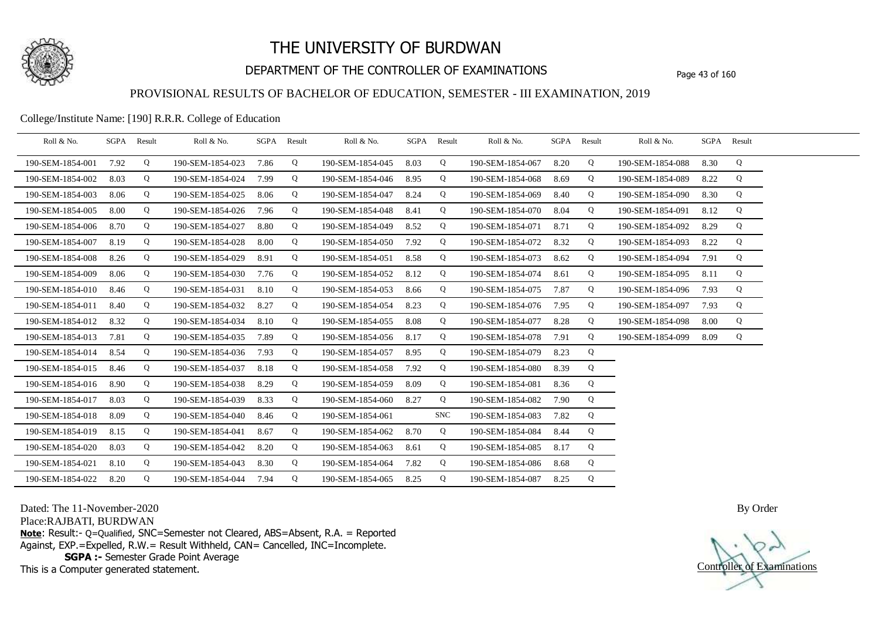

## DEPARTMENT OF THE CONTROLLER OF EXAMINATIONS Page 43 of 160

#### PROVISIONAL RESULTS OF BACHELOR OF EDUCATION, SEMESTER - III EXAMINATION, 2019

#### College/Institute Name: [190] R.R.R. College of Education

| Roll & No.       |      | SGPA Result | Roll & No.       |      | SGPA Result | Roll & No.       |      | SGPA Result | Roll & No.       |      | SGPA Result | Roll & No.       |      | SGPA Result |  |
|------------------|------|-------------|------------------|------|-------------|------------------|------|-------------|------------------|------|-------------|------------------|------|-------------|--|
| 190-SEM-1854-001 | 7.92 | Q           | 190-SEM-1854-023 | 7.86 | Q           | 190-SEM-1854-045 | 8.03 | Q           | 190-SEM-1854-067 | 8.20 | Q           | 190-SEM-1854-088 | 8.30 | Q           |  |
| 190-SEM-1854-002 | 8.03 | Q           | 190-SEM-1854-024 | 7.99 | Q           | 190-SEM-1854-046 | 8.95 | Q           | 190-SEM-1854-068 | 8.69 | Q           | 190-SEM-1854-089 | 8.22 | Q           |  |
| 190-SEM-1854-003 | 8.06 | Q           | 190-SEM-1854-025 | 8.06 | Q           | 190-SEM-1854-047 | 8.24 | Q           | 190-SEM-1854-069 | 8.40 | Q           | 190-SEM-1854-090 | 8.30 | Q           |  |
| 190-SEM-1854-005 | 8.00 | Q           | 190-SEM-1854-026 | 7.96 | Q           | 190-SEM-1854-048 | 8.41 | Q           | 190-SEM-1854-070 | 8.04 | Q           | 190-SEM-1854-091 | 8.12 | Q           |  |
| 190-SEM-1854-006 | 8.70 | Q           | 190-SEM-1854-027 | 8.80 | Q           | 190-SEM-1854-049 | 8.52 | Q           | 190-SEM-1854-071 | 8.71 | Q           | 190-SEM-1854-092 | 8.29 | Q           |  |
| 190-SEM-1854-007 | 8.19 | Q           | 190-SEM-1854-028 | 8.00 | Q           | 190-SEM-1854-050 | 7.92 | Q           | 190-SEM-1854-072 | 8.32 | Q           | 190-SEM-1854-093 | 8.22 | Q           |  |
| 190-SEM-1854-008 | 8.26 | Q           | 190-SEM-1854-029 | 8.91 | Q           | 190-SEM-1854-051 | 8.58 | Q           | 190-SEM-1854-073 | 8.62 | Q           | 190-SEM-1854-094 | 7.91 | Q           |  |
| 190-SEM-1854-009 | 8.06 | Q           | 190-SEM-1854-030 | 7.76 | Q           | 190-SEM-1854-052 | 8.12 | Q           | 190-SEM-1854-074 | 8.61 | Q           | 190-SEM-1854-095 | 8.11 | Q           |  |
| 190-SEM-1854-010 | 8.46 | Q           | 190-SEM-1854-031 | 8.10 | Q           | 190-SEM-1854-053 | 8.66 | Q           | 190-SEM-1854-075 | 7.87 | Q           | 190-SEM-1854-096 | 7.93 | Q           |  |
| 190-SEM-1854-011 | 8.40 | Q           | 190-SEM-1854-032 | 8.27 | Q           | 190-SEM-1854-054 | 8.23 | Q           | 190-SEM-1854-076 | 7.95 | Q           | 190-SEM-1854-097 | 7.93 | Q           |  |
| 190-SEM-1854-012 | 8.32 | Q           | 190-SEM-1854-034 | 8.10 | Q           | 190-SEM-1854-055 | 8.08 | Q           | 190-SEM-1854-077 | 8.28 | Q           | 190-SEM-1854-098 | 8.00 | Q           |  |
| 190-SEM-1854-013 | 7.81 | Q           | 190-SEM-1854-035 | 7.89 | Q           | 190-SEM-1854-056 | 8.17 | Q           | 190-SEM-1854-078 | 7.91 | Q           | 190-SEM-1854-099 | 8.09 | Q           |  |
| 190-SEM-1854-014 | 8.54 | Q           | 190-SEM-1854-036 | 7.93 | Q           | 190-SEM-1854-057 | 8.95 | Q           | 190-SEM-1854-079 | 8.23 | Q           |                  |      |             |  |
| 190-SEM-1854-015 | 8.46 | Q           | 190-SEM-1854-037 | 8.18 | Q           | 190-SEM-1854-058 | 7.92 | Q           | 190-SEM-1854-080 | 8.39 | Q           |                  |      |             |  |
| 190-SEM-1854-016 | 8.90 | Q           | 190-SEM-1854-038 | 8.29 | Q           | 190-SEM-1854-059 | 8.09 | Q           | 190-SEM-1854-081 | 8.36 | Q           |                  |      |             |  |
| 190-SEM-1854-017 | 8.03 | Q           | 190-SEM-1854-039 | 8.33 | Q           | 190-SEM-1854-060 | 8.27 | Q           | 190-SEM-1854-082 | 7.90 | Q           |                  |      |             |  |
| 190-SEM-1854-018 | 8.09 | Q           | 190-SEM-1854-040 | 8.46 | Q           | 190-SEM-1854-061 |      | <b>SNC</b>  | 190-SEM-1854-083 | 7.82 | Q           |                  |      |             |  |
| 190-SEM-1854-019 | 8.15 | Q           | 190-SEM-1854-041 | 8.67 | Q           | 190-SEM-1854-062 | 8.70 | Q           | 190-SEM-1854-084 | 8.44 | Q           |                  |      |             |  |
| 190-SEM-1854-020 | 8.03 | Q           | 190-SEM-1854-042 | 8.20 | Q           | 190-SEM-1854-063 | 8.61 | Q           | 190-SEM-1854-085 | 8.17 | Q           |                  |      |             |  |
| 190-SEM-1854-021 | 8.10 | Q           | 190-SEM-1854-043 | 8.30 | Q           | 190-SEM-1854-064 | 7.82 | Q           | 190-SEM-1854-086 | 8.68 | Q           |                  |      |             |  |
| 190-SEM-1854-022 | 8.20 | Q           | 190-SEM-1854-044 | 7.94 | Q           | 190-SEM-1854-065 | 8.25 | Q           | 190-SEM-1854-087 | 8.25 | Q           |                  |      |             |  |

Dated: The 11-November-2020

Place:RAJBATI, BURDWAN

**Note**: Result:- Q=Qualified, SNC=Semester not Cleared, ABS=Absent, R.A. = Reported Against, EXP.=Expelled, R.W.= Result Withheld, CAN= Cancelled, INC=Incomplete. **SGPA :-** Semester Grade Point Average

This is a Computer generated statement.

Controller of Examinations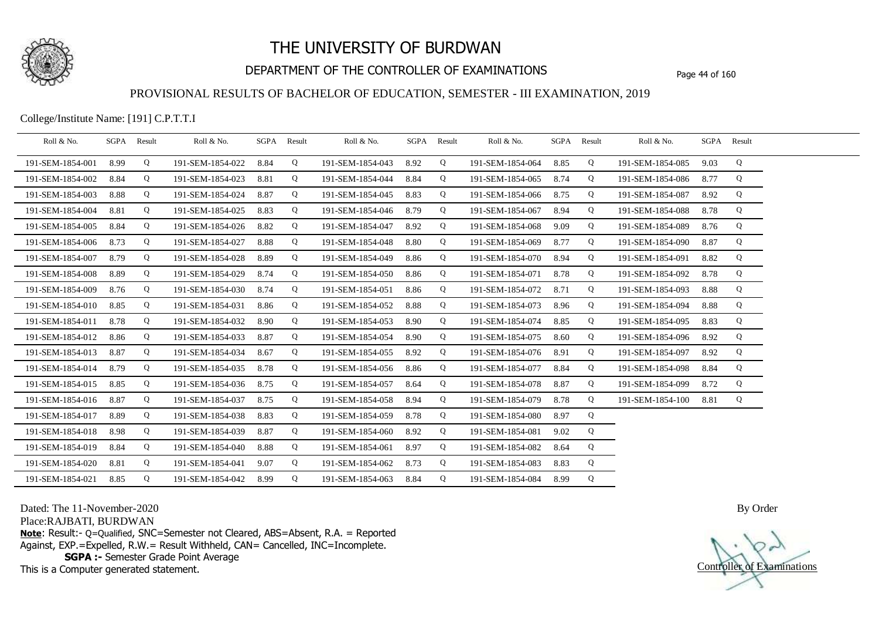

## DEPARTMENT OF THE CONTROLLER OF EXAMINATIONS Page 44 of 160

#### PROVISIONAL RESULTS OF BACHELOR OF EDUCATION, SEMESTER - III EXAMINATION, 2019

College/Institute Name: [191] C.P.T.T.I

| Roll & No.       | SGPA Result |   | Roll & No.       |      | SGPA Result | Roll & No.       |      | SGPA Result | Roll & No.       |      | SGPA Result | Roll & No.       |      | SGPA Result |  |
|------------------|-------------|---|------------------|------|-------------|------------------|------|-------------|------------------|------|-------------|------------------|------|-------------|--|
| 191-SEM-1854-001 | 8.99        | Q | 191-SEM-1854-022 | 8.84 | Q           | 191-SEM-1854-043 | 8.92 | Q           | 191-SEM-1854-064 | 8.85 | Q           | 191-SEM-1854-085 | 9.03 | Q           |  |
| 191-SEM-1854-002 | 8.84        | Q | 191-SEM-1854-023 | 8.81 | Q           | 191-SEM-1854-044 | 8.84 | Q           | 191-SEM-1854-065 | 8.74 | Q           | 191-SEM-1854-086 | 8.77 | Q           |  |
| 191-SEM-1854-003 | 8.88        | Q | 191-SEM-1854-024 | 8.87 | Q           | 191-SEM-1854-045 | 8.83 | Q           | 191-SEM-1854-066 | 8.75 | Q           | 191-SEM-1854-087 | 8.92 | Q           |  |
| 191-SEM-1854-004 | 8.81        | Q | 191-SEM-1854-025 | 8.83 | Q           | 191-SEM-1854-046 | 8.79 | Q           | 191-SEM-1854-067 | 8.94 | Q           | 191-SEM-1854-088 | 8.78 | Q           |  |
| 191-SEM-1854-005 | 8.84        | Q | 191-SEM-1854-026 | 8.82 | Q           | 191-SEM-1854-047 | 8.92 | Q           | 191-SEM-1854-068 | 9.09 | Q           | 191-SEM-1854-089 | 8.76 | Q           |  |
| 191-SEM-1854-006 | 8.73        | Q | 191-SEM-1854-027 | 8.88 | Q           | 191-SEM-1854-048 | 8.80 | Q           | 191-SEM-1854-069 | 8.77 | Q           | 191-SEM-1854-090 | 8.87 | Q           |  |
| 191-SEM-1854-007 | 8.79        | Q | 191-SEM-1854-028 | 8.89 | Q           | 191-SEM-1854-049 | 8.86 | Q           | 191-SEM-1854-070 | 8.94 | Q           | 191-SEM-1854-091 | 8.82 | Q           |  |
| 191-SEM-1854-008 | 8.89        | Q | 191-SEM-1854-029 | 8.74 | Q           | 191-SEM-1854-050 | 8.86 | Q           | 191-SEM-1854-071 | 8.78 | Q           | 191-SEM-1854-092 | 8.78 | Q           |  |
| 191-SEM-1854-009 | 8.76        | Q | 191-SEM-1854-030 | 8.74 | Q           | 191-SEM-1854-051 | 8.86 | Q           | 191-SEM-1854-072 | 8.71 | Q           | 191-SEM-1854-093 | 8.88 | Q           |  |
| 191-SEM-1854-010 | 8.85        | Q | 191-SEM-1854-031 | 8.86 | Q           | 191-SEM-1854-052 | 8.88 | Q           | 191-SEM-1854-073 | 8.96 | Q           | 191-SEM-1854-094 | 8.88 | Q           |  |
| 191-SEM-1854-011 | 8.78        | Q | 191-SEM-1854-032 | 8.90 | Q           | 191-SEM-1854-053 | 8.90 | Q           | 191-SEM-1854-074 | 8.85 | Q           | 191-SEM-1854-095 | 8.83 | Q           |  |
| 191-SEM-1854-012 | 8.86        | Q | 191-SEM-1854-033 | 8.87 | Q           | 191-SEM-1854-054 | 8.90 | Q           | 191-SEM-1854-075 | 8.60 | Q           | 191-SEM-1854-096 | 8.92 | Q           |  |
| 191-SEM-1854-013 | 8.87        | Q | 191-SEM-1854-034 | 8.67 | Q           | 191-SEM-1854-055 | 8.92 | Q           | 191-SEM-1854-076 | 8.91 | Q           | 191-SEM-1854-097 | 8.92 | Q           |  |
| 191-SEM-1854-014 | 8.79        | Q | 191-SEM-1854-035 | 8.78 | Q           | 191-SEM-1854-056 | 8.86 | Q           | 191-SEM-1854-077 | 8.84 | Q           | 191-SEM-1854-098 | 8.84 | Q           |  |
| 191-SEM-1854-015 | 8.85        | Q | 191-SEM-1854-036 | 8.75 | Q           | 191-SEM-1854-057 | 8.64 | Q           | 191-SEM-1854-078 | 8.87 | Q           | 191-SEM-1854-099 | 8.72 | Q           |  |
| 191-SEM-1854-016 | 8.87        | Q | 191-SEM-1854-037 | 8.75 | Q           | 191-SEM-1854-058 | 8.94 | Q           | 191-SEM-1854-079 | 8.78 | Q           | 191-SEM-1854-100 | 8.81 | Q           |  |
| 191-SEM-1854-017 | 8.89        | Q | 191-SEM-1854-038 | 8.83 | Q           | 191-SEM-1854-059 | 8.78 | Q           | 191-SEM-1854-080 | 8.97 | Q           |                  |      |             |  |
| 191-SEM-1854-018 | 8.98        | Q | 191-SEM-1854-039 | 8.87 | Q           | 191-SEM-1854-060 | 8.92 | Q           | 191-SEM-1854-081 | 9.02 | Q           |                  |      |             |  |
| 191-SEM-1854-019 | 8.84        | Q | 191-SEM-1854-040 | 8.88 | Q           | 191-SEM-1854-061 | 8.97 | Q           | 191-SEM-1854-082 | 8.64 | Q           |                  |      |             |  |
| 191-SEM-1854-020 | 8.81        | Q | 191-SEM-1854-041 | 9.07 | Q           | 191-SEM-1854-062 | 8.73 | Q           | 191-SEM-1854-083 | 8.83 | Q           |                  |      |             |  |
| 191-SEM-1854-021 | 8.85        | Q | 191-SEM-1854-042 | 8.99 | Q           | 191-SEM-1854-063 | 8.84 | Q           | 191-SEM-1854-084 | 8.99 | Q           |                  |      |             |  |

Dated: The 11-November-2020

Place:RAJBATI, BURDWAN

**Note**: Result:- Q=Qualified, SNC=Semester not Cleared, ABS=Absent, R.A. = Reported Against, EXP.=Expelled, R.W.= Result Withheld, CAN= Cancelled, INC=Incomplete. **SGPA :-** Semester Grade Point Average

This is a Computer generated statement.

Controller of Examinations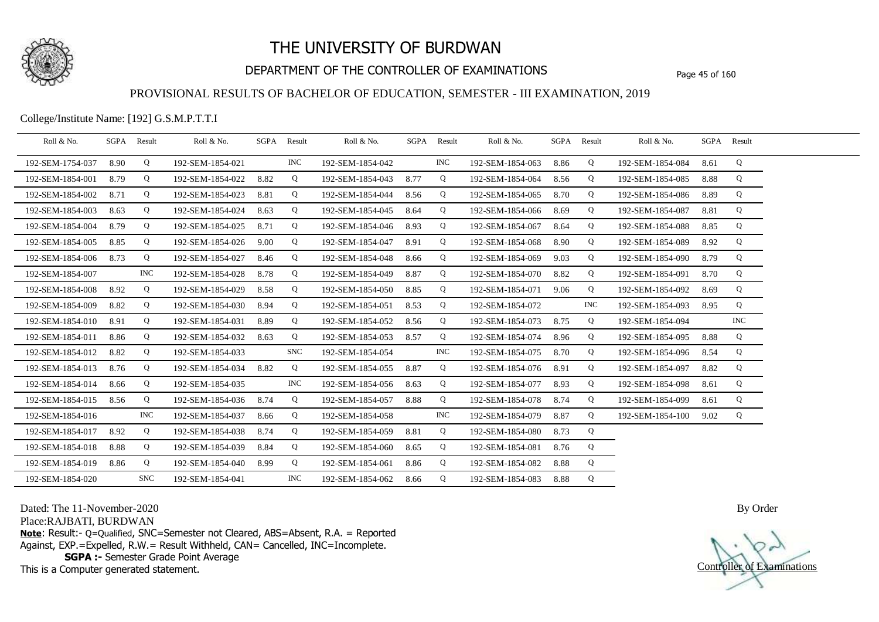

## DEPARTMENT OF THE CONTROLLER OF EXAMINATIONS Page 45 of 160

#### PROVISIONAL RESULTS OF BACHELOR OF EDUCATION, SEMESTER - III EXAMINATION, 2019

College/Institute Name: [192] G.S.M.P.T.T.I

| Roll & No.       | SGPA | Result     | Roll & No.       |      | SGPA Result | Roll & No.       |      | SGPA Result | Roll & No.       | SGPA Result |            | Roll & No.       | SGPA Result |            |  |
|------------------|------|------------|------------------|------|-------------|------------------|------|-------------|------------------|-------------|------------|------------------|-------------|------------|--|
| 192-SEM-1754-037 | 8.90 | Q          | 192-SEM-1854-021 |      | <b>INC</b>  | 192-SEM-1854-042 |      | <b>INC</b>  | 192-SEM-1854-063 | 8.86        | Q          | 192-SEM-1854-084 | 8.61        | Q          |  |
| 192-SEM-1854-001 | 8.79 | Q          | 192-SEM-1854-022 | 8.82 | Q           | 192-SEM-1854-043 | 8.77 | Q           | 192-SEM-1854-064 | 8.56        | Q          | 192-SEM-1854-085 | 8.88        | Q          |  |
| 192-SEM-1854-002 | 8.71 | Q          | 192-SEM-1854-023 | 8.81 | Q           | 192-SEM-1854-044 | 8.56 | Q           | 192-SEM-1854-065 | 8.70        | Q          | 192-SEM-1854-086 | 8.89        | Q          |  |
| 192-SEM-1854-003 | 8.63 | Q          | 192-SEM-1854-024 | 8.63 | Q           | 192-SEM-1854-045 | 8.64 | Q           | 192-SEM-1854-066 | 8.69        | Q          | 192-SEM-1854-087 | 8.81        | Q          |  |
| 192-SEM-1854-004 | 8.79 | Q          | 192-SEM-1854-025 | 8.71 | Q           | 192-SEM-1854-046 | 8.93 | Q           | 192-SEM-1854-067 | 8.64        | Q          | 192-SEM-1854-088 | 8.85        | Q          |  |
| 192-SEM-1854-005 | 8.85 | Q          | 192-SEM-1854-026 | 9.00 | Q           | 192-SEM-1854-047 | 8.91 | Q           | 192-SEM-1854-068 | 8.90        | Q          | 192-SEM-1854-089 | 8.92        | Q          |  |
| 192-SEM-1854-006 | 8.73 | Q          | 192-SEM-1854-027 | 8.46 | Q           | 192-SEM-1854-048 | 8.66 | Q           | 192-SEM-1854-069 | 9.03        | Q          | 192-SEM-1854-090 | 8.79        | Q          |  |
| 192-SEM-1854-007 |      | <b>INC</b> | 192-SEM-1854-028 | 8.78 | Q           | 192-SEM-1854-049 | 8.87 | Q           | 192-SEM-1854-070 | 8.82        | Q          | 192-SEM-1854-091 | 8.70        | Q          |  |
| 192-SEM-1854-008 | 8.92 | Q          | 192-SEM-1854-029 | 8.58 | Q           | 192-SEM-1854-050 | 8.85 | Q           | 192-SEM-1854-071 | 9.06        | Q          | 192-SEM-1854-092 | 8.69        | Q          |  |
| 192-SEM-1854-009 | 8.82 | Q          | 192-SEM-1854-030 | 8.94 | Q           | 192-SEM-1854-051 | 8.53 | Q           | 192-SEM-1854-072 |             | <b>INC</b> | 192-SEM-1854-093 | 8.95        | Q          |  |
| 192-SEM-1854-010 | 8.91 | Q          | 192-SEM-1854-031 | 8.89 | Q           | 192-SEM-1854-052 | 8.56 | Q           | 192-SEM-1854-073 | 8.75        | Q          | 192-SEM-1854-094 |             | <b>INC</b> |  |
| 192-SEM-1854-011 | 8.86 | Q          | 192-SEM-1854-032 | 8.63 | Q           | 192-SEM-1854-053 | 8.57 | Q           | 192-SEM-1854-074 | 8.96        | Q          | 192-SEM-1854-095 | 8.88        | Q          |  |
| 192-SEM-1854-012 | 8.82 | Q          | 192-SEM-1854-033 |      | <b>SNC</b>  | 192-SEM-1854-054 |      | <b>INC</b>  | 192-SEM-1854-075 | 8.70        | Q          | 192-SEM-1854-096 | 8.54        | Q          |  |
| 192-SEM-1854-013 | 8.76 | Q          | 192-SEM-1854-034 | 8.82 | Q           | 192-SEM-1854-055 | 8.87 | Q           | 192-SEM-1854-076 | 8.91        | Q          | 192-SEM-1854-097 | 8.82        | Q          |  |
| 192-SEM-1854-014 | 8.66 | Q          | 192-SEM-1854-035 |      | <b>INC</b>  | 192-SEM-1854-056 | 8.63 | Q           | 192-SEM-1854-077 | 8.93        | Q          | 192-SEM-1854-098 | 8.61        | Q          |  |
| 192-SEM-1854-015 | 8.56 | Q          | 192-SEM-1854-036 | 8.74 | Q           | 192-SEM-1854-057 | 8.88 | Q           | 192-SEM-1854-078 | 8.74        | Q          | 192-SEM-1854-099 | 8.61        | Q          |  |
| 192-SEM-1854-016 |      | <b>INC</b> | 192-SEM-1854-037 | 8.66 | Q           | 192-SEM-1854-058 |      | <b>INC</b>  | 192-SEM-1854-079 | 8.87        | Q          | 192-SEM-1854-100 | 9.02        | Q          |  |
| 192-SEM-1854-017 | 8.92 | Q          | 192-SEM-1854-038 | 8.74 | Q           | 192-SEM-1854-059 | 8.81 | Q           | 192-SEM-1854-080 | 8.73        | Q          |                  |             |            |  |
| 192-SEM-1854-018 | 8.88 | Q          | 192-SEM-1854-039 | 8.84 | Q           | 192-SEM-1854-060 | 8.65 | Q           | 192-SEM-1854-081 | 8.76        | Q          |                  |             |            |  |
| 192-SEM-1854-019 | 8.86 | Q          | 192-SEM-1854-040 | 8.99 | Q           | 192-SEM-1854-061 | 8.86 | Q           | 192-SEM-1854-082 | 8.88        | Q          |                  |             |            |  |
| 192-SEM-1854-020 |      | <b>SNC</b> | 192-SEM-1854-041 |      | <b>INC</b>  | 192-SEM-1854-062 | 8.66 | Q           | 192-SEM-1854-083 | 8.88        | Q          |                  |             |            |  |

Dated: The 11-November-2020

Place:RAJBATI, BURDWAN

**Note**: Result:- Q=Qualified, SNC=Semester not Cleared, ABS=Absent, R.A. = Reported Against, EXP.=Expelled, R.W.= Result Withheld, CAN= Cancelled, INC=Incomplete. **SGPA :-** Semester Grade Point Average

This is a Computer generated statement.

Controller of Examinations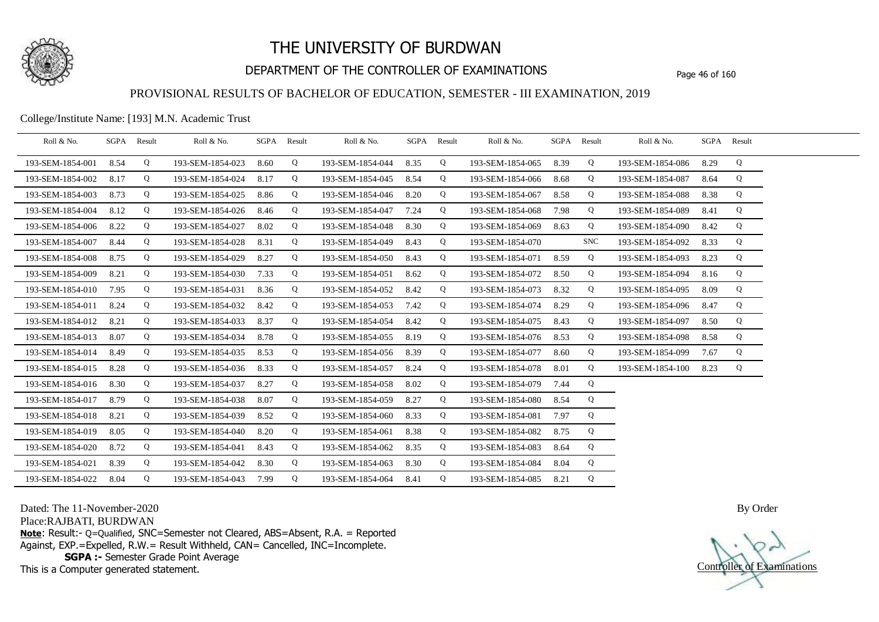

## DEPARTMENT OF THE CONTROLLER OF EXAMINATIONS Page 46 of 160

### PROVISIONAL RESULTS OF BACHELOR OF EDUCATION, SEMESTER - III EXAMINATION, 2019

College/Institute Name: [193] M.N. Academic Trust

| Roll & No.       |      | SGPA Result | Roll & No.       |      | SGPA Result | Roll & No.       | SGPA | Result | Roll & No.       | SGPA Result |            | Roll & No.       |      | SGPA Result |  |
|------------------|------|-------------|------------------|------|-------------|------------------|------|--------|------------------|-------------|------------|------------------|------|-------------|--|
| 193-SEM-1854-001 | 8.54 | Q           | 193-SEM-1854-023 | 8.60 | Q           | 193-SEM-1854-044 | 8.35 | Q      | 193-SEM-1854-065 | 8.39        | Q          | 193-SEM-1854-086 | 8.29 | Q           |  |
| 193-SEM-1854-002 | 8.17 | Q           | 193-SEM-1854-024 | 8.17 | Q           | 193-SEM-1854-045 | 8.54 | Q      | 193-SEM-1854-066 | 8.68        | Q          | 193-SEM-1854-087 | 8.64 | Q           |  |
| 193-SEM-1854-003 | 8.73 | Q           | 193-SEM-1854-025 | 8.86 | Q           | 193-SEM-1854-046 | 8.20 | Q      | 193-SEM-1854-067 | 8.58        | Q          | 193-SEM-1854-088 | 8.38 | Q           |  |
| 193-SEM-1854-004 | 8.12 | Q           | 193-SEM-1854-026 | 8.46 | Q           | 193-SEM-1854-047 | 7.24 | Q      | 193-SEM-1854-068 | 7.98        | Q          | 193-SEM-1854-089 | 8.41 | Q           |  |
| 193-SEM-1854-006 | 8.22 | Q           | 193-SEM-1854-027 | 8.02 | Q           | 193-SEM-1854-048 | 8.30 | Q      | 193-SEM-1854-069 | 8.63        | Q          | 193-SEM-1854-090 | 8.42 | Q           |  |
| 193-SEM-1854-007 | 8.44 | Q           | 193-SEM-1854-028 | 8.31 | Q           | 193-SEM-1854-049 | 8.43 | Q      | 193-SEM-1854-070 |             | <b>SNC</b> | 193-SEM-1854-092 | 8.33 | Q           |  |
| 193-SEM-1854-008 | 8.75 | Q           | 193-SEM-1854-029 | 8.27 | Q           | 193-SEM-1854-050 | 8.43 | Q      | 193-SEM-1854-071 | 8.59        | Q          | 193-SEM-1854-093 | 8.23 | Q           |  |
| 193-SEM-1854-009 | 8.21 | Q           | 193-SEM-1854-030 | 7.33 | Q           | 193-SEM-1854-051 | 8.62 | Q      | 193-SEM-1854-072 | 8.50        | Q          | 193-SEM-1854-094 | 8.16 | Q           |  |
| 193-SEM-1854-010 | 7.95 | Q           | 193-SEM-1854-031 | 8.36 | Q           | 193-SEM-1854-052 | 8.42 | Q      | 193-SEM-1854-073 | 8.32        | Q          | 193-SEM-1854-095 | 8.09 | Q           |  |
| 193-SEM-1854-011 | 8.24 | Q           | 193-SEM-1854-032 | 8.42 | Q           | 193-SEM-1854-053 | 7.42 | Q      | 193-SEM-1854-074 | 8.29        | Q          | 193-SEM-1854-096 | 8.47 | Q           |  |
| 193-SEM-1854-012 | 8.21 | Q           | 193-SEM-1854-033 | 8.37 | Q           | 193-SEM-1854-054 | 8.42 | Q      | 193-SEM-1854-075 | 8.43        | Q          | 193-SEM-1854-097 | 8.50 | Q           |  |
| 193-SEM-1854-013 | 8.07 | Q           | 193-SEM-1854-034 | 8.78 | Q           | 193-SEM-1854-055 | 8.19 | Q      | 193-SEM-1854-076 | 8.53        | Q          | 193-SEM-1854-098 | 8.58 | Q           |  |
| 193-SEM-1854-014 | 8.49 | Q           | 193-SEM-1854-035 | 8.53 | Q           | 193-SEM-1854-056 | 8.39 | Q      | 193-SEM-1854-077 | 8.60        | Q          | 193-SEM-1854-099 | 7.67 | Q           |  |
| 193-SEM-1854-015 | 8.28 | Q           | 193-SEM-1854-036 | 8.33 | Q           | 193-SEM-1854-057 | 8.24 | Q      | 193-SEM-1854-078 | 8.01        | Q          | 193-SEM-1854-100 | 8.23 | Q           |  |
| 193-SEM-1854-016 | 8.30 | Q           | 193-SEM-1854-037 | 8.27 | Q           | 193-SEM-1854-058 | 8.02 | Q      | 193-SEM-1854-079 | 7.44        | Q          |                  |      |             |  |
| 193-SEM-1854-017 | 8.79 | Q           | 193-SEM-1854-038 | 8.07 | Q           | 193-SEM-1854-059 | 8.27 | Q      | 193-SEM-1854-080 | 8.54        | Q          |                  |      |             |  |
| 193-SEM-1854-018 | 8.21 | Q           | 193-SEM-1854-039 | 8.52 | Q           | 193-SEM-1854-060 | 8.33 | Q      | 193-SEM-1854-081 | 7.97        | Q          |                  |      |             |  |
| 193-SEM-1854-019 | 8.05 | Q           | 193-SEM-1854-040 | 8.20 | Q           | 193-SEM-1854-061 | 8.38 | Q      | 193-SEM-1854-082 | 8.75        | Q          |                  |      |             |  |
| 193-SEM-1854-020 | 8.72 | Q           | 193-SEM-1854-041 | 8.43 | Q           | 193-SEM-1854-062 | 8.35 | Q      | 193-SEM-1854-083 | 8.64        | Q          |                  |      |             |  |
| 193-SEM-1854-021 | 8.39 | Q           | 193-SEM-1854-042 | 8.30 | Q           | 193-SEM-1854-063 | 8.30 | Q      | 193-SEM-1854-084 | 8.04        | Q          |                  |      |             |  |
| 193-SEM-1854-022 | 8.04 | Q           | 193-SEM-1854-043 | 7.99 | Q           | 193-SEM-1854-064 | 8.41 | Q      | 193-SEM-1854-085 | 8.21        | Q          |                  |      |             |  |

Dated: The 11-November-2020

Place:RAJBATI, BURDWAN

**Note**: Result:- Q=Qualified, SNC=Semester not Cleared, ABS=Absent, R.A. = Reported Against, EXP.=Expelled, R.W.= Result Withheld, CAN= Cancelled, INC=Incomplete. **SGPA :-** Semester Grade Point Average

This is a Computer generated statement.

Controller of Examinations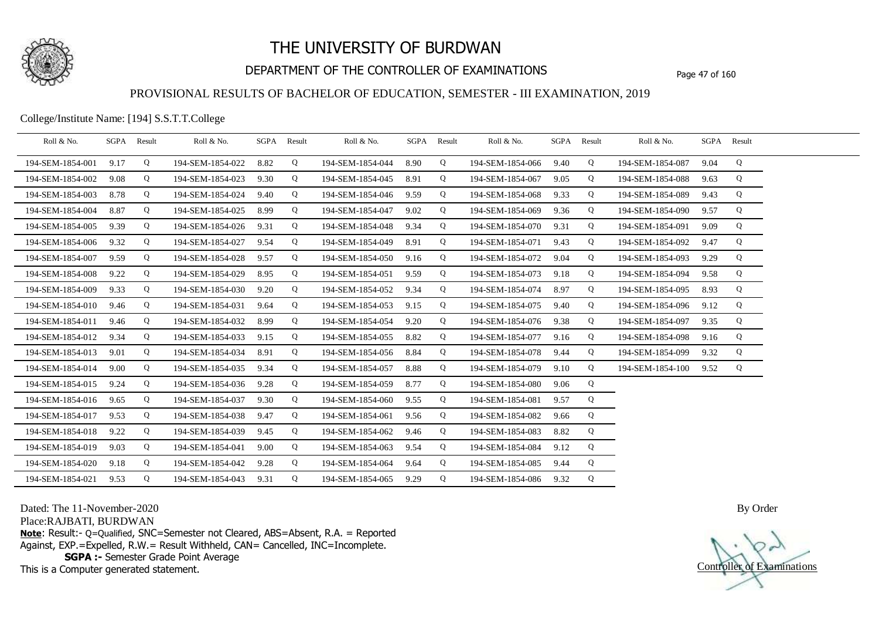

## DEPARTMENT OF THE CONTROLLER OF EXAMINATIONS Page 47 of 160

#### PROVISIONAL RESULTS OF BACHELOR OF EDUCATION, SEMESTER - III EXAMINATION, 2019

College/Institute Name: [194] S.S.T.T.College

| Roll & No.       | SGPA Result |   | Roll & No.       | SGPA | Result | Roll & No.       | SGPA | Result | Roll & No.            |      | SGPA Result | Roll & No.       |      | SGPA Result |  |
|------------------|-------------|---|------------------|------|--------|------------------|------|--------|-----------------------|------|-------------|------------------|------|-------------|--|
| 194-SEM-1854-001 | 9.17        | Q | 194-SEM-1854-022 | 8.82 | Q      | 194-SEM-1854-044 | 8.90 | Q      | 194-SEM-1854-066      | 9.40 | Q           | 194-SEM-1854-087 | 9.04 | Q           |  |
| 194-SEM-1854-002 | 9.08        | Q | 194-SEM-1854-023 | 9.30 | Q      | 194-SEM-1854-045 | 8.91 | Q      | 194-SEM-1854-067      | 9.05 | Q           | 194-SEM-1854-088 | 9.63 | Q           |  |
| 194-SEM-1854-003 | 8.78        | Q | 194-SEM-1854-024 | 9.40 | Q      | 194-SEM-1854-046 | 9.59 | Q      | 194-SEM-1854-068      | 9.33 | Q           | 194-SEM-1854-089 | 9.43 | Q           |  |
| 194-SEM-1854-004 | 8.87        | Q | 194-SEM-1854-025 | 8.99 | Q      | 194-SEM-1854-047 | 9.02 | Q      | 194-SEM-1854-069      | 9.36 | Q           | 194-SEM-1854-090 | 9.57 | Q           |  |
| 194-SEM-1854-005 | 9.39        | Q | 194-SEM-1854-026 | 9.31 | Q      | 194-SEM-1854-048 | 9.34 | Q      | 194-SEM-1854-070      | 9.31 | Q           | 194-SEM-1854-091 | 9.09 | Q           |  |
| 194-SEM-1854-006 | 9.32        | Q | 194-SEM-1854-027 | 9.54 | Q      | 194-SEM-1854-049 | 8.91 | Q      | 194-SEM-1854-071      | 9.43 | Q           | 194-SEM-1854-092 | 9.47 | Q           |  |
| 194-SEM-1854-007 | 9.59        | Q | 194-SEM-1854-028 | 9.57 | Q      | 194-SEM-1854-050 | 9.16 | Q      | 194-SEM-1854-072      | 9.04 | Q           | 194-SEM-1854-093 | 9.29 | Q           |  |
| 194-SEM-1854-008 | 9.22        | Q | 194-SEM-1854-029 | 8.95 | Q      | 194-SEM-1854-051 | 9.59 | Q      | 194-SEM-1854-073      | 9.18 | Q           | 194-SEM-1854-094 | 9.58 | Q           |  |
| 194-SEM-1854-009 | 9.33        | Q | 194-SEM-1854-030 | 9.20 | Q      | 194-SEM-1854-052 | 9.34 | Q      | 194-SEM-1854-074      | 8.97 | Q           | 194-SEM-1854-095 | 8.93 | Q           |  |
| 194-SEM-1854-010 | 9.46        | Q | 194-SEM-1854-031 | 9.64 | Q      | 194-SEM-1854-053 | 9.15 | Q      | 194-SEM-1854-075      | 9.40 | Q           | 194-SEM-1854-096 | 9.12 | Q           |  |
| 194-SEM-1854-011 | 9.46        | Q | 194-SEM-1854-032 | 8.99 | Q      | 194-SEM-1854-054 | 9.20 | Q      | 194-SEM-1854-076      | 9.38 | Q           | 194-SEM-1854-097 | 9.35 | Q           |  |
| 194-SEM-1854-012 | 9.34        | Q | 194-SEM-1854-033 | 9.15 | Q      | 194-SEM-1854-055 | 8.82 | Q      | 194-SEM-1854-077      | 9.16 | Q           | 194-SEM-1854-098 | 9.16 | Q           |  |
| 194-SEM-1854-013 | 9.01        | Q | 194-SEM-1854-034 | 8.91 | Q      | 194-SEM-1854-056 | 8.84 | Q      | 194-SEM-1854-078      | 9.44 | Q           | 194-SEM-1854-099 | 9.32 | Q           |  |
| 194-SEM-1854-014 | 9.00        | Q | 194-SEM-1854-035 | 9.34 | Q      | 194-SEM-1854-057 | 8.88 | Q      | 194-SEM-1854-079      | 9.10 | Q           | 194-SEM-1854-100 | 9.52 | Q           |  |
| 194-SEM-1854-015 | 9.24        | Q | 194-SEM-1854-036 | 9.28 | Q      | 194-SEM-1854-059 | 8.77 | Q      | 194-SEM-1854-080      | 9.06 | Q           |                  |      |             |  |
| 194-SEM-1854-016 | 9.65        | Q | 194-SEM-1854-037 | 9.30 | Q      | 194-SEM-1854-060 | 9.55 | Q      | 194-SEM-1854-081      | 9.57 | Q           |                  |      |             |  |
| 194-SEM-1854-017 | 9.53        | Q | 194-SEM-1854-038 | 9.47 | Q      | 194-SEM-1854-061 | 9.56 | Q      | 194-SEM-1854-082      | 9.66 | Q           |                  |      |             |  |
| 194-SEM-1854-018 | 9.22        | Q | 194-SEM-1854-039 | 9.45 | Q      | 194-SEM-1854-062 | 9.46 | Q      | 194-SEM-1854-083      | 8.82 | Q           |                  |      |             |  |
| 194-SEM-1854-019 | 9.03        | Q | 194-SEM-1854-041 | 9.00 | Q      | 194-SEM-1854-063 | 9.54 | Q      | 194-SEM-1854-084      | 9.12 | Q           |                  |      |             |  |
| 194-SEM-1854-020 | 9.18        | Q | 194-SEM-1854-042 | 9.28 | Q      | 194-SEM-1854-064 | 9.64 | Q      | 194-SEM-1854-085      | 9.44 | Q           |                  |      |             |  |
| 194-SEM-1854-021 | 9.53        | Q | 194-SEM-1854-043 | 9.31 | Q      | 194-SEM-1854-065 | 9.29 | Q      | 194-SEM-1854-086 9.32 |      | $\mathbf Q$ |                  |      |             |  |

Dated: The 11-November-2020

Place:RAJBATI, BURDWAN

**Note**: Result:- Q=Qualified, SNC=Semester not Cleared, ABS=Absent, R.A. = Reported Against, EXP.=Expelled, R.W.= Result Withheld, CAN= Cancelled, INC=Incomplete. **SGPA :-** Semester Grade Point Average

This is a Computer generated statement.

Controller of Examinations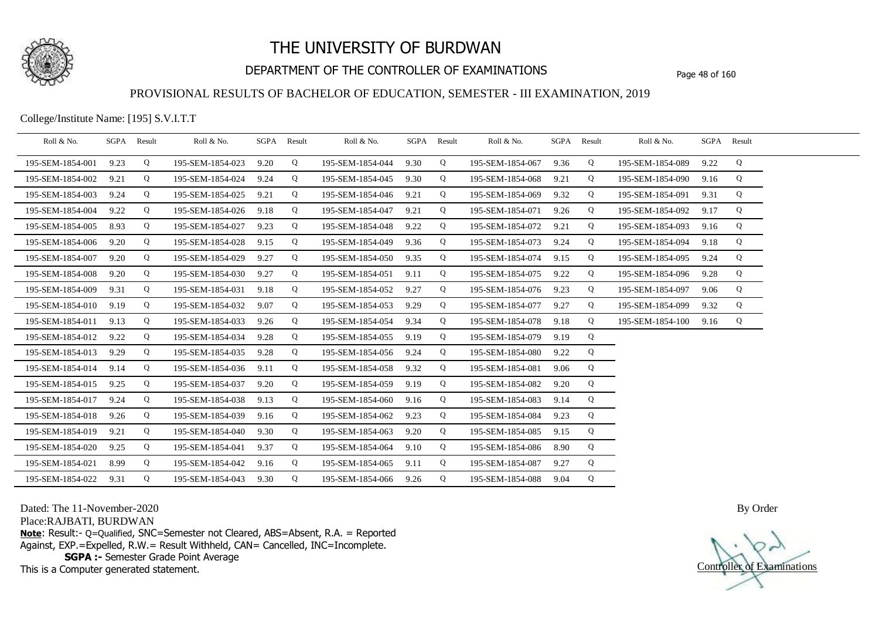

## DEPARTMENT OF THE CONTROLLER OF EXAMINATIONS Page 48 of 160

#### PROVISIONAL RESULTS OF BACHELOR OF EDUCATION, SEMESTER - III EXAMINATION, 2019

College/Institute Name: [195] S.V.I.T.T

| Roll & No.       | SGPA Result |   | Roll & No.       |      | SGPA Result | Roll & No.       | SGPA Result |   | Roll & No.       |      | SGPA Result | Roll & No.       | SGPA Result |   |  |
|------------------|-------------|---|------------------|------|-------------|------------------|-------------|---|------------------|------|-------------|------------------|-------------|---|--|
| 195-SEM-1854-001 | 9.23        | Q | 195-SEM-1854-023 | 9.20 | Q           | 195-SEM-1854-044 | 9.30        | Q | 195-SEM-1854-067 | 9.36 | Q           | 195-SEM-1854-089 | 9.22        | Q |  |
| 195-SEM-1854-002 | 9.21        | Q | 195-SEM-1854-024 | 9.24 | Q           | 195-SEM-1854-045 | 9.30        | Q | 195-SEM-1854-068 | 9.21 | Q           | 195-SEM-1854-090 | 9.16        | Q |  |
| 195-SEM-1854-003 | 9.24        | Q | 195-SEM-1854-025 | 9.21 | Q           | 195-SEM-1854-046 | 9.21        | Q | 195-SEM-1854-069 | 9.32 | Q           | 195-SEM-1854-091 | 9.31        | Q |  |
| 195-SEM-1854-004 | 9.22        | Q | 195-SEM-1854-026 | 9.18 | Q           | 195-SEM-1854-047 | 9.21        | Q | 195-SEM-1854-071 | 9.26 | Q           | 195-SEM-1854-092 | 9.17        | Q |  |
| 195-SEM-1854-005 | 8.93        | Q | 195-SEM-1854-027 | 9.23 | Q           | 195-SEM-1854-048 | 9.22        | Q | 195-SEM-1854-072 | 9.21 | Q           | 195-SEM-1854-093 | 9.16        | Q |  |
| 195-SEM-1854-006 | 9.20        | Q | 195-SEM-1854-028 | 9.15 | Q           | 195-SEM-1854-049 | 9.36        | Q | 195-SEM-1854-073 | 9.24 | Q           | 195-SEM-1854-094 | 9.18        | Q |  |
| 195-SEM-1854-007 | 9.20        | Q | 195-SEM-1854-029 | 9.27 | Q           | 195-SEM-1854-050 | 9.35        | Q | 195-SEM-1854-074 | 9.15 | Q           | 195-SEM-1854-095 | 9.24        | Q |  |
| 195-SEM-1854-008 | 9.20        | Q | 195-SEM-1854-030 | 9.27 | Q           | 195-SEM-1854-051 | 9.11        | Q | 195-SEM-1854-075 | 9.22 | Q           | 195-SEM-1854-096 | 9.28        | Q |  |
| 195-SEM-1854-009 | 9.31        | Q | 195-SEM-1854-031 | 9.18 | Q           | 195-SEM-1854-052 | 9.27        | Q | 195-SEM-1854-076 | 9.23 | Q           | 195-SEM-1854-097 | 9.06        | Q |  |
| 195-SEM-1854-010 | 9.19        | Q | 195-SEM-1854-032 | 9.07 | Q           | 195-SEM-1854-053 | 9.29        | Q | 195-SEM-1854-077 | 9.27 | Q           | 195-SEM-1854-099 | 9.32        | Q |  |
| 195-SEM-1854-011 | 9.13        | Q | 195-SEM-1854-033 | 9.26 | Q           | 195-SEM-1854-054 | 9.34        | Q | 195-SEM-1854-078 | 9.18 | Q           | 195-SEM-1854-100 | 9.16        | Q |  |
| 195-SEM-1854-012 | 9.22        | Q | 195-SEM-1854-034 | 9.28 | Q           | 195-SEM-1854-055 | 9.19        | Q | 195-SEM-1854-079 | 9.19 | Q           |                  |             |   |  |
| 195-SEM-1854-013 | 9.29        | Q | 195-SEM-1854-035 | 9.28 | Q           | 195-SEM-1854-056 | 9.24        | Q | 195-SEM-1854-080 | 9.22 | Q           |                  |             |   |  |
| 195-SEM-1854-014 | 9.14        | Q | 195-SEM-1854-036 | 9.11 | Q           | 195-SEM-1854-058 | 9.32        | Q | 195-SEM-1854-081 | 9.06 | Q           |                  |             |   |  |
| 195-SEM-1854-015 | 9.25        | Q | 195-SEM-1854-037 | 9.20 | Q           | 195-SEM-1854-059 | 9.19        | Q | 195-SEM-1854-082 | 9.20 | Q           |                  |             |   |  |
| 195-SEM-1854-017 | 9.24        | Q | 195-SEM-1854-038 | 9.13 | Q           | 195-SEM-1854-060 | 9.16        | Q | 195-SEM-1854-083 | 9.14 | Q           |                  |             |   |  |
| 195-SEM-1854-018 | 9.26        | Q | 195-SEM-1854-039 | 9.16 | Q           | 195-SEM-1854-062 | 9.23        | Q | 195-SEM-1854-084 | 9.23 | Q           |                  |             |   |  |
| 195-SEM-1854-019 | 9.21        | Q | 195-SEM-1854-040 | 9.30 | Q           | 195-SEM-1854-063 | 9.20        | Q | 195-SEM-1854-085 | 9.15 | Q           |                  |             |   |  |
| 195-SEM-1854-020 | 9.25        | Q | 195-SEM-1854-041 | 9.37 | Q           | 195-SEM-1854-064 | 9.10        | Q | 195-SEM-1854-086 | 8.90 | Q           |                  |             |   |  |
| 195-SEM-1854-021 | 8.99        | Q | 195-SEM-1854-042 | 9.16 | Q           | 195-SEM-1854-065 | 9.11        | Q | 195-SEM-1854-087 | 9.27 | Q           |                  |             |   |  |
| 195-SEM-1854-022 | 9.31        | Q | 195-SEM-1854-043 | 9.30 | Q           | 195-SEM-1854-066 | 9.26        | Q | 195-SEM-1854-088 | 9.04 | Q           |                  |             |   |  |

Dated: The 11-November-2020

Place:RAJBATI, BURDWAN

**Note**: Result:- Q=Qualified, SNC=Semester not Cleared, ABS=Absent, R.A. = Reported Against, EXP.=Expelled, R.W.= Result Withheld, CAN= Cancelled, INC=Incomplete. **SGPA :-** Semester Grade Point Average

This is a Computer generated statement.

Controller of Examinations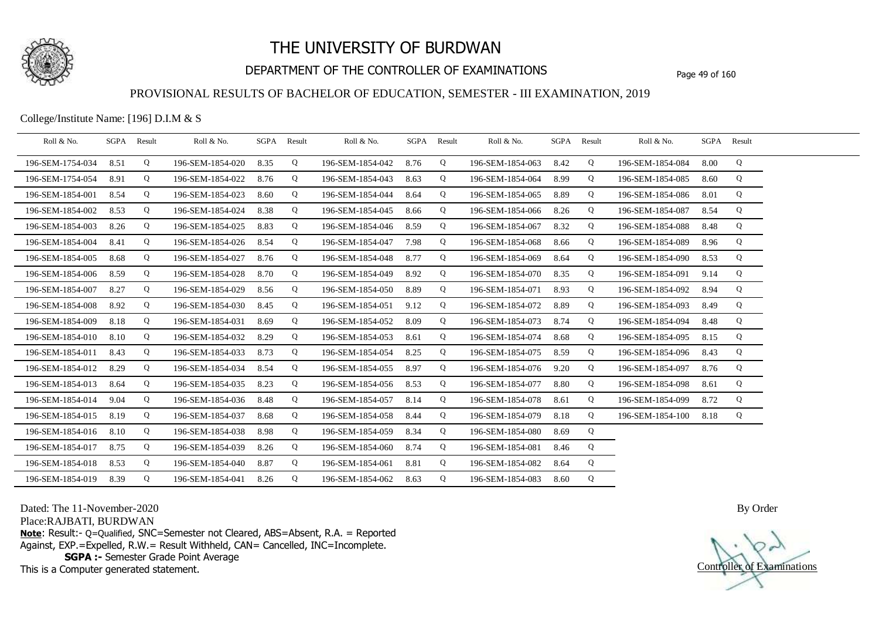

## DEPARTMENT OF THE CONTROLLER OF EXAMINATIONS Page 49 of 160

### PROVISIONAL RESULTS OF BACHELOR OF EDUCATION, SEMESTER - III EXAMINATION, 2019

College/Institute Name: [196] D.I.M & S

| Roll & No.       | SGPA | Result | Roll & No.       | SGPA Result |   | Roll & No.       |      | SGPA Result | Roll & No.       | SGPA | Result | Roll & No.       | SGPA Result |   |  |
|------------------|------|--------|------------------|-------------|---|------------------|------|-------------|------------------|------|--------|------------------|-------------|---|--|
| 196-SEM-1754-034 | 8.51 | Q      | 196-SEM-1854-020 | 8.35        | Q | 196-SEM-1854-042 | 8.76 | Q           | 196-SEM-1854-063 | 8.42 | Q      | 196-SEM-1854-084 | 8.00        | Q |  |
| 196-SEM-1754-054 | 8.91 | Q      | 196-SEM-1854-022 | 8.76        | Q | 196-SEM-1854-043 | 8.63 | Q           | 196-SEM-1854-064 | 8.99 | Q      | 196-SEM-1854-085 | 8.60        | Q |  |
| 196-SEM-1854-001 | 8.54 | Q      | 196-SEM-1854-023 | 8.60        | Q | 196-SEM-1854-044 | 8.64 | Q           | 196-SEM-1854-065 | 8.89 | Q      | 196-SEM-1854-086 | 8.01        | Q |  |
| 196-SEM-1854-002 | 8.53 | Q      | 196-SEM-1854-024 | 8.38        | Q | 196-SEM-1854-045 | 8.66 | Q           | 196-SEM-1854-066 | 8.26 | Q      | 196-SEM-1854-087 | 8.54        | Q |  |
| 196-SEM-1854-003 | 8.26 | Q      | 196-SEM-1854-025 | 8.83        | Q | 196-SEM-1854-046 | 8.59 | Q           | 196-SEM-1854-067 | 8.32 | Q      | 196-SEM-1854-088 | 8.48        | Q |  |
| 196-SEM-1854-004 | 8.41 | Q      | 196-SEM-1854-026 | 8.54        | Q | 196-SEM-1854-047 | 7.98 | Q           | 196-SEM-1854-068 | 8.66 | Q      | 196-SEM-1854-089 | 8.96        | Q |  |
| 196-SEM-1854-005 | 8.68 | Q      | 196-SEM-1854-027 | 8.76        | Q | 196-SEM-1854-048 | 8.77 | Q           | 196-SEM-1854-069 | 8.64 | Q      | 196-SEM-1854-090 | 8.53        | Q |  |
| 196-SEM-1854-006 | 8.59 | Q      | 196-SEM-1854-028 | 8.70        | Q | 196-SEM-1854-049 | 8.92 | Q           | 196-SEM-1854-070 | 8.35 | Q      | 196-SEM-1854-091 | 9.14        | Q |  |
| 196-SEM-1854-007 | 8.27 | Q      | 196-SEM-1854-029 | 8.56        | Q | 196-SEM-1854-050 | 8.89 | Q           | 196-SEM-1854-071 | 8.93 | Q      | 196-SEM-1854-092 | 8.94        | Q |  |
| 196-SEM-1854-008 | 8.92 | Q      | 196-SEM-1854-030 | 8.45        | Q | 196-SEM-1854-051 | 9.12 | Q           | 196-SEM-1854-072 | 8.89 | Q      | 196-SEM-1854-093 | 8.49        | Q |  |
| 196-SEM-1854-009 | 8.18 | Q      | 196-SEM-1854-031 | 8.69        | Q | 196-SEM-1854-052 | 8.09 | Q           | 196-SEM-1854-073 | 8.74 | Q      | 196-SEM-1854-094 | 8.48        | Q |  |
| 196-SEM-1854-010 | 8.10 | Q      | 196-SEM-1854-032 | 8.29        | Q | 196-SEM-1854-053 | 8.61 | Q           | 196-SEM-1854-074 | 8.68 | Q      | 196-SEM-1854-095 | 8.15        | Q |  |
| 196-SEM-1854-011 | 8.43 | Q      | 196-SEM-1854-033 | 8.73        | Q | 196-SEM-1854-054 | 8.25 | Q           | 196-SEM-1854-075 | 8.59 | Q      | 196-SEM-1854-096 | 8.43        | Q |  |
| 196-SEM-1854-012 | 8.29 | Q      | 196-SEM-1854-034 | 8.54        | Q | 196-SEM-1854-055 | 8.97 | Q           | 196-SEM-1854-076 | 9.20 | Q      | 196-SEM-1854-097 | 8.76        | Q |  |
| 196-SEM-1854-013 | 8.64 | Q      | 196-SEM-1854-035 | 8.23        | Q | 196-SEM-1854-056 | 8.53 | Q           | 196-SEM-1854-077 | 8.80 | Q      | 196-SEM-1854-098 | 8.61        | Q |  |
| 196-SEM-1854-014 | 9.04 | Q      | 196-SEM-1854-036 | 8.48        | Q | 196-SEM-1854-057 | 8.14 | Q           | 196-SEM-1854-078 | 8.61 | Q      | 196-SEM-1854-099 | 8.72        | Q |  |
| 196-SEM-1854-015 | 8.19 | Q      | 196-SEM-1854-037 | 8.68        | Q | 196-SEM-1854-058 | 8.44 | Q           | 196-SEM-1854-079 | 8.18 | Q      | 196-SEM-1854-100 | 8.18        | Q |  |
| 196-SEM-1854-016 | 8.10 | Q      | 196-SEM-1854-038 | 8.98        | Q | 196-SEM-1854-059 | 8.34 | Q           | 196-SEM-1854-080 | 8.69 | Q      |                  |             |   |  |
| 196-SEM-1854-017 | 8.75 | Q      | 196-SEM-1854-039 | 8.26        | Q | 196-SEM-1854-060 | 8.74 | Q           | 196-SEM-1854-081 | 8.46 | Q      |                  |             |   |  |
| 196-SEM-1854-018 | 8.53 | Q      | 196-SEM-1854-040 | 8.87        | Q | 196-SEM-1854-061 | 8.81 | Q           | 196-SEM-1854-082 | 8.64 | Q      |                  |             |   |  |
| 196-SEM-1854-019 | 8.39 | Q      | 196-SEM-1854-041 | 8.26        | Q | 196-SEM-1854-062 | 8.63 | Q           | 196-SEM-1854-083 | 8.60 | Q      |                  |             |   |  |

Dated: The 11-November-2020

Place:RAJBATI, BURDWAN

**Note**: Result:- Q=Qualified, SNC=Semester not Cleared, ABS=Absent, R.A. = Reported Against, EXP.=Expelled, R.W.= Result Withheld, CAN= Cancelled, INC=Incomplete. **SGPA :-** Semester Grade Point Average

This is a Computer generated statement.

Controller of Examinations